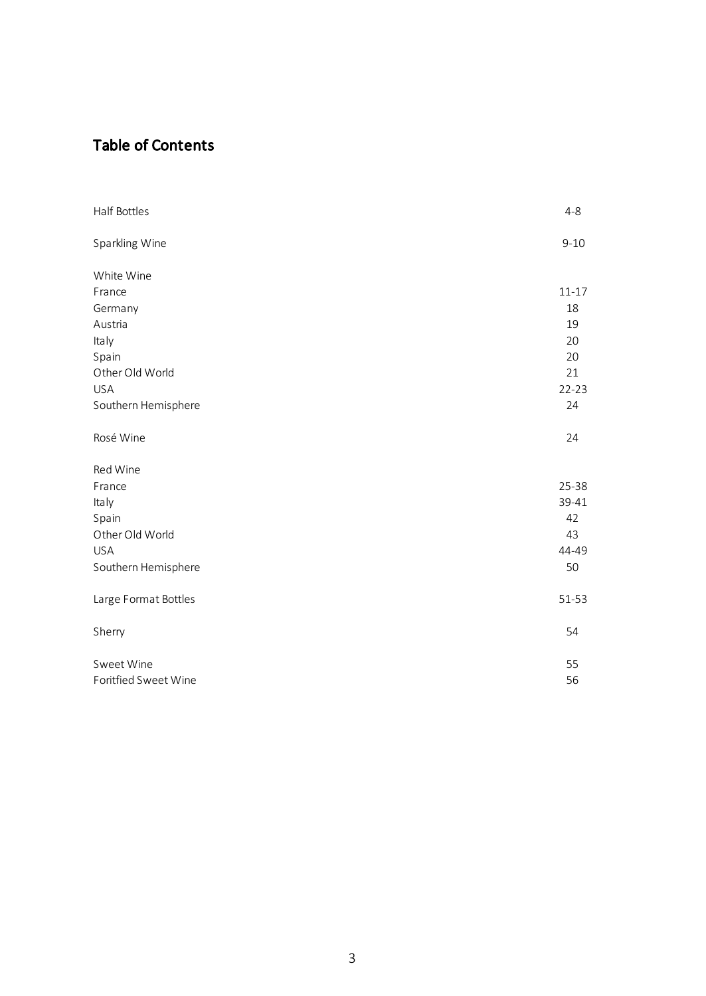# Table of Contents

| Half Bottles         | $4 - 8$   |
|----------------------|-----------|
| Sparkling Wine       | $9 - 10$  |
| White Wine           |           |
| France               | $11 - 17$ |
| Germany              | 18        |
| Austria              | 19        |
| Italy                | 20        |
| Spain                | 20        |
| Other Old World      | 21        |
| <b>USA</b>           | $22 - 23$ |
| Southern Hemisphere  | 24        |
| Rosé Wine            | 24        |
| Red Wine             |           |
| France               | 25-38     |
| Italy                | 39-41     |
| Spain                | 42        |
| Other Old World      | 43        |
| <b>USA</b>           | 44-49     |
| Southern Hemisphere  | 50        |
| Large Format Bottles | 51-53     |
| Sherry               | 54        |
| Sweet Wine           | 55        |
| Foritfied Sweet Wine | 56        |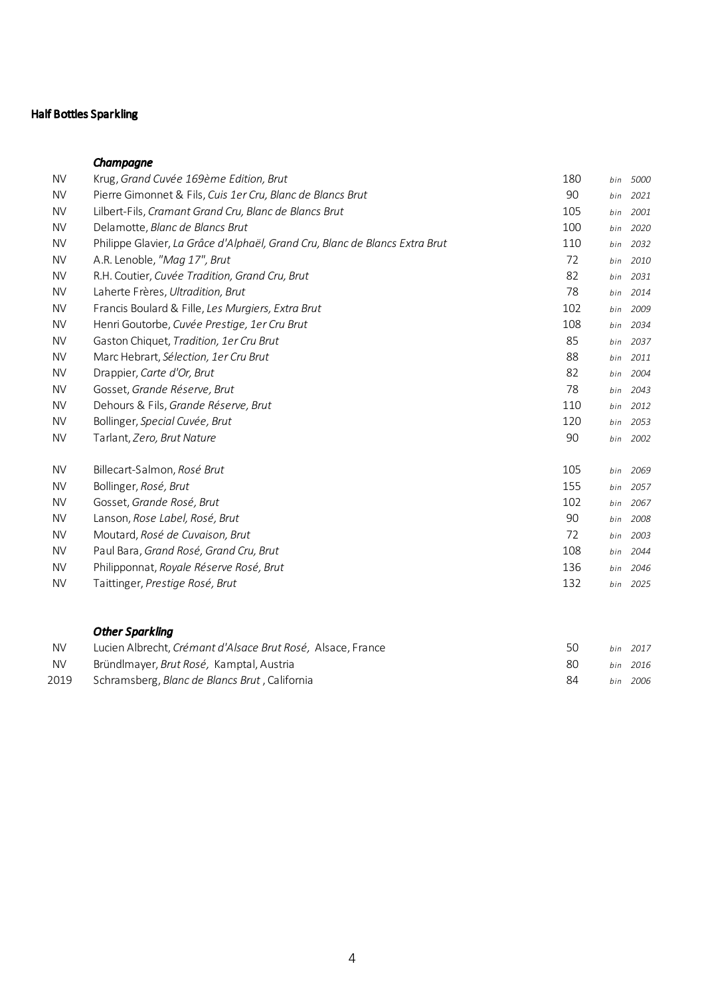# Half Bottles Sparkling

## *Champagne*

| <b>NV</b> | Krug, Grand Cuvée 169ème Edition, Brut                                      | 180 | bin | 5000     |
|-----------|-----------------------------------------------------------------------------|-----|-----|----------|
| <b>NV</b> | Pierre Gimonnet & Fils, Cuis 1er Cru, Blanc de Blancs Brut                  | 90  | bin | 2021     |
| <b>NV</b> | Lilbert-Fils, Cramant Grand Cru, Blanc de Blancs Brut                       | 105 | bin | 2001     |
| <b>NV</b> | Delamotte, Blanc de Blancs Brut                                             | 100 | bin | 2020     |
| <b>NV</b> | Philippe Glavier, La Grâce d'Alphaël, Grand Cru, Blanc de Blancs Extra Brut | 110 | bin | 2032     |
| <b>NV</b> | A.R. Lenoble, "Mag 17", Brut                                                | 72  | bin | 2010     |
| <b>NV</b> | R.H. Coutier, Cuvée Tradition, Grand Cru, Brut                              | 82  | bin | 2031     |
| <b>NV</b> | Laherte Frères, Ultradition, Brut                                           | 78  | bin | 2014     |
| <b>NV</b> | Francis Boulard & Fille, Les Murgiers, Extra Brut                           | 102 | bin | 2009     |
| <b>NV</b> | Henri Goutorbe, Cuvée Prestige, 1er Cru Brut                                | 108 | bin | 2034     |
| <b>NV</b> | Gaston Chiquet, Tradition, 1er Cru Brut                                     | 85  | bin | 2037     |
| <b>NV</b> | Marc Hebrart, Sélection, 1er Cru Brut                                       | 88  | bin | 2011     |
| <b>NV</b> | Drappier, Carte d'Or, Brut                                                  | 82  | bin | 2004     |
| <b>NV</b> | Gosset, Grande Réserve, Brut                                                | 78  | bin | 2043     |
| <b>NV</b> | Dehours & Fils, Grande Réserve, Brut                                        | 110 | bin | 2012     |
| <b>NV</b> | Bollinger, Special Cuvée, Brut                                              | 120 | bin | 2053     |
| <b>NV</b> | Tarlant, Zero, Brut Nature                                                  | 90  | bin | 2002     |
| <b>NV</b> | Billecart-Salmon, Rosé Brut                                                 | 105 | bin | 2069     |
| <b>NV</b> | Bollinger, Rosé, Brut                                                       | 155 | bin | 2057     |
| <b>NV</b> | Gosset, Grande Rosé, Brut                                                   | 102 | bin | 2067     |
| <b>NV</b> | Lanson, Rose Label, Rosé, Brut                                              | 90  | bin | 2008     |
| <b>NV</b> | Moutard, Rosé de Cuvaison, Brut                                             | 72  | bin | 2003     |
| <b>NV</b> | Paul Bara, Grand Rosé, Grand Cru, Brut                                      | 108 | bin | 2044     |
| <b>NV</b> | Philipponnat, Royale Réserve Rosé, Brut                                     | 136 | bin | 2046     |
| <b>NV</b> | Taittinger, Prestige Rosé, Brut                                             | 132 |     | bin 2025 |
|           |                                                                             |     |     |          |

# *Other Sparkling*

| <b>NV</b> | Lucien Albrecht, Crémant d'Alsace Brut Rosé, Alsace, France |     | bin 2017 |
|-----------|-------------------------------------------------------------|-----|----------|
| <b>NV</b> | Bründlmaver, Brut Rosé, Kamptal, Austria                    | -80 | bin 2016 |
| 2019      | Schramsberg, <i>Blanc de Blancs Brut</i> , California       | 84  | bin 2006 |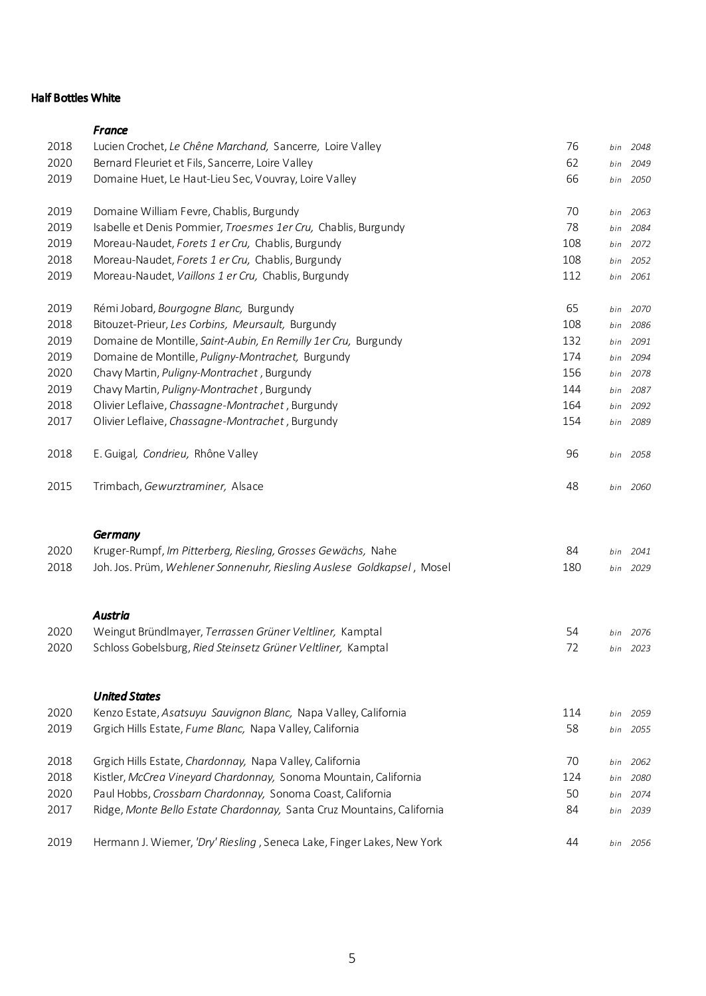## Half Bottles White

|      | France                                                                     |     |     |          |
|------|----------------------------------------------------------------------------|-----|-----|----------|
| 2018 | Lucien Crochet, Le Chêne Marchand, Sancerre, Loire Valley                  | 76  | bin | 2048     |
| 2020 | Bernard Fleuriet et Fils, Sancerre, Loire Valley                           | 62  | bin | 2049     |
| 2019 | Domaine Huet, Le Haut-Lieu Sec, Vouvray, Loire Valley                      | 66  |     | bin 2050 |
| 2019 | Domaine William Fevre, Chablis, Burgundy                                   | 70  | bin | 2063     |
| 2019 | Isabelle et Denis Pommier, Troesmes 1er Cru, Chablis, Burgundy             | 78  | bin | 2084     |
| 2019 | Moreau-Naudet, Forets 1 er Cru, Chablis, Burgundy                          | 108 |     | bin 2072 |
| 2018 | Moreau-Naudet, Forets 1 er Cru, Chablis, Burgundy                          | 108 | bin | 2052     |
| 2019 | Moreau-Naudet, Vaillons 1 er Cru, Chablis, Burgundy                        | 112 |     | bin 2061 |
| 2019 | Rémi Jobard, Bourgogne Blanc, Burgundy                                     | 65  |     | bin 2070 |
| 2018 | Bitouzet-Prieur, Les Corbins, Meursault, Burgundy                          | 108 | bin | 2086     |
| 2019 | Domaine de Montille, Saint-Aubin, En Remilly 1er Cru, Burgundy             | 132 |     | bin 2091 |
| 2019 | Domaine de Montille, Puligny-Montrachet, Burgundy                          | 174 |     | bin 2094 |
| 2020 | Chavy Martin, Puligny-Montrachet, Burgundy                                 | 156 |     | bin 2078 |
| 2019 | Chavy Martin, Puligny-Montrachet, Burgundy                                 | 144 |     | bin 2087 |
| 2018 | Olivier Leflaive, Chassagne-Montrachet, Burgundy                           | 164 |     | bin 2092 |
| 2017 | Olivier Leflaive, Chassagne-Montrachet, Burgundy                           | 154 |     | bin 2089 |
| 2018 | E. Guigal, Condrieu, Rhône Valley                                          | 96  |     | bin 2058 |
| 2015 | Trimbach, Gewurztraminer, Alsace                                           | 48  |     | bin 2060 |
|      | <b>Germany</b>                                                             |     |     |          |
| 2020 | Kruger-Rumpf, Im Pitterberg, Riesling, Grosses Gewächs, Nahe               | 84  | bin | 2041     |
| 2018 | Joh. Jos. Prüm, Wehlener Sonnenuhr, Riesling Auslese Goldkapsel, Mosel     | 180 |     | bin 2029 |
|      |                                                                            |     |     |          |
| 2020 | <b>Austria</b><br>Weingut Bründlmayer, Terrassen Grüner Veltliner, Kamptal | 54  |     | bin 2076 |
| 2020 | Schloss Gobelsburg, Ried Steinsetz Grüner Veltliner, Kamptal               | 72  |     | bin 2023 |
|      |                                                                            |     |     |          |
|      | <b>United States</b>                                                       |     |     |          |
| 2020 | Kenzo Estate, Asatsuyu Sauvignon Blanc, Napa Valley, California            | 114 |     | bin 2059 |
| 2019 | Grgich Hills Estate, Fume Blanc, Napa Valley, California                   | 58  |     | bin 2055 |
| 2018 | Grgich Hills Estate, Chardonnay, Napa Valley, California                   | 70  | bin | 2062     |
| 2018 | Kistler, McCrea Vineyard Chardonnay, Sonoma Mountain, California           | 124 | bin | 2080     |
| 2020 | Paul Hobbs, Crossbarn Chardonnay, Sonoma Coast, California                 | 50  | bin | 2074     |
| 2017 | Ridge, Monte Bello Estate Chardonnay, Santa Cruz Mountains, California     | 84  |     | bin 2039 |
| 2019 | Hermann J. Wiemer, 'Dry' Riesling, Seneca Lake, Finger Lakes, New York     | 44  |     | bin 2056 |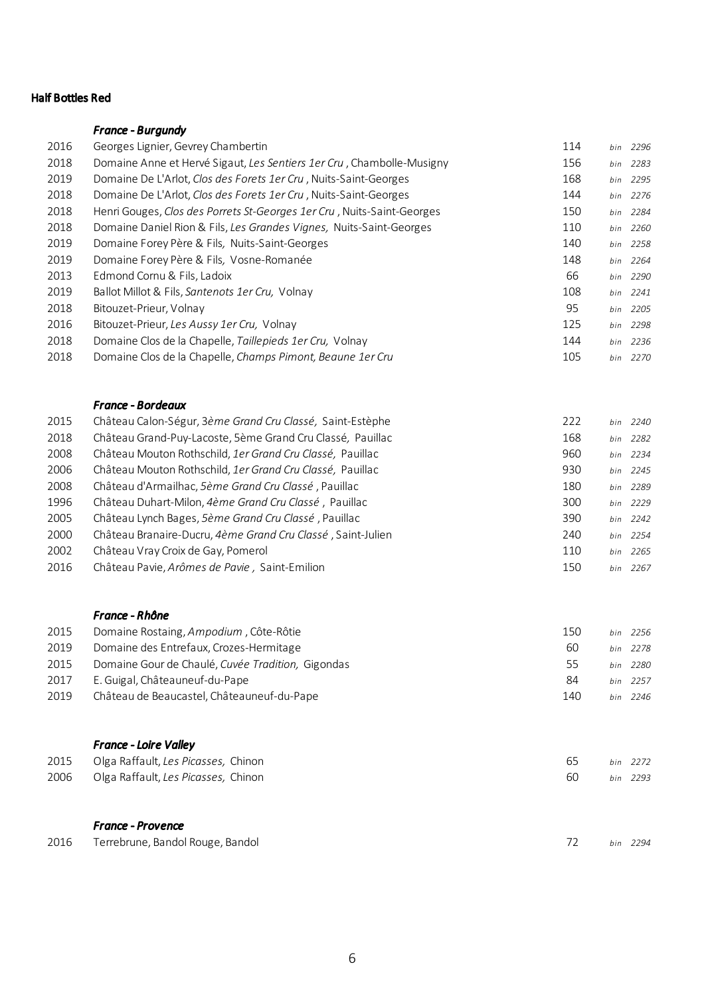## Half Bottles Red

# *France - Burgundy*

| 2016 | Georges Lignier, Gevrey Chambertin                                     | 114 |     | bin 2296 |
|------|------------------------------------------------------------------------|-----|-----|----------|
| 2018 | Domaine Anne et Hervé Sigaut, Les Sentiers 1 er Cru, Chambolle-Musigny | 156 |     | bin 2283 |
| 2019 | Domaine De L'Arlot, Clos des Forets 1er Cru, Nuits-Saint-Georges       | 168 |     | bin 2295 |
| 2018 | Domaine De L'Arlot, Clos des Forets 1er Cru, Nuits-Saint-Georges       | 144 | bin | 2276     |
| 2018 | Henri Gouges, Clos des Porrets St-Georges 1er Cru, Nuits-Saint-Georges | 150 |     | bin 2284 |
| 2018 | Domaine Daniel Rion & Fils, Les Grandes Vignes, Nuits-Saint-Georges    | 110 |     | bin 2260 |
| 2019 | Domaine Forey Père & Fils, Nuits-Saint-Georges                         | 140 | bin | 2258     |
| 2019 | Domaine Forey Père & Fils, Vosne-Romanée                               | 148 | bin | 2264     |
| 2013 | Edmond Cornu & Fils, Ladoix                                            | 66  |     | bin 2290 |
| 2019 | Ballot Millot & Fils, Santenots 1er Cru, Volnay                        | 108 |     | bin 2241 |
| 2018 | Bitouzet-Prieur, Volnay                                                | 95  | bin | 2205     |
| 2016 | Bitouzet-Prieur, Les Aussy 1er Cru, Volnay                             | 125 |     | bin 2298 |
| 2018 | Domaine Clos de la Chapelle, Taillepieds 1er Cru, Volnay               | 144 |     | bin 2236 |
| 2018 | Domaine Clos de la Chapelle, Champs Pimont, Beaune 1er Cru             | 105 |     | bin 2270 |

### *France - Bordeaux*

| 2015 | Château Calon-Ségur, 3ème Grand Cru Classé, Saint-Estèphe   | 222 |     | bin 2240 |
|------|-------------------------------------------------------------|-----|-----|----------|
| 2018 | Château Grand-Puy-Lacoste, 5ème Grand Cru Classé, Pauillac  | 168 |     | bin 2282 |
| 2008 | Château Mouton Rothschild, 1er Grand Cru Classé, Pauillac   | 960 |     | bin 2234 |
| 2006 | Château Mouton Rothschild, 1er Grand Cru Classé, Pauillac   | 930 |     | bin 2245 |
| 2008 | Château d'Armailhac, 5ème Grand Cru Classé, Pauillac        | 180 |     | bin 2289 |
| 1996 | Château Duhart-Milon, 4ème Grand Cru Classé, Pauillac       | 300 |     | bin 2229 |
| 2005 | Château Lynch Bages, 5ème Grand Cru Classé, Pauillac        | 390 |     | bin 2242 |
| 2000 | Château Branaire-Ducru, 4ème Grand Cru Classé, Saint-Julien | 240 |     | bin 2254 |
| 2002 | Château Vray Croix de Gay, Pomerol                          | 110 |     | bin 2265 |
| 2016 | Château Pavie, Arômes de Pavie, Saint-Emilion               | 150 | bin | 2267     |

### *France - Rhône*

| Domaine Rostaing, Ampodium, Côte-Rôtie            | 150 | bin 2256 |
|---------------------------------------------------|-----|----------|
| Domaine des Entrefaux, Crozes-Hermitage           | 60  | bin 2278 |
| Domaine Gour de Chaulé, Cuvée Tradition. Gigondas | 55  | bin 2280 |
| E. Guigal. Châteauneuf-du-Pape                    | 84  | hin 2257 |
| Château de Beaucastel, Châteauneuf-du-Pape        | 140 | hin 2246 |
|                                                   |     |          |

### *France - Loire Valley*

| 2015 Olga Raffault, Les Picasses, Chinon |  | bin 2272 |
|------------------------------------------|--|----------|
| 2006 Olga Raffault, Les Picasses, Chinon |  | bin 2293 |

# *France - Provence*

|  | 2016 Terrebrune, Bandol Rouge, Bandol | 72 bin 2294 |  |  |
|--|---------------------------------------|-------------|--|--|
|--|---------------------------------------|-------------|--|--|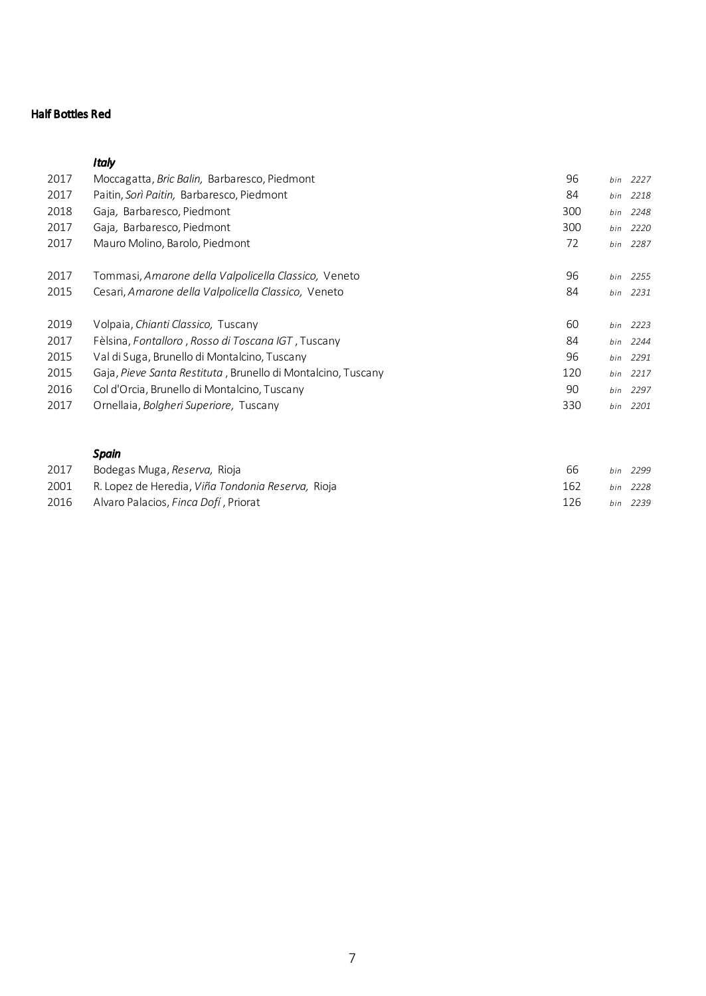## Half Bottles Red

## *Italy*

| 2017 | Moccagatta, Bric Balin, Barbaresco, Piedmont                 | 96  | bin | 2227     |
|------|--------------------------------------------------------------|-----|-----|----------|
| 2017 | Paitin, Sorì Paitin, Barbaresco, Piedmont                    | 84  | bin | 2218     |
| 2018 | Gaja, Barbaresco, Piedmont                                   | 300 | bin | 2248     |
| 2017 | Gaja, Barbaresco, Piedmont                                   | 300 | bin | 2220     |
| 2017 | Mauro Molino, Barolo, Piedmont                               | 72  | bin | 2287     |
|      |                                                              |     |     |          |
| 2017 | Tommasi, Amarone della Valpolicella Classico, Veneto         | 96  | bin | 2255     |
| 2015 | Cesari, Amarone della Valpolicella Classico, Veneto          | 84  | bin | 2231     |
| 2019 | Volpaia, Chianti Classico, Tuscany                           | 60  | bin | 2223     |
| 2017 | Fèlsina, Fontalloro, Rosso di Toscana IGT, Tuscany           | 84  |     | bin 2244 |
| 2015 | Val di Suga, Brunello di Montalcino, Tuscany                 | 96  |     | bin 2291 |
| 2015 | Gaja, Pieve Santa Restituta, Brunello di Montalcino, Tuscany | 120 |     | bin 2217 |
| 2016 | Col d'Orcia, Brunello di Montalcino, Tuscany                 | 90  |     | bin 2297 |
| 2017 | Ornellaia, Bolgheri Superiore, Tuscany                       | 330 | bin | 2201     |

## *Spain*

| 2017 | Bodegas Muga, Reserva, Rioja                      | 66  | hin 2299 |
|------|---------------------------------------------------|-----|----------|
| 2001 | R. Lopez de Heredia. Viña Tondonia Reserva. Rioja | 162 | bin 2228 |
| 2016 | Alvaro Palacios. Finca Dofí . Priorat             | 126 | hin 2239 |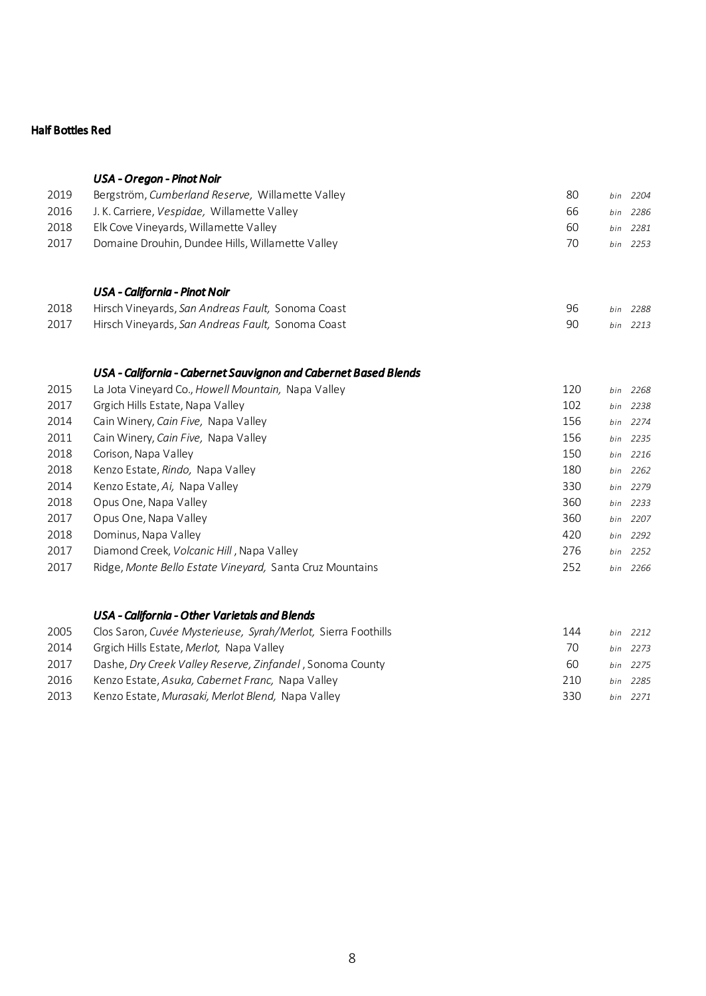## Half Bottles Red

*USA - Oregon - Pinot Noir*

| Bergström, Cumberland Reserve, Willamette Valley   | 80 | hin 2204 |
|----------------------------------------------------|----|----------|
| J. K. Carriere. <i>Vespidge.</i> Willamette Valley | 66 | bin 2286 |
| Elk Cove Vinevards. Willamette Valley              | 60 | bin 2281 |
| Domaine Drouhin, Dundee Hills, Willamette Valley   | 70 | hin 2253 |
|                                                    |    |          |

# *USA - California - Pinot Noir*

| 2018 | Hirsch Vineyards, San Andreas Fault, Sonoma Coast |  | bin 2288 |
|------|---------------------------------------------------|--|----------|
| 2017 | Hirsch Vineyards, San Andreas Fault, Sonoma Coast |  | bin 2213 |

# *USA - California - Cabernet Sauvignon and Cabernet Based Blends*

| 2015 | La Jota Vineyard Co., Howell Mountain, Napa Valley       | 120 | bin | 2268     |
|------|----------------------------------------------------------|-----|-----|----------|
| 2017 | Grgich Hills Estate, Napa Valley                         | 102 |     | bin 2238 |
| 2014 | Cain Winery, Cain Five, Napa Valley                      | 156 |     | bin 2274 |
| 2011 | Cain Winery, Cain Five, Napa Valley                      | 156 |     | bin 2235 |
| 2018 | Corison, Napa Valley                                     | 150 | bin | 2216     |
| 2018 | Kenzo Estate, Rindo, Napa Valley                         | 180 |     | bin 2262 |
| 2014 | Kenzo Estate, Ai, Napa Valley                            | 330 |     | bin 2279 |
| 2018 | Opus One, Napa Valley                                    | 360 | bin | 2233     |
| 2017 | Opus One, Napa Valley                                    | 360 |     | bin 2207 |
| 2018 | Dominus, Napa Valley                                     | 420 |     | bin 2292 |
| 2017 | Diamond Creek, <i>Volcanic Hill</i> , Napa Valley        | 276 |     | bin 2252 |
| 2017 | Ridge, Monte Bello Estate Vineyard, Santa Cruz Mountains | 252 | bin | 2266     |

## *USA - California - Other Varietals and Blends*

| 2005 | Clos Saron, Cuvée Mysterieuse, Syrah/Merlot, Sierra Foothills | 144 | bin 2212 |
|------|---------------------------------------------------------------|-----|----------|
| 2014 | Grgich Hills Estate, Merlot, Napa Valley                      | 70  | bin 2273 |
| 2017 | Dashe, Dry Creek Valley Reserve, Zinfandel, Sonoma County     | 60  | bin 2275 |
| 2016 | Kenzo Estate, Asuka, Cabernet Franc, Napa Valley              | 210 | hin 2285 |
| 2013 | Kenzo Estate, Murgsaki, Merlot Blend, Napa Valley             | 330 | bin 2271 |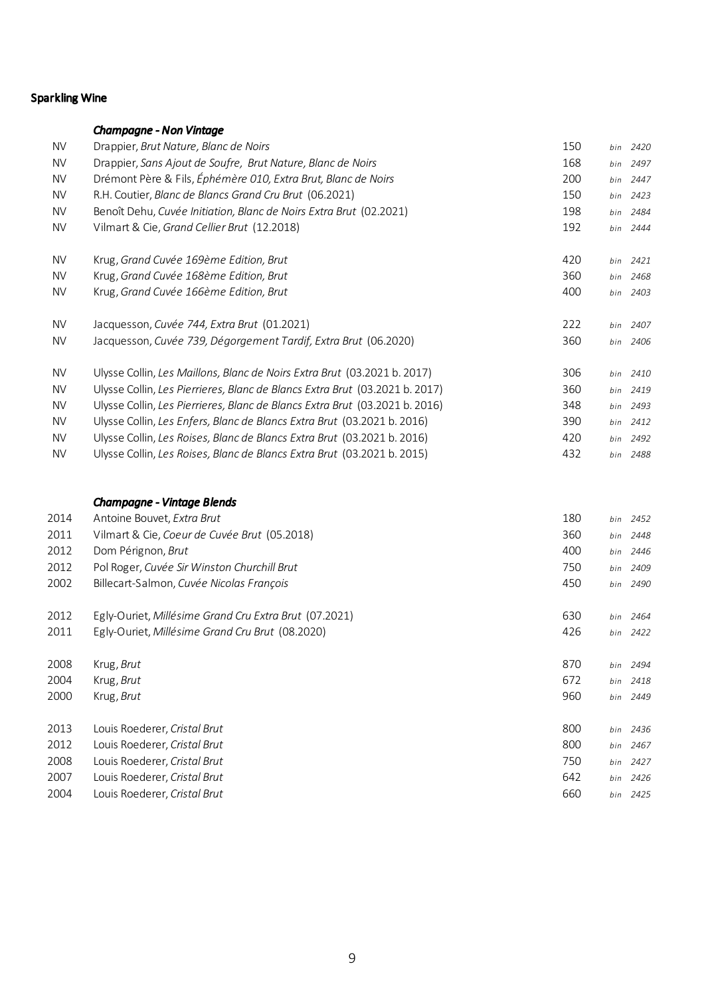# Sparkling Wine

|           | <b>Champagne - Non Vintage</b>                                              |     |     |          |
|-----------|-----------------------------------------------------------------------------|-----|-----|----------|
| <b>NV</b> | Drappier, Brut Nature, Blanc de Noirs                                       | 150 | bin | 2420     |
| <b>NV</b> | Drappier, Sans Ajout de Soufre, Brut Nature, Blanc de Noirs                 | 168 | bin | 2497     |
| <b>NV</b> | Drémont Père & Fils, Éphémère 010, Extra Brut, Blanc de Noirs               | 200 | bin | 2447     |
| <b>NV</b> | R.H. Coutier, Blanc de Blancs Grand Cru Brut (06.2021)                      | 150 | bin | 2423     |
| <b>NV</b> | Benoît Dehu, Cuvée Initiation, Blanc de Noirs Extra Brut (02.2021)          | 198 | bin | 2484     |
| <b>NV</b> | Vilmart & Cie, Grand Cellier Brut (12.2018)                                 | 192 |     | bin 2444 |
| <b>NV</b> | Krug, Grand Cuvée 169ème Edition, Brut                                      | 420 | bin | 2421     |
| <b>NV</b> | Krug, Grand Cuvée 168ème Edition, Brut                                      | 360 | bin | 2468     |
| <b>NV</b> | Krug, Grand Cuvée 166ème Edition, Brut                                      | 400 | bin | 2403     |
| <b>NV</b> | Jacquesson, Cuvée 744, Extra Brut (01.2021)                                 | 222 | bin | 2407     |
| <b>NV</b> | Jacquesson, Cuvée 739, Dégorgement Tardif, Extra Brut (06.2020)             | 360 | bin | 2406     |
| <b>NV</b> | Ulysse Collin, Les Maillons, Blanc de Noirs Extra Brut (03.2021 b. 2017)    | 306 |     | bin 2410 |
| <b>NV</b> | Ulysse Collin, Les Pierrieres, Blanc de Blancs Extra Brut (03.2021 b. 2017) | 360 | bin | 2419     |
| <b>NV</b> | Ulysse Collin, Les Pierrieres, Blanc de Blancs Extra Brut (03.2021 b. 2016) | 348 | bin | 2493     |
| <b>NV</b> | Ulysse Collin, Les Enfers, Blanc de Blancs Extra Brut (03.2021 b. 2016)     | 390 | bin | 2412     |
| <b>NV</b> | Ulysse Collin, Les Roises, Blanc de Blancs Extra Brut (03.2021 b. 2016)     | 420 | bin | 2492     |
| <b>NV</b> | Ulysse Collin, Les Roises, Blanc de Blancs Extra Brut (03.2021 b. 2015)     | 432 | bin | 2488     |
|           | <b>Champagne - Vintage Blends</b>                                           |     |     |          |
| 2014      | Antoine Bouvet, Extra Brut                                                  | 180 | bin | 2452     |
| 2011      | Vilmart & Cie, Coeur de Cuvée Brut (05.2018)                                | 360 | bin | 2448     |
| 2012      | Dom Pérignon, Brut                                                          | 400 | bin | 2446     |
| 2012      | Pol Roger, Cuvée Sir Winston Churchill Brut                                 | 750 | bin | 2409     |
| 2002      | Billecart-Salmon, Cuvée Nicolas François                                    | 450 | bin | 2490     |
| 2012      | Egly-Ouriet, Millésime Grand Cru Extra Brut (07.2021)                       | 630 | bin | 2464     |
| 2011      | Egly-Ouriet, Millésime Grand Cru Brut (08.2020)                             | 426 | bin | 2422     |
| 2008      | Krug, Brut                                                                  | 870 | bin | 2494     |
| 2004      | Krug, Brut                                                                  | 672 | bin | 2418     |
| 2000      | Krug, Brut                                                                  | 960 | bin | 2449     |
| 2013      | Louis Roederer, Cristal Brut                                                | 800 | bin | 2436     |
| 2012      | Louis Roederer, Cristal Brut                                                | 800 | bin | 2467     |
| 2008      | Louis Roederer, Cristal Brut                                                | 750 |     | bin 2427 |
| 2007      | Louis Roederer, Cristal Brut                                                | 642 | bin | 2426     |
| 2004      | Louis Roederer, Cristal Brut                                                | 660 | bin | 2425     |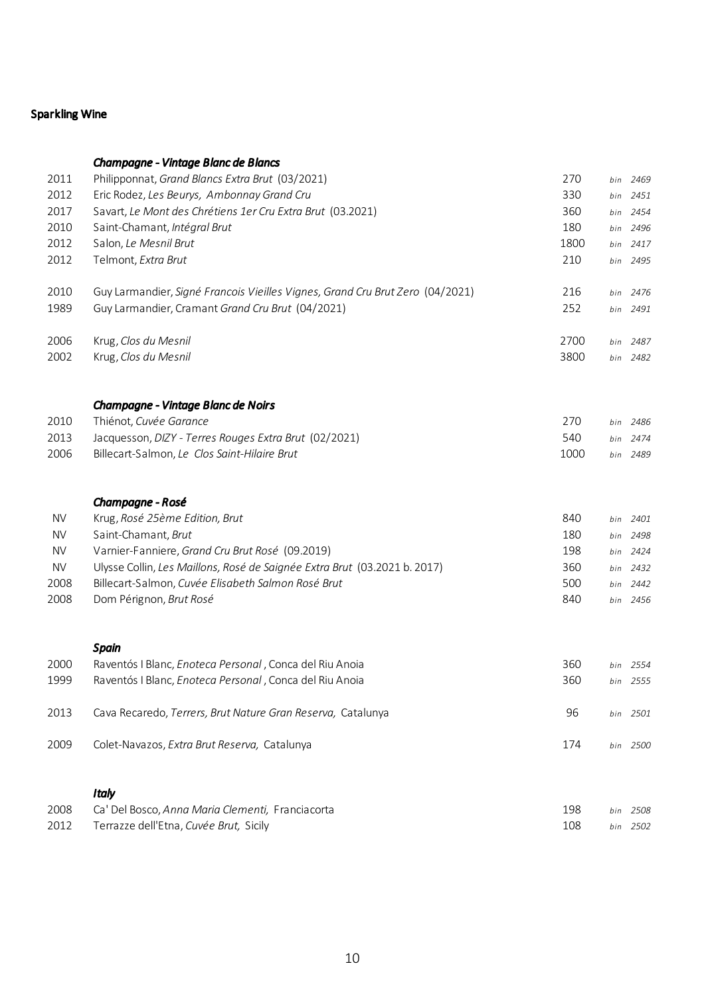# Sparkling Wine

|           | Champagne - Vintage Blanc de Blancs                                           |      |     |          |
|-----------|-------------------------------------------------------------------------------|------|-----|----------|
| 2011      | Philipponnat, Grand Blancs Extra Brut (03/2021)                               | 270  | bin | 2469     |
| 2012      | Eric Rodez, Les Beurys, Ambonnay Grand Cru                                    | 330  |     | bin 2451 |
| 2017      | Savart, Le Mont des Chrétiens 1er Cru Extra Brut (03.2021)                    | 360  |     | bin 2454 |
| 2010      | Saint-Chamant, Intégral Brut                                                  | 180  | bin | 2496     |
| 2012      | Salon, Le Mesnil Brut                                                         | 1800 | bin | 2417     |
| 2012      | Telmont, Extra Brut                                                           | 210  | bin | 2495     |
| 2010      | Guy Larmandier, Signé Francois Vieilles Vignes, Grand Cru Brut Zero (04/2021) | 216  | bin | 2476     |
| 1989      | Guy Larmandier, Cramant Grand Cru Brut (04/2021)                              | 252  | bin | 2491     |
| 2006      | Krug, Clos du Mesnil                                                          | 2700 | bin | 2487     |
| 2002      | Krug, Clos du Mesnil                                                          | 3800 |     | bin 2482 |
|           | Champagne - Vintage Blanc de Noirs                                            |      |     |          |
| 2010      | Thiénot, Cuvée Garance                                                        | 270  |     | bin 2486 |
| 2013      | Jacquesson, DIZY - Terres Rouges Extra Brut (02/2021)                         | 540  | bin | 2474     |
| 2006      | Billecart-Salmon, Le Clos Saint-Hilaire Brut                                  | 1000 |     | bin 2489 |
|           | Champagne - Rosé                                                              |      |     |          |
| <b>NV</b> | Krug, Rosé 25ème Edition, Brut                                                | 840  | bin | 2401     |
| <b>NV</b> | Saint-Chamant, Brut                                                           | 180  |     | bin 2498 |
| <b>NV</b> | Varnier-Fanniere, Grand Cru Brut Rosé (09.2019)                               | 198  |     | bin 2424 |
| <b>NV</b> | Ulysse Collin, Les Maillons, Rosé de Saignée Extra Brut (03.2021 b. 2017)     | 360  |     | bin 2432 |
| 2008      | Billecart-Salmon, Cuvée Elisabeth Salmon Rosé Brut                            | 500  |     | bin 2442 |
| 2008      | Dom Pérignon, Brut Rosé                                                       | 840  |     | bin 2456 |
|           | <b>Spain</b>                                                                  |      |     |          |
| 2000      | Raventós I Blanc, Enoteca Personal, Conca del Riu Anoia                       | 360  |     | bin 2554 |
| 1999      | Raventós I Blanc, Enoteca Personal, Conca del Riu Anoia                       | 360  | bin | 2555     |
| 2013      | Cava Recaredo, Terrers, Brut Nature Gran Reserva, Catalunya                   | 96   | bin | 2501     |
| 2009      | Colet-Navazos, Extra Brut Reserva, Catalunya                                  | 174  |     | bin 2500 |
|           | <b>Italy</b>                                                                  |      |     |          |
| 2008      | Ca' Del Bosco, Anna Maria Clementi, Franciacorta                              | 198  |     | bin 2508 |
| 2012      | Terrazze dell'Etna, Cuvée Brut, Sicily                                        | 108  |     | bin 2502 |
|           |                                                                               |      |     |          |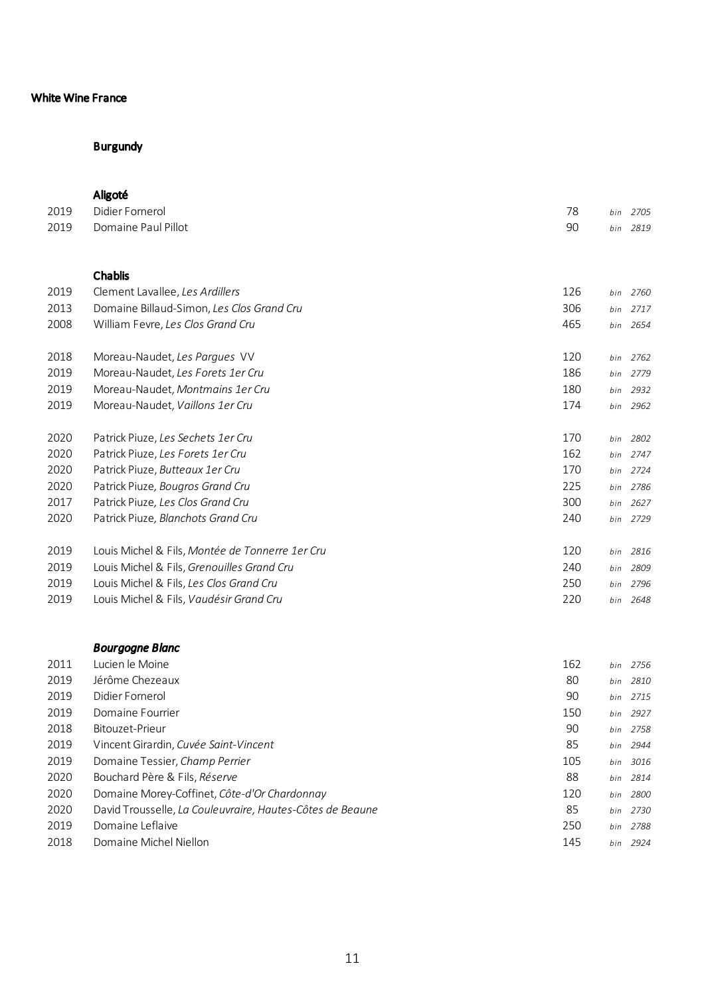# Burgundy

### Aligoté

| 2019 | Didier Fornerol                                 | 78  | bin | 2705     |
|------|-------------------------------------------------|-----|-----|----------|
| 2019 | Domaine Paul Pillot                             | 90  | bin | 2819     |
|      |                                                 |     |     |          |
|      | Chablis                                         |     |     |          |
| 2019 | Clement Lavallee, Les Ardillers                 | 126 | bin | 2760     |
|      |                                                 |     |     |          |
| 2013 | Domaine Billaud-Simon, Les Clos Grand Cru       | 306 | bin | 2717     |
| 2008 | William Fevre, Les Clos Grand Cru               | 465 | bin | 2654     |
| 2018 | Moreau-Naudet, Les Parques VV                   | 120 | bin | 2762     |
| 2019 | Moreau-Naudet, Les Forets 1er Cru               | 186 | bin | 2779     |
| 2019 | Moreau-Naudet, Montmains 1er Cru                | 180 | bin | 2932     |
| 2019 | Moreau-Naudet, Vaillons 1er Cru                 | 174 |     | bin 2962 |
|      |                                                 |     |     |          |
| 2020 | Patrick Piuze, Les Sechets 1er Cru              | 170 | bin | 2802     |
| 2020 | Patrick Piuze, Les Forets 1er Cru               | 162 | bin | 2747     |
| 2020 | Patrick Piuze, Butteaux 1er Cru                 | 170 | bin | 2724     |
| 2020 | Patrick Piuze, Bougros Grand Cru                | 225 | bin | 2786     |
| 2017 | Patrick Piuze, Les Clos Grand Cru               | 300 | bin | 2627     |
| 2020 | Patrick Piuze, Blanchots Grand Cru              | 240 |     | bin 2729 |
|      |                                                 |     |     |          |
| 2019 | Louis Michel & Fils, Montée de Tonnerre 1er Cru | 120 | bin | 2816     |
| 2019 | Louis Michel & Fils, Grenouilles Grand Cru      | 240 | bin | 2809     |
| 2019 | Louis Michel & Fils, Les Clos Grand Cru         | 250 | bin | 2796     |
| 2019 | Louis Michel & Fils, Vaudésir Grand Cru         | 220 | bin | 2648     |

|      | <b>Bourgogne Blanc</b>                                    |     |             |
|------|-----------------------------------------------------------|-----|-------------|
| 2011 | Lucien le Moine                                           | 162 | 2756<br>bin |
| 2019 | Jérôme Chezeaux                                           | 80  | 2810<br>bin |
| 2019 | Didier Fornerol                                           | 90  | 2715<br>bin |
| 2019 | Domaine Fourrier                                          | 150 | 2927<br>bin |
| 2018 | Bitouzet-Prieur                                           | 90  | 2758<br>bin |
| 2019 | Vincent Girardin, Cuvée Saint-Vincent                     | 85  | 2944<br>bin |
| 2019 | Domaine Tessier, Champ Perrier                            | 105 | 3016<br>bin |
| 2020 | Bouchard Père & Fils, Réserve                             | 88  | 2814<br>bin |
| 2020 | Domaine Morey-Coffinet, Côte-d'Or Chardonnay              | 120 | 2800<br>bin |
| 2020 | David Trousselle, La Couleuvraire, Hautes-Côtes de Beaune | 85  | 2730<br>bin |
| 2019 | Domaine Leflaive                                          | 250 | 2788<br>bin |
| 2018 | Domaine Michel Niellon                                    | 145 | 2924<br>bin |
|      |                                                           |     |             |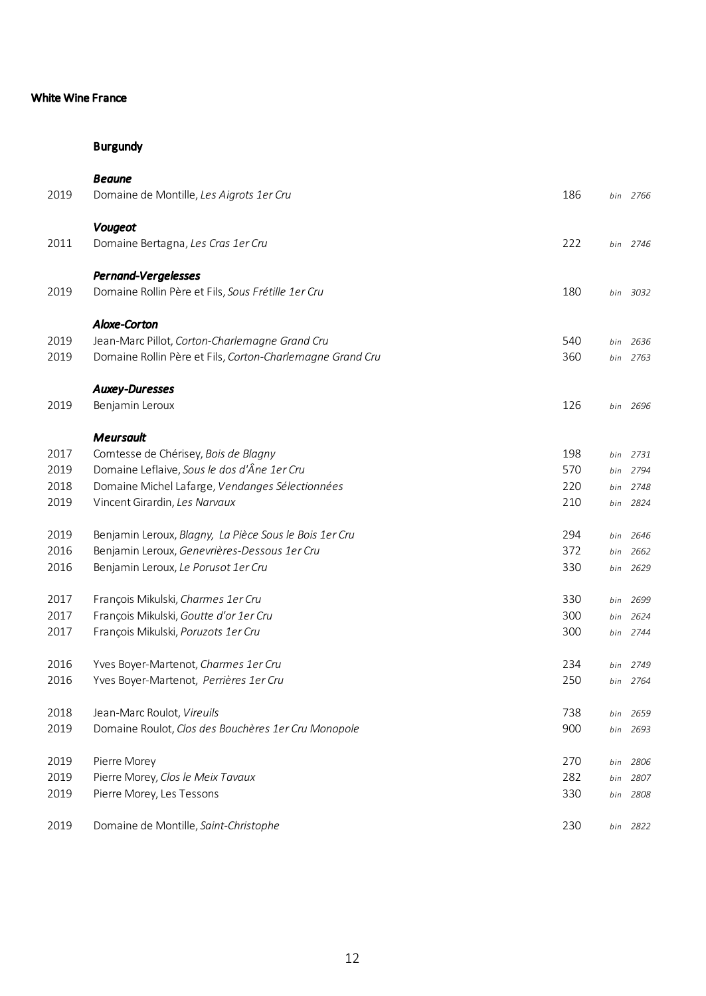|      | <b>Beaune</b>                                             |     |     |          |
|------|-----------------------------------------------------------|-----|-----|----------|
| 2019 | Domaine de Montille, Les Aigrots 1er Cru                  | 186 |     | bin 2766 |
|      | Vougeot                                                   |     |     |          |
| 2011 | Domaine Bertagna, Les Cras 1er Cru                        | 222 |     | bin 2746 |
|      | Pernand-Vergelesses                                       |     |     |          |
| 2019 | Domaine Rollin Père et Fils, Sous Frétille 1er Cru        | 180 |     | bin 3032 |
|      | <b>Aloxe-Corton</b>                                       |     |     |          |
| 2019 | Jean-Marc Pillot, Corton-Charlemagne Grand Cru            | 540 |     | bin 2636 |
| 2019 | Domaine Rollin Père et Fils, Corton-Charlemagne Grand Cru | 360 |     | bin 2763 |
|      | <b>Auxey-Duresses</b>                                     |     |     |          |
| 2019 | Benjamin Leroux                                           | 126 |     | bin 2696 |
|      | Meursault                                                 |     |     |          |
| 2017 | Comtesse de Chérisey, Bois de Blagny                      | 198 | bin | 2731     |
| 2019 | Domaine Leflaive, Sous le dos d'Âne 1er Cru               | 570 | bin | 2794     |
| 2018 | Domaine Michel Lafarge, Vendanges Sélectionnées           | 220 |     | bin 2748 |
| 2019 | Vincent Girardin, Les Narvaux                             | 210 | bin | 2824     |
| 2019 | Benjamin Leroux, Blagny, La Pièce Sous le Bois 1er Cru    | 294 |     | bin 2646 |
| 2016 | Benjamin Leroux, Genevrières-Dessous 1er Cru              | 372 | bin | 2662     |
| 2016 | Benjamin Leroux, Le Porusot 1er Cru                       | 330 |     | bin 2629 |
| 2017 | François Mikulski, Charmes 1er Cru                        | 330 | bin | 2699     |
| 2017 | François Mikulski, Goutte d'or 1er Cru                    | 300 | bin | 2624     |
| 2017 | François Mikulski, Poruzots 1er Cru                       | 300 |     | bin 2744 |
| 2016 | Yves Boyer-Martenot, Charmes 1er Cru                      | 234 | bin | 2749     |
| 2016 | Yves Boyer-Martenot, Perrières 1er Cru                    | 250 | bin | 2764     |
| 2018 | Jean-Marc Roulot, Vireuils                                | 738 | bin | 2659     |
| 2019 | Domaine Roulot, Clos des Bouchères 1er Cru Monopole       | 900 | bin | 2693     |
| 2019 | Pierre Morey                                              | 270 | bin | 2806     |
| 2019 | Pierre Morey, Clos le Meix Tavaux                         | 282 | bin | 2807     |
| 2019 | Pierre Morey, Les Tessons                                 | 330 | bin | 2808     |
| 2019 | Domaine de Montille, Saint-Christophe                     | 230 |     | bin 2822 |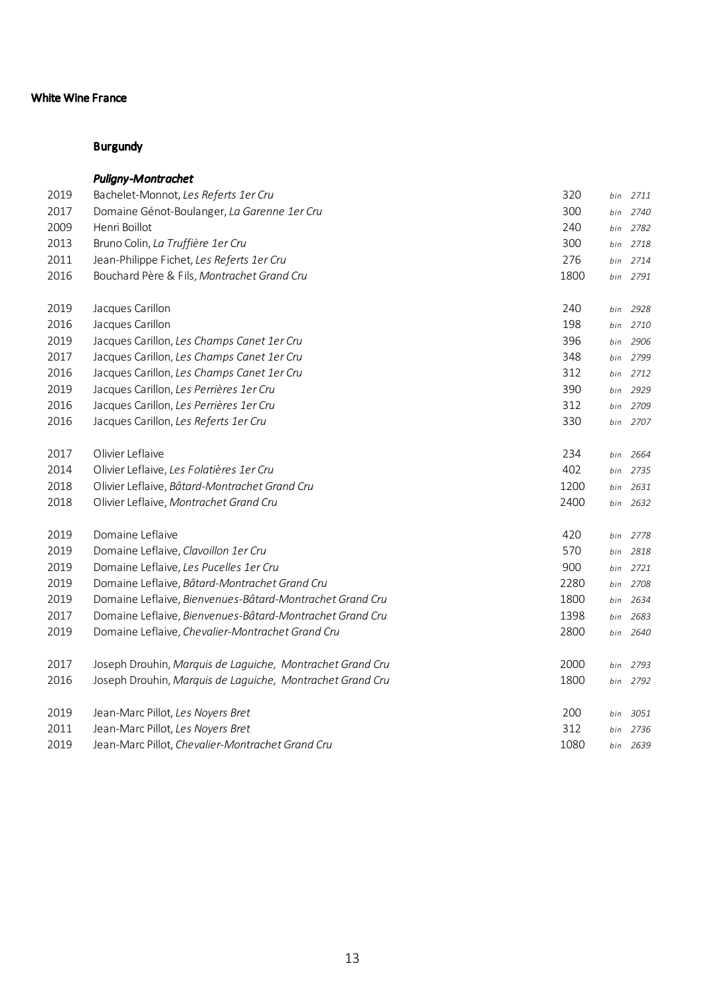|      | <b>Puligny-Montrachet</b>                                 |      |     |          |
|------|-----------------------------------------------------------|------|-----|----------|
| 2019 | Bachelet-Monnot, Les Referts 1er Cru                      | 320  |     | bin 2711 |
| 2017 | Domaine Génot-Boulanger, La Garenne 1er Cru               | 300  | bin | 2740     |
| 2009 | Henri Boillot                                             | 240  | bin | 2782     |
| 2013 | Bruno Colin, La Truffière 1er Cru                         | 300  | bin | 2718     |
| 2011 | Jean-Philippe Fichet, Les Referts 1er Cru                 | 276  | bin | 2714     |
| 2016 | Bouchard Père & Fils, Montrachet Grand Cru                | 1800 |     | bin 2791 |
| 2019 | Jacques Carillon                                          | 240  | bin | 2928     |
| 2016 | Jacques Carillon                                          | 198  | bin | 2710     |
| 2019 | Jacques Carillon, Les Champs Canet 1er Cru                | 396  | bin | 2906     |
| 2017 | Jacques Carillon, Les Champs Canet 1er Cru                | 348  |     | bin 2799 |
| 2016 | Jacques Carillon, Les Champs Canet 1er Cru                | 312  |     | bin 2712 |
| 2019 | Jacques Carillon, Les Perrières 1er Cru                   | 390  | bin | 2929     |
| 2016 | Jacques Carillon, Les Perrières 1er Cru                   | 312  | bin | 2709     |
| 2016 | Jacques Carillon, Les Referts 1er Cru                     | 330  | bin | 2707     |
| 2017 | Olivier Leflaive                                          | 234  | bin | 2664     |
| 2014 | Olivier Leflaive, Les Folatières 1er Cru                  | 402  | bin | 2735     |
| 2018 | Olivier Leflaive, Bâtard-Montrachet Grand Cru             | 1200 | bin | 2631     |
| 2018 | Olivier Leflaive, Montrachet Grand Cru                    | 2400 | bin | 2632     |
| 2019 | Domaine Leflaive                                          | 420  | bin | 2778     |
| 2019 | Domaine Leflaive, Clavoillon 1er Cru                      | 570  | bin | 2818     |
| 2019 | Domaine Leflaive, Les Pucelles 1er Cru                    | 900  | bin | 2721     |
| 2019 | Domaine Leflaive, Bâtard-Montrachet Grand Cru             | 2280 |     | bin 2708 |
| 2019 | Domaine Leflaive, Bienvenues-Bâtard-Montrachet Grand Cru  | 1800 | bin | 2634     |
| 2017 | Domaine Leflaive, Bienvenues-Bâtard-Montrachet Grand Cru  | 1398 | bin | 2683     |
| 2019 | Domaine Leflaive, Chevalier-Montrachet Grand Cru          | 2800 | bin | 2640     |
| 2017 | Joseph Drouhin, Marquis de Laguiche, Montrachet Grand Cru | 2000 |     | bin 2793 |
| 2016 | Joseph Drouhin, Marquis de Laguiche, Montrachet Grand Cru | 1800 |     | bin 2792 |
| 2019 | Jean-Marc Pillot, Les Noyers Bret                         | 200  | bin | 3051     |
| 2011 | Jean-Marc Pillot, Les Noyers Bret                         | 312  | bin | 2736     |
| 2019 | Jean-Marc Pillot, Chevalier-Montrachet Grand Cru          | 1080 |     | bin 2639 |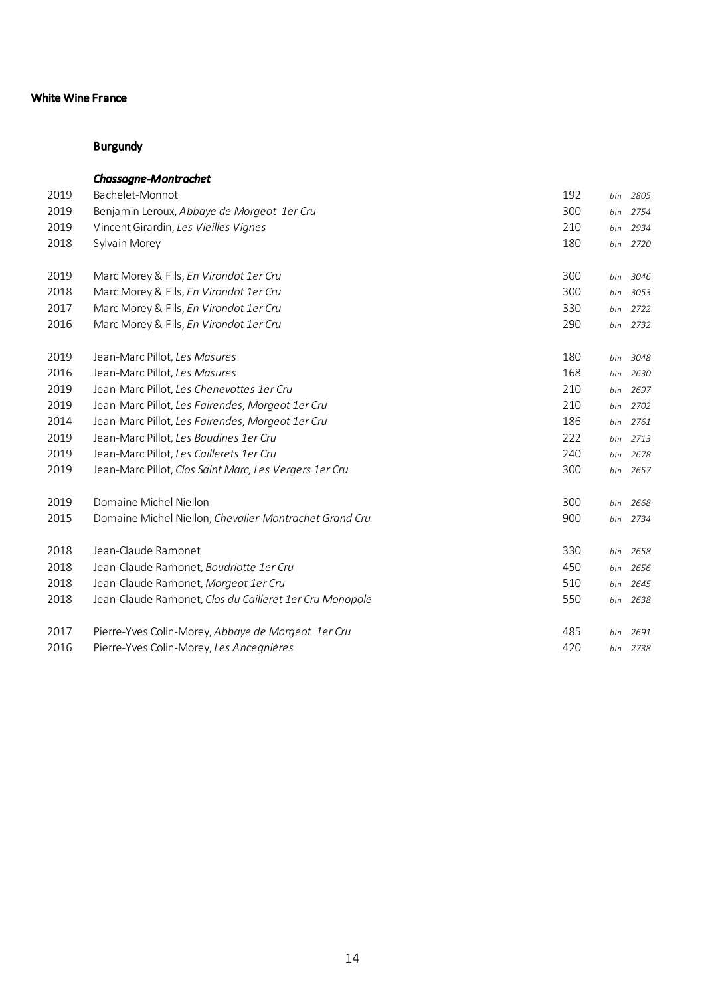|      | <b>Chassagne-Montrachet</b>                             |     |     |          |
|------|---------------------------------------------------------|-----|-----|----------|
| 2019 | Bachelet-Monnot                                         | 192 | bin | 2805     |
| 2019 | Benjamin Leroux, Abbaye de Morgeot 1er Cru              | 300 | bin | 2754     |
| 2019 | Vincent Girardin, Les Vieilles Vignes                   | 210 | bin | 2934     |
| 2018 | Sylvain Morey                                           | 180 |     | bin 2720 |
| 2019 | Marc Morey & Fils, En Virondot 1er Cru                  | 300 | bin | 3046     |
| 2018 | Marc Morey & Fils, En Virondot 1er Cru                  | 300 | bin | 3053     |
| 2017 | Marc Morey & Fils, En Virondot 1er Cru                  | 330 | bin | 2722     |
| 2016 | Marc Morey & Fils, En Virondot 1er Cru                  | 290 |     | bin 2732 |
| 2019 | Jean-Marc Pillot, Les Masures                           | 180 | bin | 3048     |
| 2016 | Jean-Marc Pillot, Les Masures                           | 168 | bin | 2630     |
| 2019 | Jean-Marc Pillot, Les Chenevottes 1er Cru               | 210 | bin | 2697     |
| 2019 | Jean-Marc Pillot, Les Fairendes, Morgeot 1er Cru        | 210 | bin | 2702     |
| 2014 | Jean-Marc Pillot, Les Fairendes, Morgeot 1er Cru        | 186 | bin | 2761     |
| 2019 | Jean-Marc Pillot, Les Baudines 1er Cru                  | 222 |     | bin 2713 |
| 2019 | Jean-Marc Pillot, Les Caillerets 1er Cru                | 240 | bin | 2678     |
| 2019 | Jean-Marc Pillot, Clos Saint Marc, Les Vergers 1er Cru  | 300 |     | bin 2657 |
| 2019 | Domaine Michel Niellon                                  | 300 |     | bin 2668 |
| 2015 | Domaine Michel Niellon, Chevalier-Montrachet Grand Cru  | 900 | bin | 2734     |
| 2018 | Jean-Claude Ramonet                                     | 330 | bin | 2658     |
| 2018 | Jean-Claude Ramonet, Boudriotte 1er Cru                 | 450 |     | bin 2656 |
| 2018 | Jean-Claude Ramonet, Morgeot 1er Cru                    | 510 | bin | 2645     |
| 2018 | Jean-Claude Ramonet, Clos du Cailleret 1er Cru Monopole | 550 |     | bin 2638 |
| 2017 | Pierre-Yves Colin-Morey, Abbaye de Morgeot 1er Cru      | 485 |     | bin 2691 |
| 2016 | Pierre-Yves Colin-Morey, Les Ancegnières                | 420 |     | bin 2738 |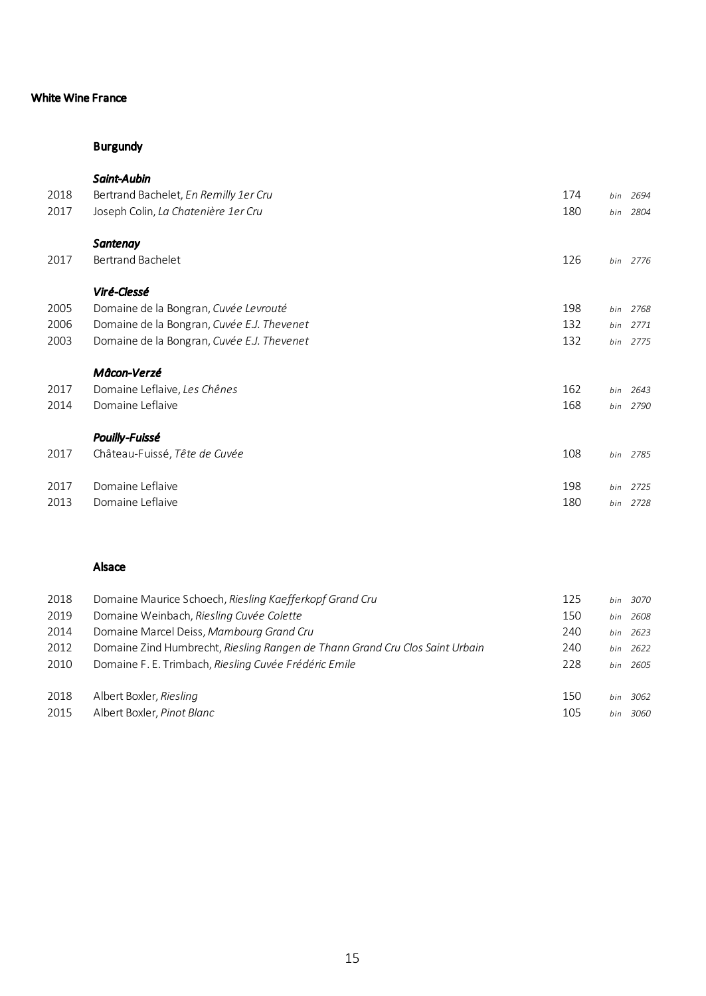# Burgundy

# *Saint-Aubin*

| 2018 | Bertrand Bachelet, En Remilly 1er Cru      | 174 |     | bin 2694 |
|------|--------------------------------------------|-----|-----|----------|
| 2017 | Joseph Colin, La Chatenière 1er Cru        | 180 | bin | 2804     |
|      | Santenay                                   |     |     |          |
| 2017 | Bertrand Bachelet                          | 126 |     | bin 2776 |
|      | Viré-Clessé                                |     |     |          |
| 2005 | Domaine de la Bongran, Cuvée Levrouté      | 198 |     | bin 2768 |
| 2006 | Domaine de la Bongran, Cuvée E.J. Thevenet | 132 | bin | 2771     |
| 2003 | Domaine de la Bongran, Cuvée E.J. Thevenet | 132 |     | bin 2775 |
|      | Mâcon-Verzé                                |     |     |          |
| 2017 | Domaine Leflaive, Les Chênes               | 162 | bin | 2643     |
| 2014 | Domaine Leflaive                           | 168 |     | bin 2790 |
|      | <b>Pouilly-Fuissé</b>                      |     |     |          |
| 2017 | Château-Fuissé, Tête de Cuvée              | 108 |     | bin 2785 |
| 2017 | Domaine Leflaive                           | 198 | bin | 2725     |
| 2013 | Domaine Leflaive                           | 180 | bin | 2728     |

## Alsace

| 2018 | Domaine Maurice Schoech, Riesling Kaefferkopf Grand Cru                      | 125 | bin | 3070     |
|------|------------------------------------------------------------------------------|-----|-----|----------|
| 2019 | Domaine Weinbach, Riesling Cuvée Colette                                     | 150 | bin | 2608     |
| 2014 | Domaine Marcel Deiss, Mambourg Grand Cru                                     | 240 |     | bin 2623 |
| 2012 | Domaine Zind Humbrecht, Riesling Rangen de Thann Grand Cru Clos Saint Urbain | 240 | hin | 2622     |
| 2010 | Domaine F. E. Trimbach, Riesling Cuvée Frédéric Emile                        | 228 |     | hin 2605 |
|      |                                                                              |     |     |          |
| 2018 | Albert Boxler, Riesling                                                      | 150 | hin | 3062     |
| 2015 | Albert Boxler, Pinot Blanc                                                   | 105 | hin | 3060     |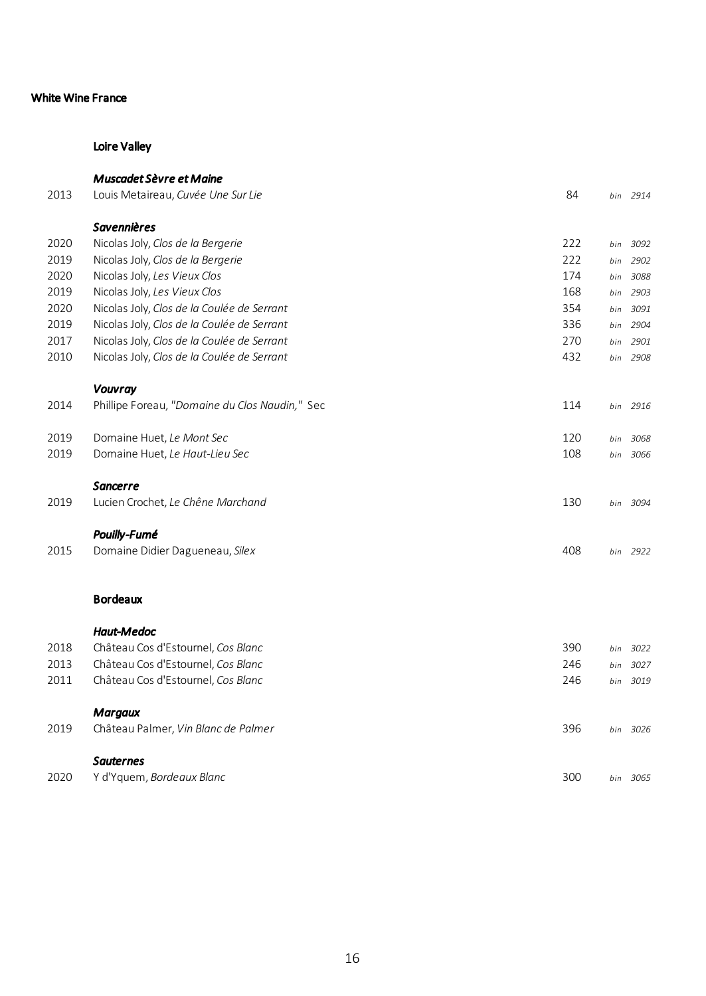# Loire Valley

| 2013 | <b>Muscadet Sèvre et Maine</b><br>Louis Metaireau, Cuvée Une Sur Lie | 84  |     | bin 2914 |
|------|----------------------------------------------------------------------|-----|-----|----------|
|      | <b>Savennières</b>                                                   |     |     |          |
| 2020 | Nicolas Joly, Clos de la Bergerie                                    | 222 | bin | 3092     |
| 2019 | Nicolas Joly, Clos de la Bergerie                                    | 222 | bin | 2902     |
| 2020 | Nicolas Joly, Les Vieux Clos                                         | 174 | bin | 3088     |
| 2019 | Nicolas Joly, Les Vieux Clos                                         | 168 | bin | 2903     |
| 2020 | Nicolas Joly, Clos de la Coulée de Serrant                           | 354 | bin | 3091     |
| 2019 | Nicolas Joly, Clos de la Coulée de Serrant                           | 336 | bin | 2904     |
| 2017 | Nicolas Joly, Clos de la Coulée de Serrant                           | 270 | bin | 2901     |
| 2010 | Nicolas Joly, Clos de la Coulée de Serrant                           | 432 |     | bin 2908 |
|      |                                                                      |     |     |          |
|      | Vouvray                                                              |     |     |          |
| 2014 | Phillipe Foreau, "Domaine du Clos Naudin," Sec                       | 114 | bin | 2916     |
|      |                                                                      |     |     |          |
| 2019 | Domaine Huet, Le Mont Sec                                            | 120 | bin | 3068     |
| 2019 | Domaine Huet, Le Haut-Lieu Sec                                       | 108 | bin | 3066     |
|      | Sancerre                                                             |     |     |          |
| 2019 | Lucien Crochet, Le Chêne Marchand                                    | 130 | bin | 3094     |
|      |                                                                      |     |     |          |
|      | Pouilly-Fumé                                                         |     |     |          |
| 2015 | Domaine Didier Dagueneau, Silex                                      | 408 |     | bin 2922 |
|      |                                                                      |     |     |          |
|      | <b>Bordeaux</b>                                                      |     |     |          |
|      | <b>Haut-Medoc</b>                                                    |     |     |          |
| 2018 | Château Cos d'Estournel, Cos Blanc                                   | 390 | bin | 3022     |
| 2013 | Château Cos d'Estournel, Cos Blanc                                   | 246 | bin | 3027     |
| 2011 | Château Cos d'Estournel, Cos Blanc                                   | 246 | bin | 3019     |
|      |                                                                      |     |     |          |
|      | <b>Margaux</b>                                                       |     |     |          |
| 2019 | Château Palmer, Vin Blanc de Palmer                                  | 396 |     | bin 3026 |
|      | <b>Sauternes</b>                                                     |     |     |          |
| 2020 | Y d'Yquem, Bordeaux Blanc                                            | 300 |     | bin 3065 |
|      |                                                                      |     |     |          |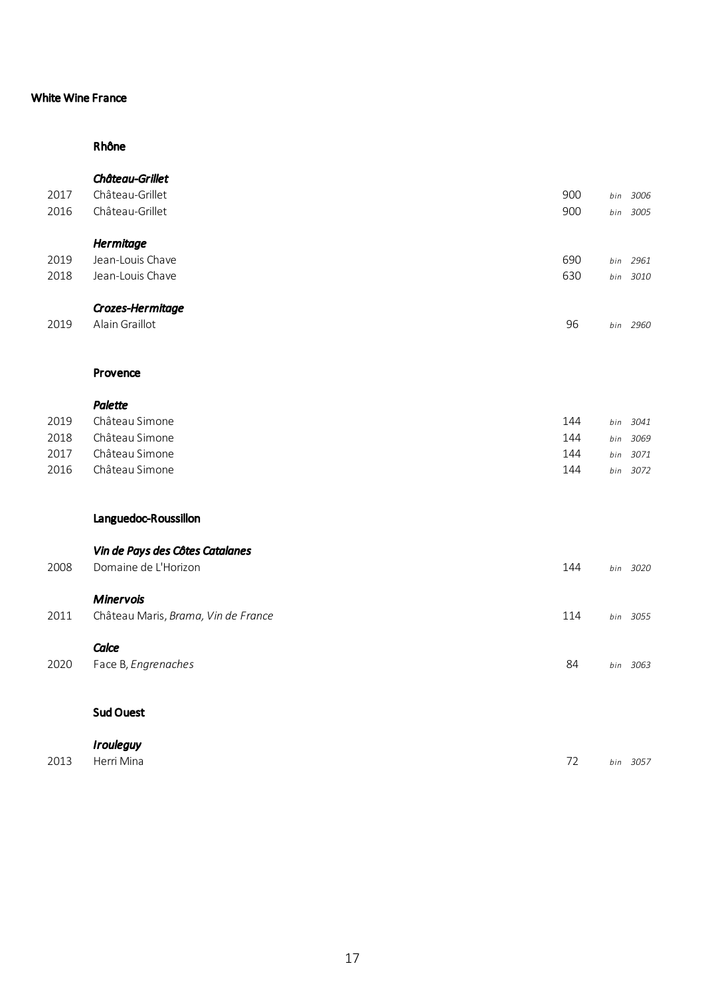# Rhône

|      | Château-Grillet                     |     |     |          |
|------|-------------------------------------|-----|-----|----------|
| 2017 | Château-Grillet                     | 900 | bin | 3006     |
| 2016 | Château-Grillet                     | 900 | bin | 3005     |
|      | Hermitage                           |     |     |          |
| 2019 | Jean-Louis Chave                    | 690 | bin | 2961     |
| 2018 | Jean-Louis Chave                    | 630 | bin | 3010     |
|      | Crozes-Hermitage                    |     |     |          |
| 2019 | Alain Graillot                      | 96  |     | bin 2960 |
|      | Provence                            |     |     |          |
|      |                                     |     |     |          |
|      | <b>Palette</b>                      |     |     |          |
| 2019 | Château Simone                      | 144 | bin | 3041     |
| 2018 | Château Simone                      | 144 | bin | 3069     |
| 2017 | Château Simone                      | 144 | bin | 3071     |
| 2016 | Château Simone                      | 144 | bin | 3072     |
|      | Languedoc-Roussillon                |     |     |          |
|      | Vin de Pays des Côtes Catalanes     |     |     |          |
| 2008 | Domaine de L'Horizon                | 144 |     | bin 3020 |
|      | <b>Minervois</b>                    |     |     |          |
| 2011 | Château Maris, Brama, Vin de France | 114 | bin | 3055     |
|      | Calce                               |     |     |          |
| 2020 | Face B, Engrenaches                 | 84  |     | bin 3063 |
|      | <b>Sud Ouest</b>                    |     |     |          |
|      | <b>Irouleguy</b>                    |     |     |          |
| 2013 | Herri Mina                          | 72  |     | bin 3057 |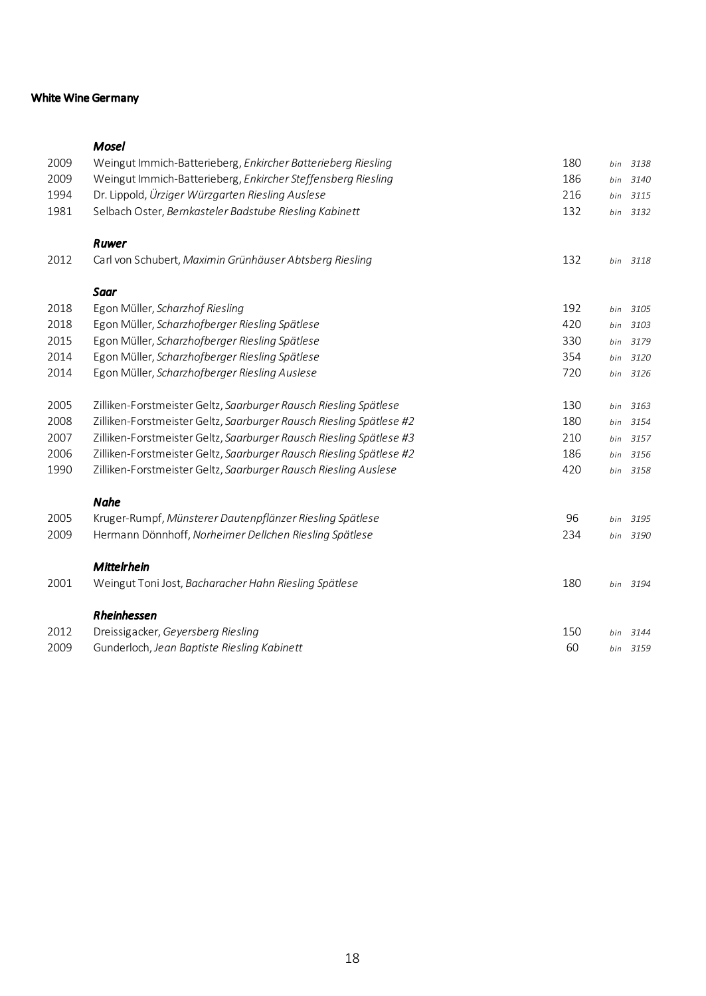#### White Wine Germany

# *Mosel* Weingut Immich-Batterieberg, *Enkircher Batterieberg Riesling* 180 *bin 3138* Weingut Immich-Batterieberg, *Enkircher Steffensberg Riesling* 186 *bin 3140* Dr. Lippold, *Ürziger Würzgarten Riesling Auslese* 216 *bin 3115* Selbach Oster, *Bernkasteler Badstube Riesling Kabinett* 132 *bin 3132 Ruwer* Carl von Schubert, *Maximin Grünhäuser Abtsberg Riesling* 132 *bin 3118 Saar* Egon Müller, *Scharzhof Riesling* 192 *bin 3105* Egon Müller, *Scharzhofberger Riesling Spätlese* 420 *bin 3103* Egon Müller, *Scharzhofberger Riesling Spätlese* 330 *bin 3179* Egon Müller, *Scharzhofberger Riesling Spätlese* 354 *bin 3120* Egon Müller, *Scharzhofberger Riesling Auslese* 720 *bin 3126* Zilliken-Forstmeister Geltz, *Saarburger Rausch Riesling Spätlese* 130 *bin 3163* Zilliken-Forstmeister Geltz, *Saarburger Rausch Riesling Spätlese #2* 180 *bin 3154* Zilliken-Forstmeister Geltz, *Saarburger Rausch Riesling Spätlese #3* 210 *bin 3157* Zilliken-Forstmeister Geltz, *Saarburger Rausch Riesling Spätlese #2* 186 *bin 3156* Zilliken-Forstmeister Geltz, *Saarburger Rausch Riesling Auslese* 420 *bin 3158 Nahe* Kruger-Rumpf, *Münsterer Dautenpflänzer Riesling Spätlese* 96 *bin 3195* Hermann Dönnhoff, *Norheimer Dellchen Riesling Spätlese* 234 *bin 3190 Mittelrhein* Weingut Toni Jost, *Bacharacher Hahn Riesling Spätlese* 180 *bin 3194 Rheinhessen* Dreissigacker, *Geyersberg Riesling* 150 *bin 3144* Gunderloch, *Jean Baptiste Riesling Kabinett* 60 *bin 3159*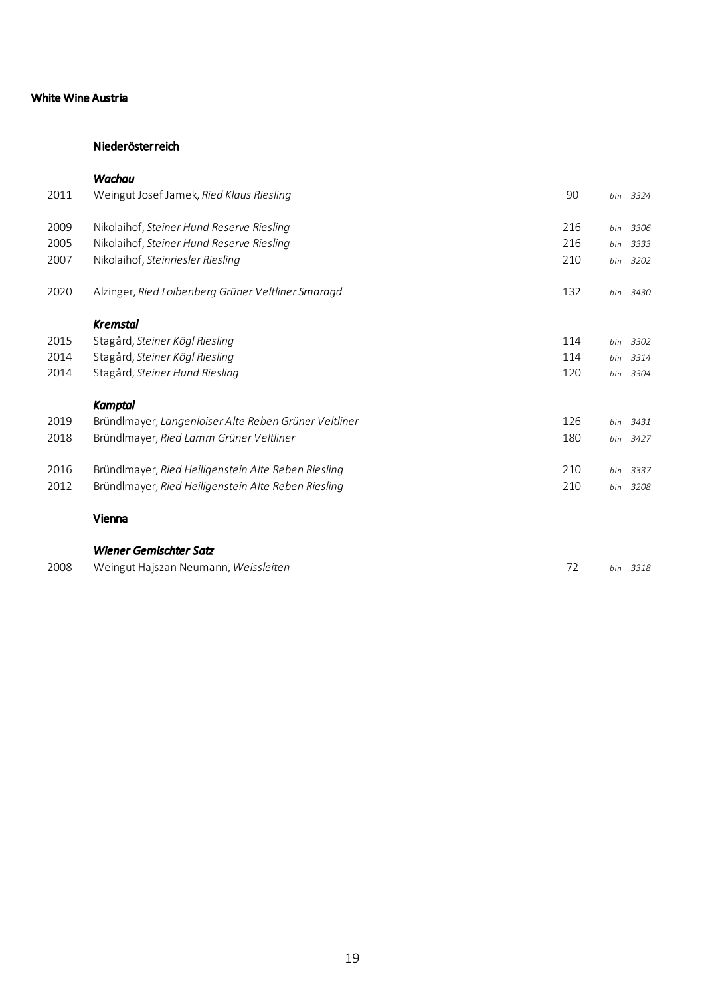## White Wine Austria

### Niederösterreich

| 2011 | Weingut Josef Jamek, Ried Klaus Riesling              | 90  |     | bin 3324 |
|------|-------------------------------------------------------|-----|-----|----------|
| 2009 | Nikolaihof, Steiner Hund Reserve Riesling             | 216 |     | bin 3306 |
| 2005 | Nikolaihof, Steiner Hund Reserve Riesling             | 216 | bin | 3333     |
| 2007 | Nikolaihof, Steinriesler Riesling                     | 210 | bin | 3202     |
| 2020 | Alzinger, Ried Loibenberg Grüner Veltliner Smaragd    | 132 | bin | 3430     |
|      | <b>Kremstal</b>                                       |     |     |          |
| 2015 | Stagård, Steiner Kögl Riesling                        | 114 |     | bin 3302 |
| 2014 | Stagård, Steiner Kögl Riesling                        | 114 |     | bin 3314 |
| 2014 | Stagård, Steiner Hund Riesling                        | 120 |     | bin 3304 |
|      | <b>Kamptal</b>                                        |     |     |          |
| 2019 | Bründlmayer, Langenloiser Alte Reben Grüner Veltliner | 126 | bin | 3431     |
| 2018 | Bründlmayer, Ried Lamm Grüner Veltliner               | 180 | bin | 3427     |
| 2016 | Bründlmayer, Ried Heiligenstein Alte Reben Riesling   | 210 | bin | 3337     |
| 2012 | Bründlmayer, Ried Heiligenstein Alte Reben Riesling   | 210 |     | bin 3208 |
|      | Vienna                                                |     |     |          |
|      | <b>Wiener Gemischter Satz</b>                         |     |     |          |
| 2008 | Weingut Hajszan Neumann, Weissleiten                  | 72  |     | bin 3318 |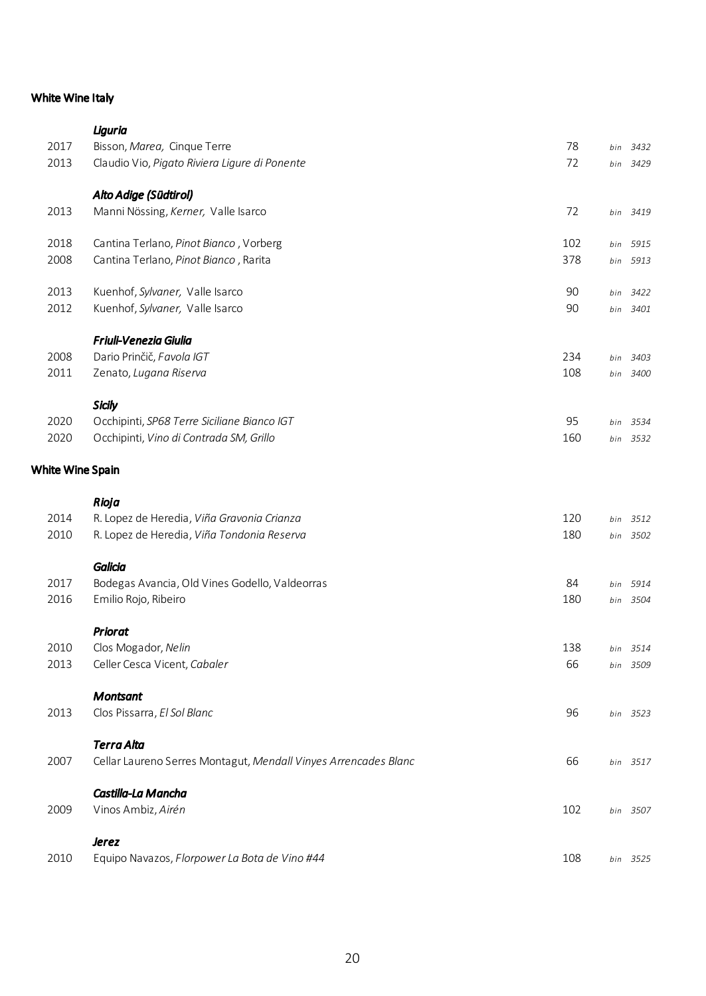## White Wine Italy

|                  | Liguria                                                         |     |     |          |
|------------------|-----------------------------------------------------------------|-----|-----|----------|
| 2017             | Bisson, Marea, Cinque Terre                                     | 78  | bin | 3432     |
| 2013             | Claudio Vio, Pigato Riviera Ligure di Ponente                   | 72  | bin | 3429     |
|                  | Alto Adige (Südtirol)                                           |     |     |          |
| 2013             | Manni Nössing, Kerner, Valle Isarco                             | 72  |     | bin 3419 |
| 2018             | Cantina Terlano, Pinot Bianco, Vorberg                          | 102 | bin | 5915     |
| 2008             | Cantina Terlano, Pinot Bianco, Rarita                           | 378 | bin | 5913     |
| 2013             | Kuenhof, Sylvaner, Valle Isarco                                 | 90  | bin | 3422     |
| 2012             | Kuenhof, Sylvaner, Valle Isarco                                 | 90  |     | bin 3401 |
|                  | <b>Friuli-Venezia Giulia</b>                                    |     |     |          |
| 2008             | Dario Prinčič, Favola IGT                                       | 234 | bin | 3403     |
| 2011             | Zenato, Lugana Riserva                                          | 108 |     | bin 3400 |
|                  | <b>Sicily</b>                                                   |     |     |          |
| 2020             | Occhipinti, SP68 Terre Siciliane Bianco IGT                     | 95  |     | bin 3534 |
| 2020             | Occhipinti, Vino di Contrada SM, Grillo                         | 160 |     | bin 3532 |
| White Wine Spain |                                                                 |     |     |          |
|                  | Rioja                                                           |     |     |          |
| 2014             | R. Lopez de Heredia, Viña Gravonia Crianza                      | 120 | bin | 3512     |
| 2010             | R. Lopez de Heredia, Viña Tondonia Reserva                      | 180 |     | bin 3502 |
|                  | <b>Galicia</b>                                                  |     |     |          |
| 2017             | Bodegas Avancia, Old Vines Godello, Valdeorras                  | 84  | bin | 5914     |
| 2016             | Emilio Rojo, Ribeiro                                            | 180 |     | bin 3504 |
|                  | <b>Priorat</b>                                                  |     |     |          |
| 2010             | Clos Mogador, Nelin                                             | 138 | bin | 3514     |
| 2013             | Celler Cesca Vicent, Cabaler                                    | 66  |     | bin 3509 |
|                  | <b>Montsant</b>                                                 |     |     |          |
| 2013             | Clos Pissarra, El Sol Blanc                                     | 96  |     | bin 3523 |
|                  | <b>Terra Alta</b>                                               |     |     |          |
| 2007             | Cellar Laureno Serres Montagut, Mendall Vinyes Arrencades Blanc | 66  |     | bin 3517 |
|                  | Castilla-La Mancha                                              |     |     |          |
| 2009             | Vinos Ambiz, Airén                                              | 102 |     | bin 3507 |
|                  | <b>Jerez</b>                                                    |     |     |          |
| 2010             | Equipo Navazos, Florpower La Bota de Vino #44                   | 108 |     | bin 3525 |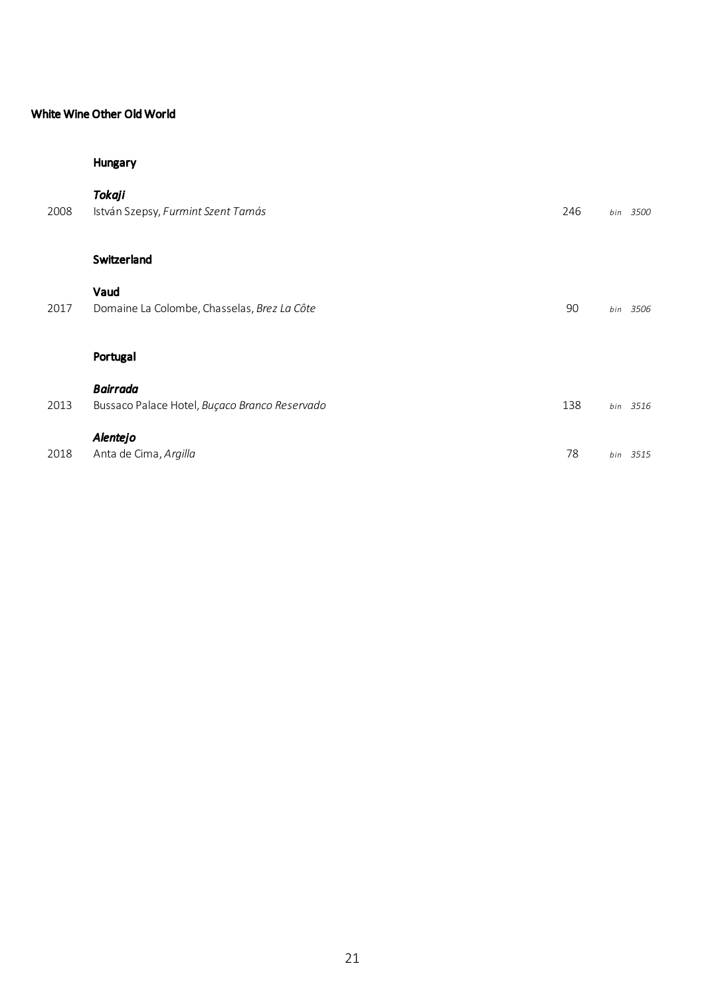## White Wine Other Old World

## Hungary

| 2008 | <b>Tokaji</b><br>István Szepsy, Furmint Szent Tamás              | 246 |     | bin 3500 |
|------|------------------------------------------------------------------|-----|-----|----------|
|      | Switzerland                                                      |     |     |          |
| 2017 | Vaud<br>Domaine La Colombe, Chasselas, Brez La Côte              | 90  |     | bin 3506 |
|      | Portugal                                                         |     |     |          |
| 2013 | <b>Bairrada</b><br>Bussaco Palace Hotel, Buçaco Branco Reservado | 138 |     | bin 3516 |
| 2018 | Alentejo<br>Anta de Cima, Argilla                                | 78  | bin | 3515     |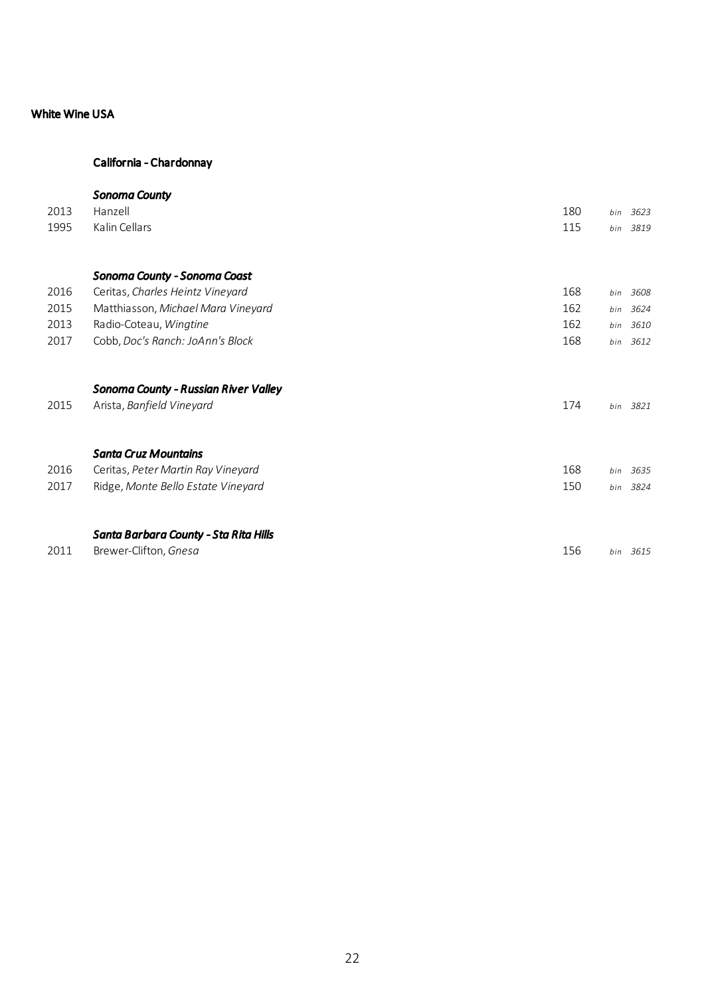### White Wine USA

# California - Chardonnay

# *Sonoma County*

| 2013 | Hanzell                               | 180 | bin | 3623     |
|------|---------------------------------------|-----|-----|----------|
| 1995 | Kalin Cellars                         | 115 |     | bin 3819 |
|      |                                       |     |     |          |
|      | Sonoma County - Sonoma Coast          |     |     |          |
| 2016 | Ceritas, Charles Heintz Vineyard      | 168 | bin | 3608     |
| 2015 | Matthiasson, Michael Mara Vineyard    | 162 | bin | 3624     |
| 2013 | Radio-Coteau, Wingtine                | 162 | bin | 3610     |
| 2017 | Cobb, Doc's Ranch: JoAnn's Block      | 168 | bin | 3612     |
|      | Sonoma County - Russian River Valley  |     |     |          |
| 2015 | Arista, Banfield Vineyard             | 174 |     | bin 3821 |
|      | <b>Santa Cruz Mountains</b>           |     |     |          |
| 2016 | Ceritas, Peter Martin Ray Vineyard    | 168 | bin | 3635     |
| 2017 | Ridge, Monte Bello Estate Vineyard    | 150 | bin | 3824     |
|      | Santa Barbara County - Sta Rita Hills |     |     |          |
| 2011 | Brewer-Clifton, Gnesa                 | 156 |     | bin 3615 |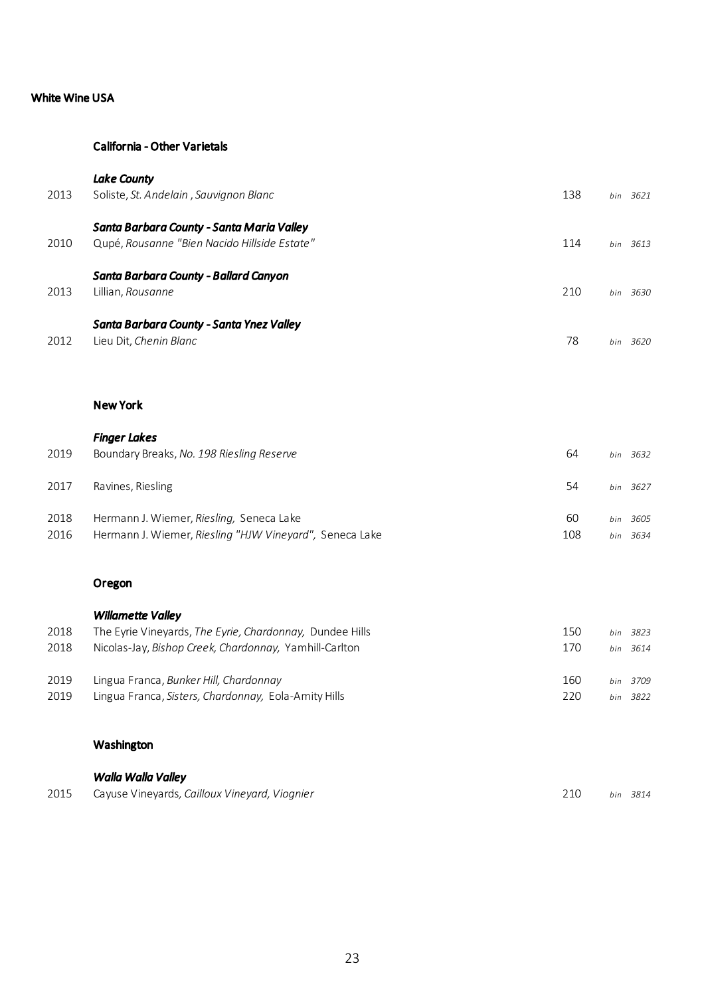## White Wine USA

# *Lake County*

| 2013 | Soliste, St. Andelain, Sauvignon Blanc       | 138 | 3621<br>bin |
|------|----------------------------------------------|-----|-------------|
|      | Santa Barbara County - Santa Maria Valley    |     |             |
| 2010 | Qupé, Rousanne "Bien Nacido Hillside Estate" | 114 | 3613<br>bin |
|      | Santa Barbara County - Ballard Canyon        |     |             |
| 2013 | Lillian, <i>Rousanne</i>                     | 210 | 3630<br>hin |
|      | Santa Barbara County - Santa Ynez Valley     |     |             |
| 2012 | Lieu Dit, Chenin Blanc                       | 78  | 3620<br>hin |

|--|

| 2019         | <b>Finger Lakes</b><br>Boundary Breaks, No. 198 Riesling Reserve                                    | 64        | bin        | 3632         |
|--------------|-----------------------------------------------------------------------------------------------------|-----------|------------|--------------|
| 2017         | Ravines, Riesling                                                                                   | 54        |            | bin 3627     |
| 2018<br>2016 | Hermann J. Wiemer, Riesling, Seneca Lake<br>Hermann J. Wiemer, Riesling "HJW Vineyard", Seneca Lake | 60<br>108 | hin<br>hin | 3605<br>3634 |

### Oregon

|      | <b>Willamette Valley</b>                                 |     |     |          |
|------|----------------------------------------------------------|-----|-----|----------|
| 2018 | The Eyrie Vineyards, The Eyrie, Chardonnay, Dundee Hills | 150 | hin | 3823     |
| 2018 | Nicolas-Jay, Bishop Creek, Chardonnay, Yamhill-Carlton   | 170 |     | bin 3614 |
| 2019 | Lingua Franca, Bunker Hill, Chardonnav                   | 160 | hin | 3709     |
| 2019 | Lingua Franca, Sisters, Chardonnay, Eola-Amity Hills     | 220 | hin | 3822     |

# Washington

|      | Walla Walla Valley                            |  |          |
|------|-----------------------------------------------|--|----------|
| 2015 | Cayuse Vineyards, Cailloux Vineyard, Viognier |  | bin 3814 |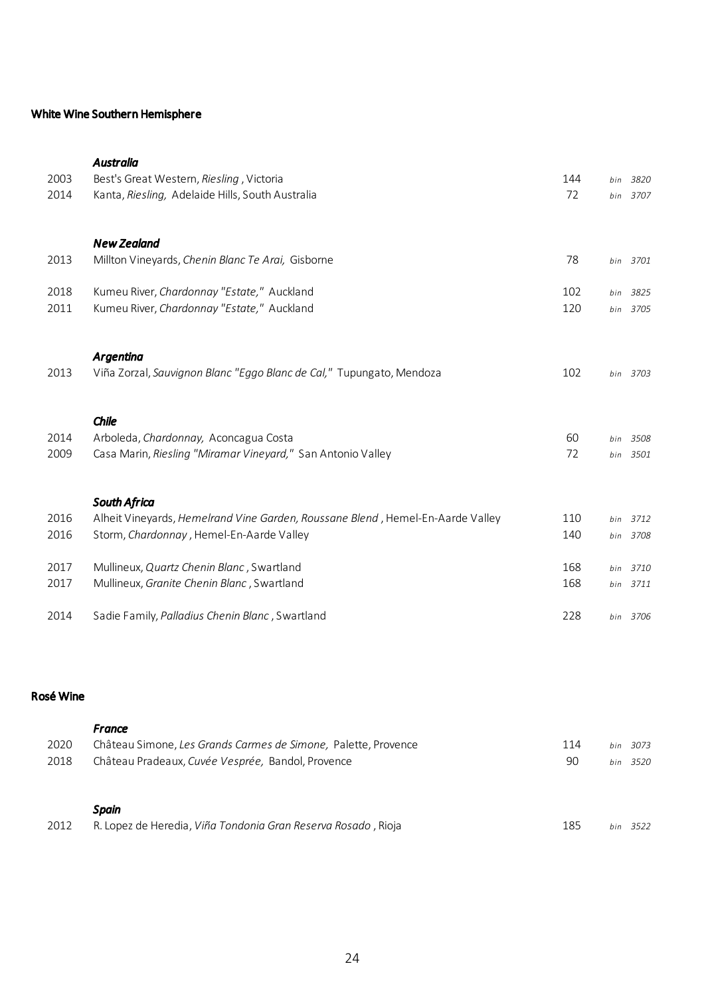## White Wine Southern Hemisphere

| 2003 | <b>Australia</b><br>Best's Great Western, Riesling, Victoria                   | 144 | bin | 3820     |
|------|--------------------------------------------------------------------------------|-----|-----|----------|
| 2014 | Kanta, Riesling, Adelaide Hills, South Australia                               | 72  |     | bin 3707 |
|      | <b>New Zealand</b>                                                             |     |     |          |
| 2013 | Millton Vineyards, Chenin Blanc Te Arai, Gisborne                              | 78  |     | bin 3701 |
| 2018 | Kumeu River, Chardonnay "Estate," Auckland                                     | 102 | bin | 3825     |
| 2011 | Kumeu River, Chardonnay "Estate," Auckland                                     | 120 |     | bin 3705 |
|      | Argentina                                                                      |     |     |          |
| 2013 | Viña Zorzal, Sauvignon Blanc "Eggo Blanc de Cal," Tupungato, Mendoza           | 102 |     | bin 3703 |
|      | Chile                                                                          |     |     |          |
| 2014 | Arboleda, Chardonnay, Aconcagua Costa                                          | 60  |     | bin 3508 |
| 2009 | Casa Marin, Riesling "Miramar Vineyard," San Antonio Valley                    | 72  |     | bin 3501 |
|      | <b>South Africa</b>                                                            |     |     |          |
| 2016 | Alheit Vineyards, Hemelrand Vine Garden, Roussane Blend, Hemel-En-Aarde Valley | 110 |     | bin 3712 |
| 2016 | Storm, Chardonnay, Hemel-En-Aarde Valley                                       | 140 |     | bin 3708 |
| 2017 | Mullineux, Quartz Chenin Blanc, Swartland                                      | 168 |     | bin 3710 |
| 2017 | Mullineux, Granite Chenin Blanc, Swartland                                     | 168 |     | bin 3711 |
| 2014 | Sadie Family, Palladius Chenin Blanc, Swartland                                | 228 |     | bin 3706 |

## Rosé Wine

|      | <b>France</b>                                                  |     |             |
|------|----------------------------------------------------------------|-----|-------------|
| 2020 | Château Simone, Les Grands Carmes de Simone, Palette, Provence | 114 | 3073<br>bin |
| 2018 | Château Pradeaux, Cuvée Vesprée, Bandol, Provence              | 90  | bin 3520    |
|      |                                                                |     |             |
|      |                                                                |     |             |
|      | Spain                                                          |     |             |
| 2012 | R. Lopez de Heredia, Viña Tondonia Gran Reserva Rosado, Rioja  | 185 | 3522<br>hin |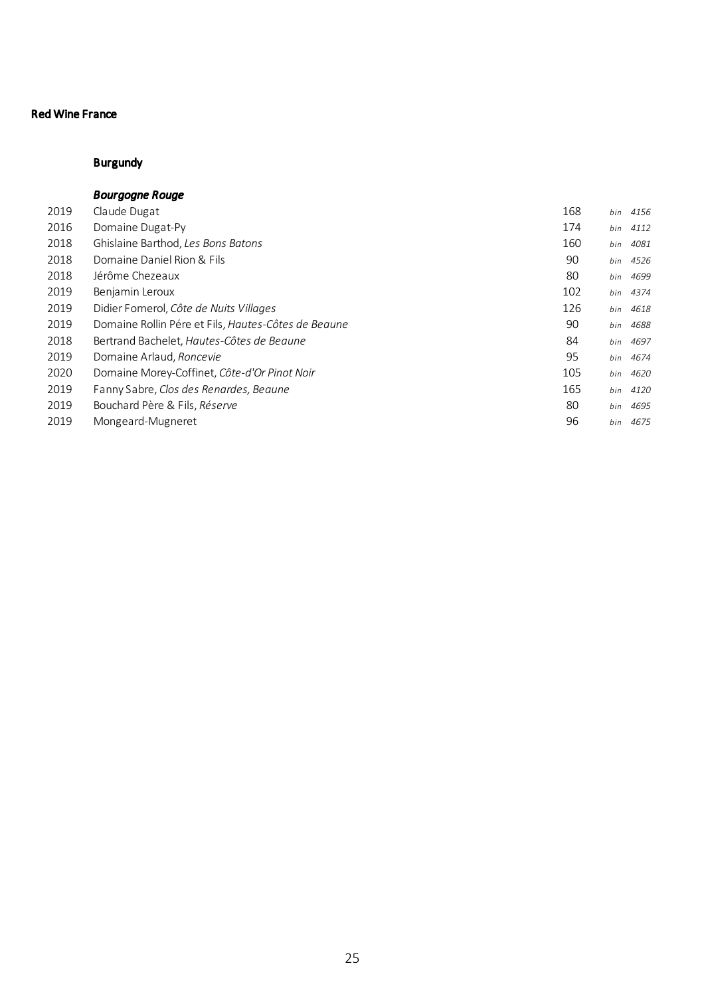# Burgundy

### *Bourgogne Rouge*

| 2019 | Claude Dugat                                        | 168 | bin | 4156 |
|------|-----------------------------------------------------|-----|-----|------|
| 2016 | Domaine Dugat-Py                                    | 174 | bin | 4112 |
| 2018 | Ghislaine Barthod, Les Bons Batons                  | 160 | bin | 4081 |
| 2018 | Domaine Daniel Rion & Fils                          | 90  | bin | 4526 |
| 2018 | Jérôme Chezeaux                                     | 80  | bin | 4699 |
| 2019 | Benjamin Leroux                                     | 102 | bin | 4374 |
| 2019 | Didier Fornerol, Côte de Nuits Villages             | 126 | bin | 4618 |
| 2019 | Domaine Rollin Pére et Fils, Hautes-Côtes de Beaune | 90  | bin | 4688 |
| 2018 | Bertrand Bachelet, Hautes-Côtes de Beaune           | 84  | bin | 4697 |
| 2019 | Domaine Arlaud, Roncevie                            | 95  | bin | 4674 |
| 2020 | Domaine Morey-Coffinet, Côte-d'Or Pinot Noir        | 105 | bin | 4620 |
| 2019 | Fanny Sabre, Clos des Renardes, Beaune              | 165 | bin | 4120 |
| 2019 | Bouchard Père & Fils, Réserve                       | 80  | bin | 4695 |
| 2019 | Mongeard-Mugneret                                   | 96  | bin | 4675 |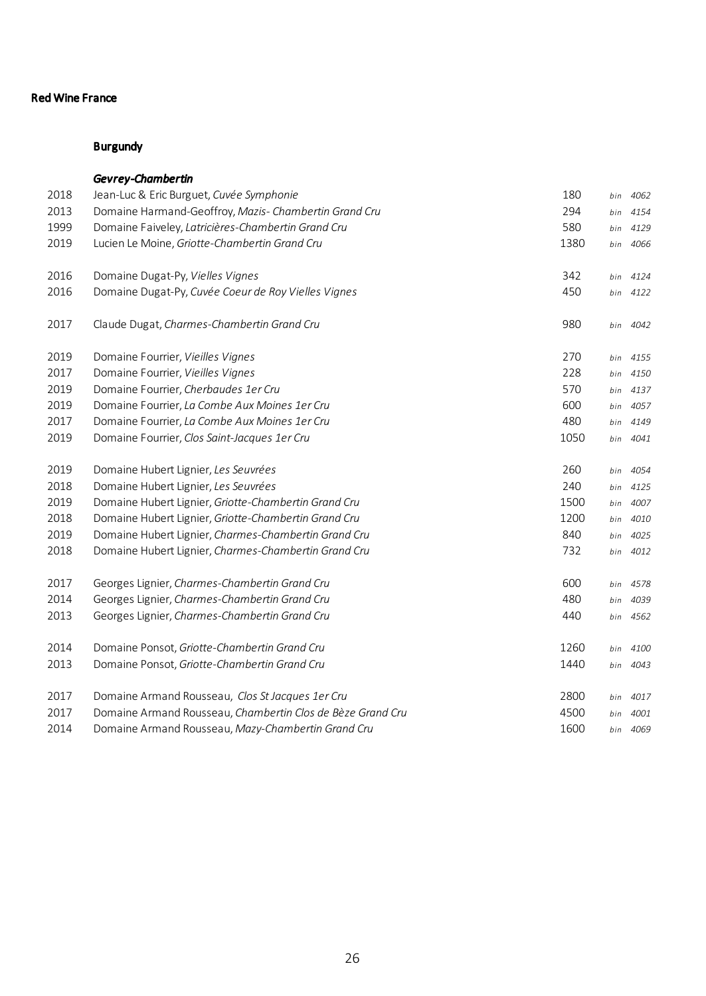|      | Gevrey-Chambertin                                          |      |     |          |
|------|------------------------------------------------------------|------|-----|----------|
| 2018 | Jean-Luc & Eric Burguet, Cuvée Symphonie                   | 180  | bin | 4062     |
| 2013 | Domaine Harmand-Geoffroy, Mazis- Chambertin Grand Cru      | 294  | bin | 4154     |
| 1999 | Domaine Faiveley, Latricières-Chambertin Grand Cru         | 580  | bin | 4129     |
| 2019 | Lucien Le Moine, Griotte-Chambertin Grand Cru              | 1380 | bin | 4066     |
| 2016 | Domaine Dugat-Py, Vielles Vignes                           | 342  | bin | 4124     |
| 2016 | Domaine Dugat-Py, Cuvée Coeur de Roy Vielles Vignes        | 450  |     | bin 4122 |
| 2017 | Claude Dugat, Charmes-Chambertin Grand Cru                 | 980  | bin | 4042     |
| 2019 | Domaine Fourrier, Vieilles Vignes                          | 270  | bin | 4155     |
| 2017 | Domaine Fourrier, Vieilles Vignes                          | 228  | bin | 4150     |
| 2019 | Domaine Fourrier, Cherbaudes 1er Cru                       | 570  |     | bin 4137 |
| 2019 | Domaine Fourrier, La Combe Aux Moines 1er Cru              | 600  | bin | 4057     |
| 2017 | Domaine Fourrier, La Combe Aux Moines 1er Cru              | 480  | bin | 4149     |
| 2019 | Domaine Fourrier, Clos Saint-Jacques 1er Cru               | 1050 | bin | 4041     |
| 2019 | Domaine Hubert Lignier, Les Seuvrées                       | 260  | bin | 4054     |
| 2018 | Domaine Hubert Lignier, Les Seuvrées                       | 240  | bin | 4125     |
| 2019 | Domaine Hubert Lignier, Griotte-Chambertin Grand Cru       | 1500 | bin | 4007     |
| 2018 | Domaine Hubert Lignier, Griotte-Chambertin Grand Cru       | 1200 | bin | 4010     |
| 2019 | Domaine Hubert Lignier, Charmes-Chambertin Grand Cru       | 840  | bin | 4025     |
| 2018 | Domaine Hubert Lignier, Charmes-Chambertin Grand Cru       | 732  | bin | 4012     |
| 2017 | Georges Lignier, Charmes-Chambertin Grand Cru              | 600  | bin | 4578     |
| 2014 | Georges Lignier, Charmes-Chambertin Grand Cru              | 480  | bin | 4039     |
| 2013 | Georges Lignier, Charmes-Chambertin Grand Cru              | 440  |     | bin 4562 |
| 2014 | Domaine Ponsot, Griotte-Chambertin Grand Cru               | 1260 |     | bin 4100 |
| 2013 | Domaine Ponsot, Griotte-Chambertin Grand Cru               | 1440 |     | bin 4043 |
| 2017 | Domaine Armand Rousseau, Clos St Jacques 1er Cru           | 2800 | bin | 4017     |
| 2017 | Domaine Armand Rousseau, Chambertin Clos de Bèze Grand Cru | 4500 | bin | 4001     |
| 2014 | Domaine Armand Rousseau, Mazy-Chambertin Grand Cru         | 1600 |     | bin 4069 |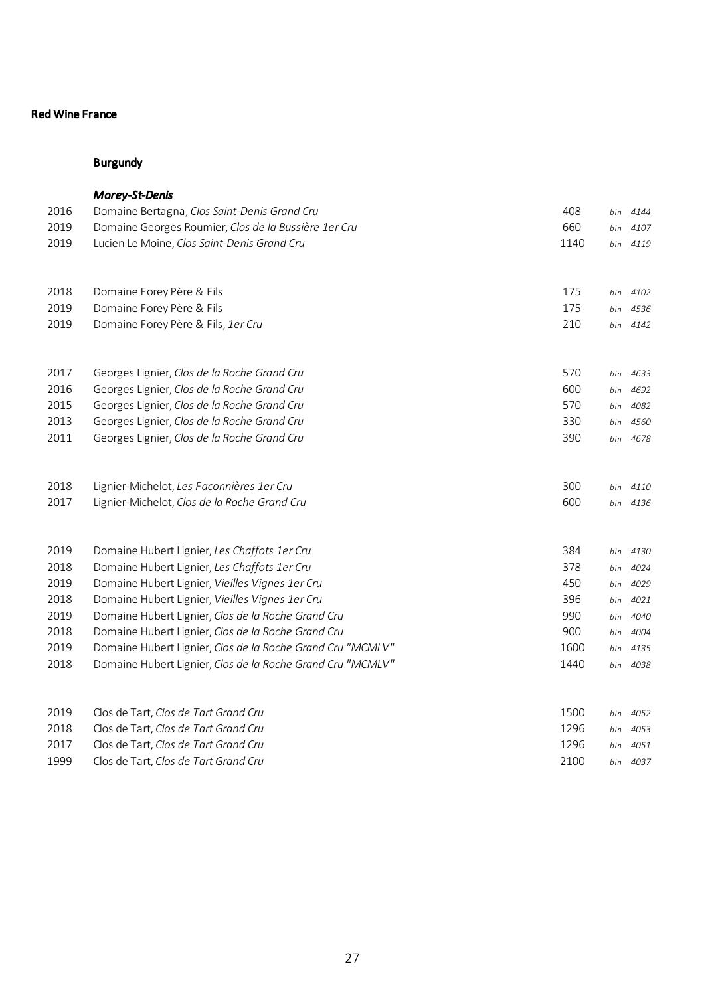|      | <b>Morey-St-Denis</b>                                      |      |     |          |
|------|------------------------------------------------------------|------|-----|----------|
| 2016 | Domaine Bertagna, Clos Saint-Denis Grand Cru               | 408  | bin | 4144     |
| 2019 | Domaine Georges Roumier, Clos de la Bussière 1er Cru       | 660  | bin | 4107     |
| 2019 | Lucien Le Moine, Clos Saint-Denis Grand Cru                | 1140 |     | bin 4119 |
| 2018 | Domaine Forey Père & Fils                                  | 175  |     | bin 4102 |
| 2019 | Domaine Forey Père & Fils                                  | 175  | bin | 4536     |
| 2019 | Domaine Forey Père & Fils, 1er Cru                         | 210  | bin | 4142     |
| 2017 | Georges Lignier, Clos de la Roche Grand Cru                | 570  | bin | 4633     |
| 2016 | Georges Lignier, Clos de la Roche Grand Cru                | 600  | bin | 4692     |
| 2015 | Georges Lignier, Clos de la Roche Grand Cru                | 570  | bin | 4082     |
| 2013 | Georges Lignier, Clos de la Roche Grand Cru                | 330  | bin | 4560     |
| 2011 | Georges Lignier, Clos de la Roche Grand Cru                | 390  |     | bin 4678 |
| 2018 | Lignier-Michelot, Les Faconnières 1er Cru                  | 300  | bin | 4110     |
| 2017 | Lignier-Michelot, Clos de la Roche Grand Cru               | 600  | bin | 4136     |
| 2019 | Domaine Hubert Lignier, Les Chaffots 1er Cru               | 384  | bin | 4130     |
| 2018 | Domaine Hubert Lignier, Les Chaffots 1er Cru               | 378  | bin | 4024     |
| 2019 | Domaine Hubert Lignier, Vieilles Vignes 1er Cru            | 450  | bin | 4029     |
| 2018 | Domaine Hubert Lignier, Vieilles Vignes 1er Cru            | 396  | bin | 4021     |
| 2019 | Domaine Hubert Lignier, Clos de la Roche Grand Cru         | 990  | bin | 4040     |
| 2018 | Domaine Hubert Lignier, Clos de la Roche Grand Cru         | 900  | bin | 4004     |
| 2019 | Domaine Hubert Lignier, Clos de la Roche Grand Cru "MCMLV" | 1600 | bin | 4135     |
| 2018 | Domaine Hubert Lignier, Clos de la Roche Grand Cru "MCMLV" | 1440 | bin | 4038     |
| 2019 | Clos de Tart, Clos de Tart Grand Cru                       | 1500 | bin | 4052     |
| 2018 | Clos de Tart, Clos de Tart Grand Cru                       | 1296 | bin | 4053     |
| 2017 | Clos de Tart, Clos de Tart Grand Cru                       | 1296 | bin | 4051     |
| 1999 | Clos de Tart, Clos de Tart Grand Cru                       | 2100 |     | bin 4037 |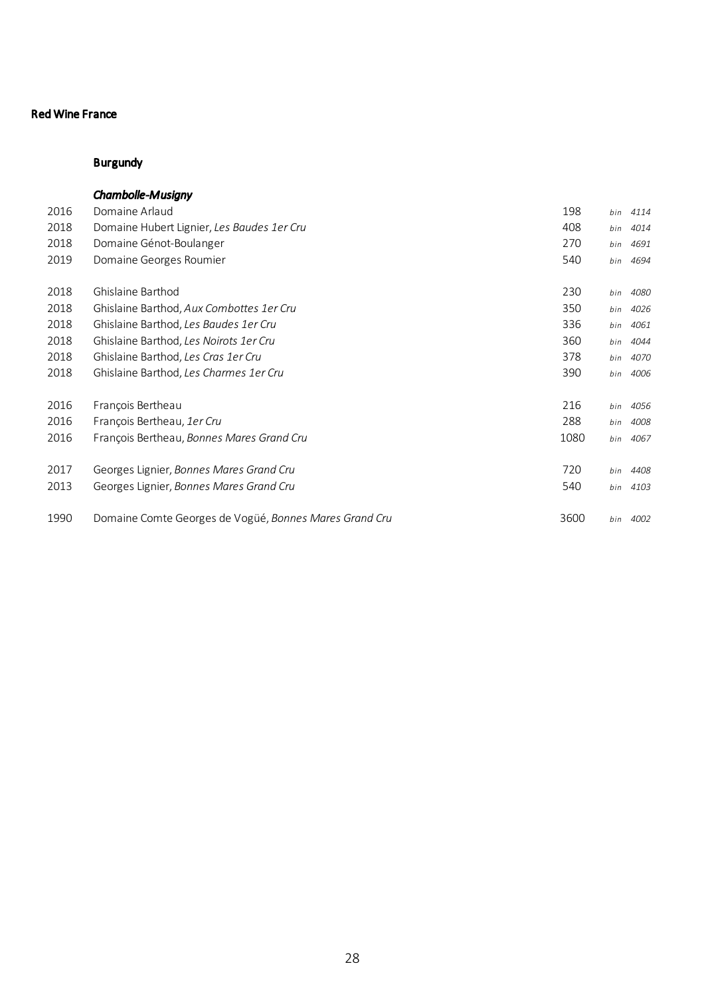|      | <b>Chambolle-Musiany</b>                               |      |     |      |
|------|--------------------------------------------------------|------|-----|------|
| 2016 | Domaine Arlaud                                         | 198  | bin | 4114 |
| 2018 | Domaine Hubert Lignier, Les Baudes 1er Cru             | 408  | bin | 4014 |
| 2018 | Domaine Génot-Boulanger                                | 270  | bin | 4691 |
| 2019 | Domaine Georges Roumier                                | 540  | bin | 4694 |
| 2018 | Ghislaine Barthod                                      | 230  | bin | 4080 |
| 2018 | Ghislaine Barthod, Aux Combottes 1er Cru               | 350  | bin | 4026 |
| 2018 | Ghislaine Barthod, Les Baudes 1er Cru                  | 336  | bin | 4061 |
| 2018 | Ghislaine Barthod, Les Noirots 1er Cru                 | 360  | bin | 4044 |
| 2018 | Ghislaine Barthod, Les Cras 1er Cru                    | 378  | bin | 4070 |
| 2018 | Ghislaine Barthod, Les Charmes 1er Cru                 | 390  | bin | 4006 |
| 2016 | François Bertheau                                      | 216  | bin | 4056 |
| 2016 | François Bertheau, 1er Cru                             | 288  | bin | 4008 |
| 2016 | François Bertheau, Bonnes Mares Grand Cru              | 1080 | bin | 4067 |
| 2017 | Georges Lignier, Bonnes Mares Grand Cru                | 720  | bin | 4408 |
| 2013 | Georges Lignier, Bonnes Mares Grand Cru                | 540  | bin | 4103 |
| 1990 | Domaine Comte Georges de Vogüé, Bonnes Mares Grand Cru | 3600 | bin | 4002 |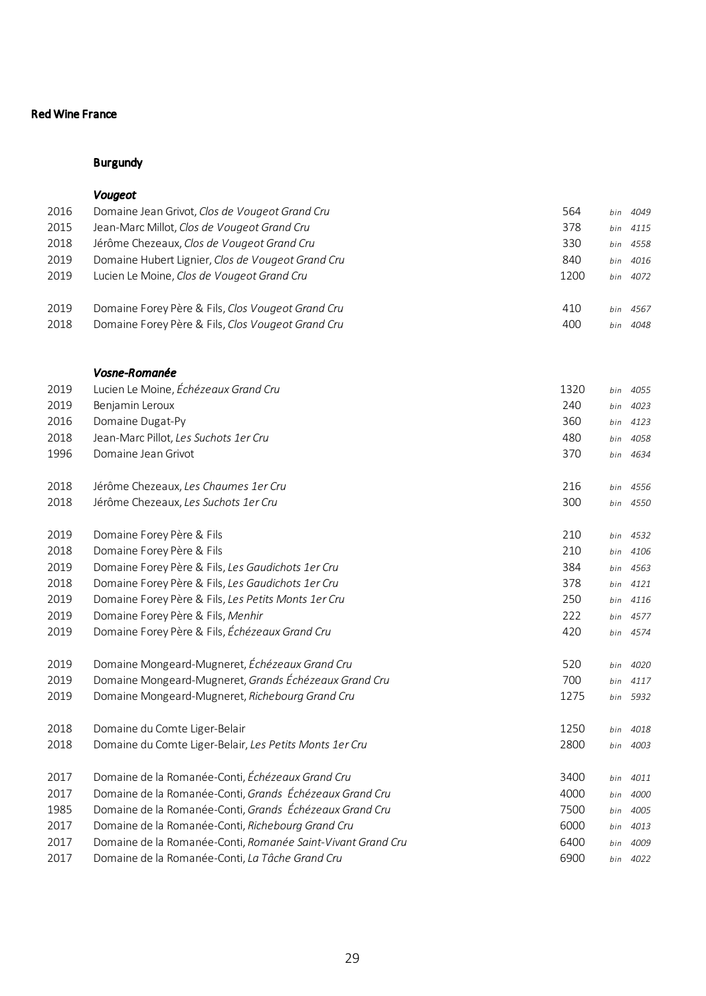#### Burgundy

# *Vougeot* Domaine Jean Grivot, *Clos de Vougeot Grand Cru* 564 *bin 4049* Jean-Marc Millot, *Clos de Vougeot Grand Cru* 378 *bin 4115* Jérôme Chezeaux, *Clos de Vougeot Grand Cru* 330 *bin 4558* Domaine Hubert Lignier, *Clos de Vougeot Grand Cru* 840 *bin 4016* Lucien Le Moine, *Clos de Vougeot Grand Cru* 1200 *bin 4072* Domaine Forey Père & Fils, *Clos Vougeot Grand Cru* 410 *bin 4567* Domaine Forey Père & Fils, *Clos Vougeot Grand Cru* 400 *bin 4048 Vosne-Romanée* Lucien Le Moine, *Échézeaux Grand Cru* 1320 *bin 4055* Benjamin Leroux 240 *bin 4023* Domaine Dugat-Py 360 *bin 4123* Jean-Marc Pillot, *Les Suchots 1er Cru* 480 *bin 4058* Domaine Jean Grivot 370 *bin 4634* Jérôme Chezeaux, *Les Chaumes 1er Cru* 216 *bin 4556* Jérôme Chezeaux, *Les Suchots 1er Cru* 300 *bin 4550* Domaine Forey Père & Fils 210 *bin 4532* Domaine Forey Père & Fils 210 *bin 4106* Domaine Forey Père & Fils, *Les Gaudichots 1er Cru* 384 *bin 4563* Domaine Forey Père & Fils, *Les Gaudichots 1er Cru* 378 *bin 4121* Domaine Forey Père & Fils, *Les Petits Monts 1er Cru* 250 *bin 4116* Domaine Forey Père & Fils, *Menhir* 222 *bin 4577* Domaine Forey Père & Fils, *Échézeaux Grand Cru* 420 *bin 4574* Domaine Mongeard-Mugneret, *Échézeaux Grand Cru* 520 *bin 4020* Domaine Mongeard-Mugneret, *Grands Échézeaux Grand Cru* 700 *bin 4117* Domaine Mongeard-Mugneret, *Richebourg Grand Cru* 1275 *bin 5932* Domaine du Comte Liger-Belair 1250 *bin 4018* Domaine du Comte Liger-Belair, *Les Petits Monts 1er Cru* 2800 *bin 4003* Domaine de la Romanée-Conti, *Échézeaux Grand Cru* 3400 *bin 4011* Domaine de la Romanée-Conti, *Grands Échézeaux Grand Cru* 4000 *bin 4000* Domaine de la Romanée-Conti, *Grands Échézeaux Grand Cru* 7500 *bin 4005* Domaine de la Romanée-Conti, *Richebourg Grand Cru* 6000 *bin 4013* Domaine de la Romanée-Conti, *Romanée Saint-Vivant Grand Cru* 6400 *bin 4009* Domaine de la Romanée-Conti, *La Tâche Grand Cru* 6900 *bin 4022*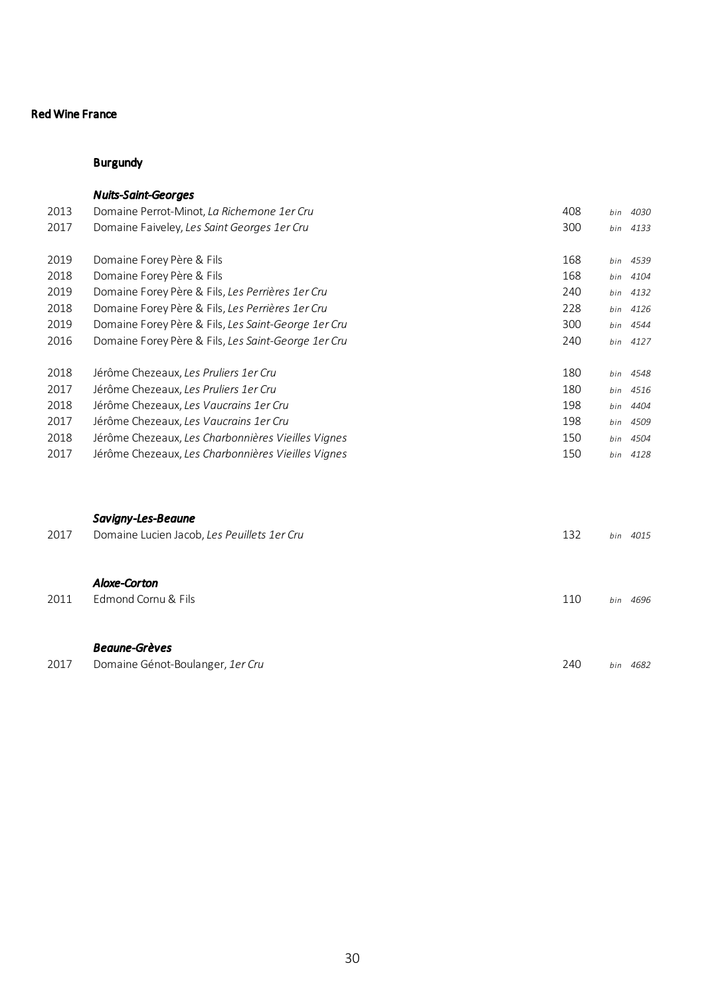|      | <b>Nuits-Saint-Georges</b>                          |     |     |          |
|------|-----------------------------------------------------|-----|-----|----------|
| 2013 | Domaine Perrot-Minot, La Richemone 1er Cru          | 408 | bin | 4030     |
| 2017 | Domaine Faiveley, Les Saint Georges 1er Cru         | 300 |     | bin 4133 |
| 2019 | Domaine Forey Père & Fils                           | 168 |     | bin 4539 |
| 2018 | Domaine Forey Père & Fils                           | 168 | bin | 4104     |
| 2019 | Domaine Forey Père & Fils, Les Perrières 1er Cru    | 240 |     | bin 4132 |
| 2018 | Domaine Forey Père & Fils, Les Perrières 1er Cru    | 228 | bin | 4126     |
| 2019 | Domaine Forey Père & Fils, Les Saint-George 1er Cru | 300 |     | bin 4544 |
| 2016 | Domaine Forey Père & Fils, Les Saint-George 1er Cru | 240 |     | bin 4127 |
| 2018 | Jérôme Chezeaux, Les Pruliers 1er Cru               | 180 | bin | 4548     |
| 2017 | Jérôme Chezeaux, Les Pruliers 1er Cru               | 180 | bin | 4516     |
| 2018 | Jérôme Chezeaux, Les Vaucrains 1er Cru              | 198 | bin | 4404     |
| 2017 | Jérôme Chezeaux, Les Vaucrains 1er Cru              | 198 | bin | 4509     |
| 2018 | Jérôme Chezeaux, Les Charbonnières Vieilles Vignes  | 150 | bin | 4504     |
| 2017 | Jérôme Chezeaux, Les Charbonnières Vieilles Vignes  | 150 |     | bin 4128 |
|      |                                                     |     |     |          |
|      | Savigny-Les-Beaune                                  |     |     |          |
| 2017 | Domaine Lucien Jacob, Les Peuillets 1er Cru         | 132 |     | bin 4015 |
|      | <b>Aloxe-Corton</b>                                 |     |     |          |
| 2011 | Edmond Cornu & Fils                                 | 110 |     | bin 4696 |
|      |                                                     |     |     |          |
|      | <b>Beaune-Grèves</b>                                |     |     |          |
| 2017 | Domaine Génot-Boulanger, 1er Cru                    | 240 |     | bin 4682 |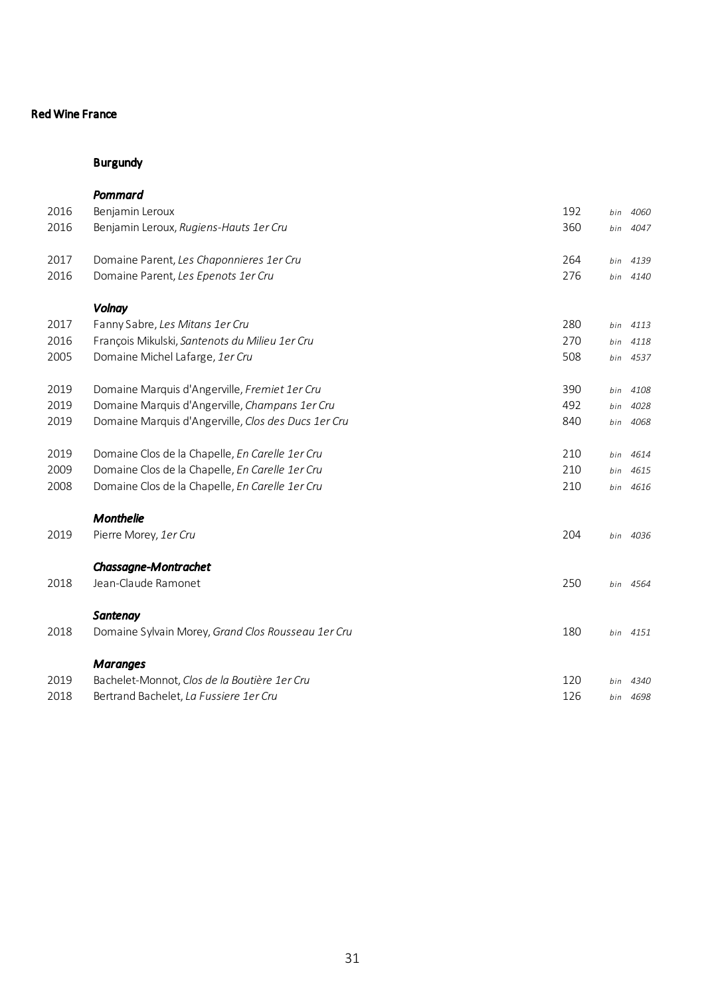|      | Pommard                                              |     |     |          |
|------|------------------------------------------------------|-----|-----|----------|
| 2016 | Benjamin Leroux                                      | 192 | bin | 4060     |
| 2016 | Benjamin Leroux, Rugiens-Hauts 1er Cru               | 360 | bin | 4047     |
| 2017 | Domaine Parent, Les Chaponnieres 1er Cru             | 264 | bin | 4139     |
| 2016 | Domaine Parent, Les Epenots 1er Cru                  | 276 | bin | 4140     |
|      | Volnay                                               |     |     |          |
| 2017 | Fanny Sabre, Les Mitans 1er Cru                      | 280 | bin | 4113     |
| 2016 | François Mikulski, Santenots du Milieu 1er Cru       | 270 | bin | 4118     |
| 2005 | Domaine Michel Lafarge, 1er Cru                      | 508 | bin | 4537     |
| 2019 | Domaine Marquis d'Angerville, Fremiet 1 er Cru       | 390 | bin | 4108     |
| 2019 | Domaine Marquis d'Angerville, Champans 1er Cru       | 492 | bin | 4028     |
| 2019 | Domaine Marquis d'Angerville, Clos des Ducs 1 er Cru | 840 | bin | 4068     |
| 2019 | Domaine Clos de la Chapelle, En Carelle 1er Cru      | 210 | bin | 4614     |
| 2009 | Domaine Clos de la Chapelle, En Carelle 1er Cru      | 210 | bin | 4615     |
| 2008 | Domaine Clos de la Chapelle, En Carelle 1er Cru      | 210 | bin | 4616     |
|      | <b>Monthelie</b>                                     |     |     |          |
| 2019 | Pierre Morey, 1er Cru                                | 204 |     | bin 4036 |
|      | <b>Chassagne-Montrachet</b>                          |     |     |          |
| 2018 | Jean-Claude Ramonet                                  | 250 |     | bin 4564 |
|      | <b>Santenay</b>                                      |     |     |          |
| 2018 | Domaine Sylvain Morey, Grand Clos Rousseau 1er Cru   | 180 |     | bin 4151 |
|      | <b>Maranges</b>                                      |     |     |          |
| 2019 | Bachelet-Monnot, Clos de la Boutière 1er Cru         | 120 | bin | 4340     |
| 2018 | Bertrand Bachelet, La Fussiere 1er Cru               | 126 |     | bin 4698 |
|      |                                                      |     |     |          |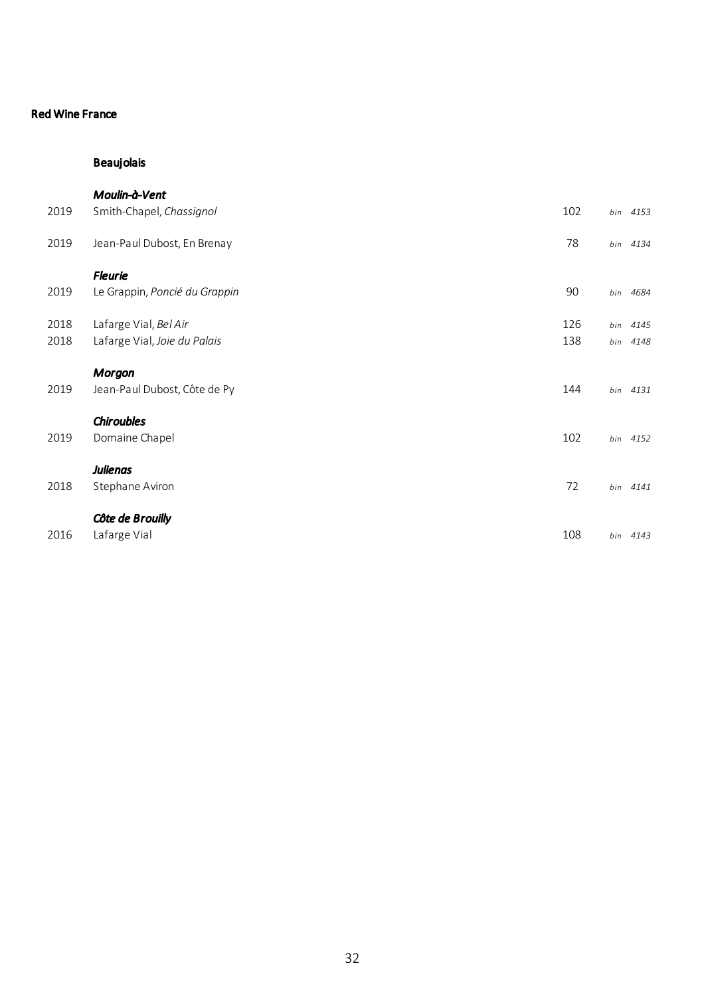# Beaujolais

|      | Moulin-à-Vent                 |     |          |
|------|-------------------------------|-----|----------|
| 2019 | Smith-Chapel, Chassignol      | 102 | bin 4153 |
| 2019 | Jean-Paul Dubost, En Brenay   | 78  | bin 4134 |
|      | <b>Fleurie</b>                |     |          |
| 2019 | Le Grappin, Poncié du Grappin | 90  | bin 4684 |
| 2018 | Lafarge Vial, Bel Air         | 126 | bin 4145 |
| 2018 | Lafarge Vial, Joie du Palais  | 138 | bin 4148 |
|      | <b>Morgon</b>                 |     |          |
| 2019 | Jean-Paul Dubost, Côte de Py  | 144 | bin 4131 |
|      | <b>Chiroubles</b>             |     |          |
| 2019 | Domaine Chapel                | 102 | bin 4152 |
|      | <b>Julienas</b>               |     |          |
| 2018 | Stephane Aviron               | 72  | bin 4141 |
|      | Côte de Brouilly              |     |          |
| 2016 | Lafarge Vial                  | 108 | bin 4143 |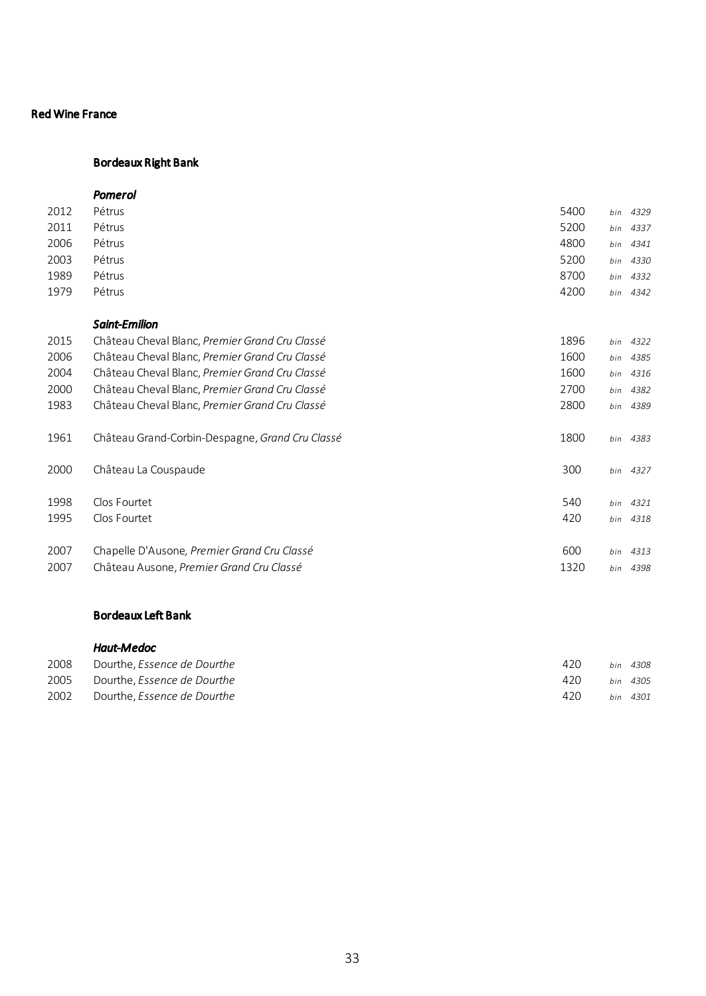## Bordeaux Right Bank

|      | Pomerol                                         |      |     |          |
|------|-------------------------------------------------|------|-----|----------|
| 2012 | Pétrus                                          | 5400 | bin | 4329     |
| 2011 | Pétrus                                          | 5200 | bin | 4337     |
| 2006 | Pétrus                                          | 4800 | bin | 4341     |
| 2003 | Pétrus                                          | 5200 | bin | 4330     |
| 1989 | Pétrus                                          | 8700 | bin | 4332     |
| 1979 | Pétrus                                          | 4200 | bin | 4342     |
|      | <b>Saint-Emilion</b>                            |      |     |          |
| 2015 | Château Cheval Blanc, Premier Grand Cru Classé  | 1896 | bin | 4322     |
| 2006 | Château Cheval Blanc, Premier Grand Cru Classé  | 1600 | bin | 4385     |
| 2004 | Château Cheval Blanc, Premier Grand Cru Classé  | 1600 | bin | 4316     |
| 2000 | Château Cheval Blanc, Premier Grand Cru Classé  | 2700 | bin | 4382     |
| 1983 | Château Cheval Blanc, Premier Grand Cru Classé  | 2800 | bin | 4389     |
| 1961 | Château Grand-Corbin-Despagne, Grand Cru Classé | 1800 |     | bin 4383 |
| 2000 | Château La Couspaude                            | 300  |     | bin 4327 |
| 1998 | Clos Fourtet                                    | 540  | bin | 4321     |
| 1995 | Clos Fourtet                                    | 420  |     | bin 4318 |
| 2007 | Chapelle D'Ausone, Premier Grand Cru Classé     | 600  | bin | 4313     |
| 2007 | Château Ausone, Premier Grand Cru Classé        | 1320 | bin | 4398     |
|      |                                                 |      |     |          |

## Bordeaux Left Bank

|      | Haut-Medoc                  |     |     |          |
|------|-----------------------------|-----|-----|----------|
| 2008 | Dourthe, Essence de Dourthe | 420 | hin | 4308     |
| 2005 | Dourthe, Essence de Dourthe | 420 |     | bin 4305 |
| 2002 | Dourthe, Essence de Dourthe | 420 |     | bin 4301 |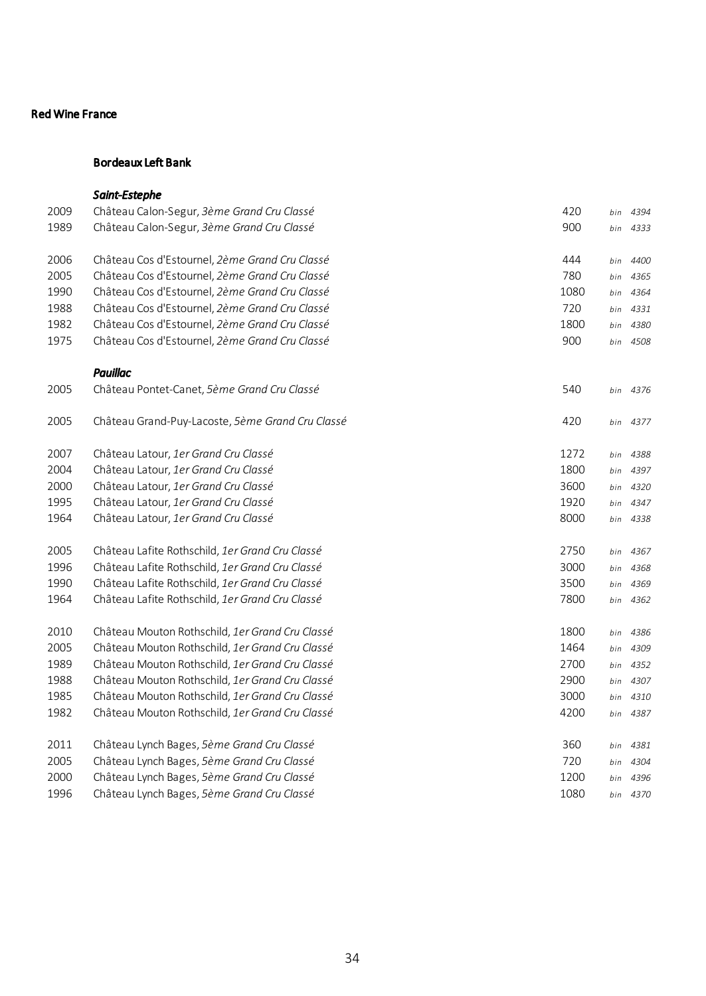# Bordeaux Left Bank

|      | <b>Saint-Estephe</b>                             |      |     |          |
|------|--------------------------------------------------|------|-----|----------|
| 2009 | Château Calon-Segur, 3ème Grand Cru Classé       | 420  | bin | 4394     |
| 1989 | Château Calon-Segur, 3ème Grand Cru Classé       | 900  | bin | 4333     |
| 2006 | Château Cos d'Estournel, 2ème Grand Cru Classé   | 444  | bin | 4400     |
| 2005 | Château Cos d'Estournel, 2ème Grand Cru Classé   | 780  | bin | 4365     |
| 1990 | Château Cos d'Estournel, 2ème Grand Cru Classé   | 1080 | bin | 4364     |
| 1988 | Château Cos d'Estournel, 2ème Grand Cru Classé   | 720  | bin | 4331     |
| 1982 | Château Cos d'Estournel, 2ème Grand Cru Classé   | 1800 | bin | 4380     |
| 1975 | Château Cos d'Estournel, 2ème Grand Cru Classé   | 900  | bin | 4508     |
|      | <b>Pauillac</b>                                  |      |     |          |
| 2005 | Château Pontet-Canet, 5ème Grand Cru Classé      | 540  |     | bin 4376 |
| 2005 | Château Grand-Puy-Lacoste, 5ème Grand Cru Classé | 420  | bin | 4377     |
| 2007 | Château Latour, 1er Grand Cru Classé             | 1272 | bin | 4388     |
| 2004 | Château Latour, 1er Grand Cru Classé             | 1800 | bin | 4397     |
| 2000 | Château Latour, 1er Grand Cru Classé             | 3600 | bin | 4320     |
| 1995 | Château Latour, 1er Grand Cru Classé             | 1920 | bin | 4347     |
| 1964 | Château Latour, 1er Grand Cru Classé             | 8000 | bin | 4338     |
| 2005 | Château Lafite Rothschild, 1er Grand Cru Classé  | 2750 | bin | 4367     |
| 1996 | Château Lafite Rothschild, 1er Grand Cru Classé  | 3000 | bin | 4368     |
| 1990 | Château Lafite Rothschild, 1er Grand Cru Classé  | 3500 | bin | 4369     |
| 1964 | Château Lafite Rothschild, 1er Grand Cru Classé  | 7800 |     | bin 4362 |
| 2010 | Château Mouton Rothschild, 1er Grand Cru Classé  | 1800 | bin | 4386     |
| 2005 | Château Mouton Rothschild, 1er Grand Cru Classé  | 1464 | bin | 4309     |
| 1989 | Château Mouton Rothschild, 1er Grand Cru Classé  | 2700 | bin | 4352     |
| 1988 | Château Mouton Rothschild, 1er Grand Cru Classé  | 2900 | bin | 4307     |
| 1985 | Château Mouton Rothschild, 1er Grand Cru Classé  | 3000 | bin | 4310     |
| 1982 | Château Mouton Rothschild, 1er Grand Cru Classé  | 4200 | bin | 4387     |
| 2011 | Château Lynch Bages, 5ème Grand Cru Classé       | 360  | bin | 4381     |
| 2005 | Château Lynch Bages, 5ème Grand Cru Classé       | 720  | bin | 4304     |
| 2000 | Château Lynch Bages, 5ème Grand Cru Classé       | 1200 | bin | 4396     |
| 1996 | Château Lynch Bages, 5ème Grand Cru Classé       | 1080 |     | bin 4370 |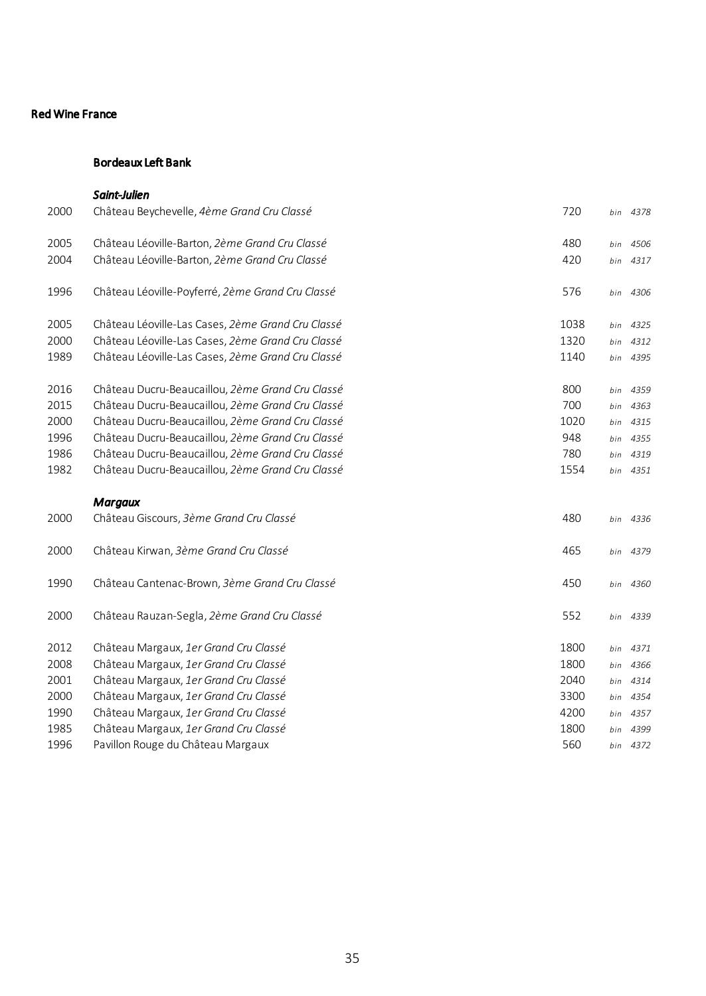# Bordeaux Left Bank

|      | Saint-Julien                                      |      |     |          |
|------|---------------------------------------------------|------|-----|----------|
| 2000 | Château Beychevelle, 4ème Grand Cru Classé        | 720  |     | bin 4378 |
| 2005 | Château Léoville-Barton, 2ème Grand Cru Classé    | 480  | bin | 4506     |
| 2004 | Château Léoville-Barton, 2ème Grand Cru Classé    | 420  | bin | 4317     |
| 1996 | Château Léoville-Poyferré, 2ème Grand Cru Classé  | 576  |     | bin 4306 |
| 2005 | Château Léoville-Las Cases, 2ème Grand Cru Classé | 1038 | bin | 4325     |
| 2000 | Château Léoville-Las Cases, 2ème Grand Cru Classé | 1320 | bin | 4312     |
| 1989 | Château Léoville-Las Cases, 2ème Grand Cru Classé | 1140 | bin | 4395     |
| 2016 | Château Ducru-Beaucaillou, 2ème Grand Cru Classé  | 800  | bin | 4359     |
| 2015 | Château Ducru-Beaucaillou, 2ème Grand Cru Classé  | 700  | bin | 4363     |
| 2000 | Château Ducru-Beaucaillou, 2ème Grand Cru Classé  | 1020 | bin | 4315     |
| 1996 | Château Ducru-Beaucaillou, 2ème Grand Cru Classé  | 948  |     | bin 4355 |
| 1986 | Château Ducru-Beaucaillou, 2ème Grand Cru Classé  | 780  | bin | 4319     |
| 1982 | Château Ducru-Beaucaillou, 2ème Grand Cru Classé  | 1554 |     | bin 4351 |
|      | <b>Margaux</b>                                    |      |     |          |
| 2000 | Château Giscours, 3ème Grand Cru Classé           | 480  |     | bin 4336 |
| 2000 | Château Kirwan, 3ème Grand Cru Classé             | 465  |     | bin 4379 |
| 1990 | Château Cantenac-Brown, 3ème Grand Cru Classé     | 450  |     | bin 4360 |
| 2000 | Château Rauzan-Segla, 2ème Grand Cru Classé       | 552  |     | bin 4339 |
| 2012 | Château Margaux, 1er Grand Cru Classé             | 1800 | bin | 4371     |
| 2008 | Château Margaux, 1er Grand Cru Classé             | 1800 | bin | 4366     |
| 2001 | Château Margaux, 1er Grand Cru Classé             | 2040 | bin | 4314     |
| 2000 | Château Margaux, 1er Grand Cru Classé             | 3300 | bin | 4354     |
| 1990 | Château Margaux, 1er Grand Cru Classé             | 4200 | bin | 4357     |
| 1985 | Château Margaux, 1er Grand Cru Classé             | 1800 | bin | 4399     |
| 1996 | Pavillon Rouge du Château Margaux                 | 560  |     | bin 4372 |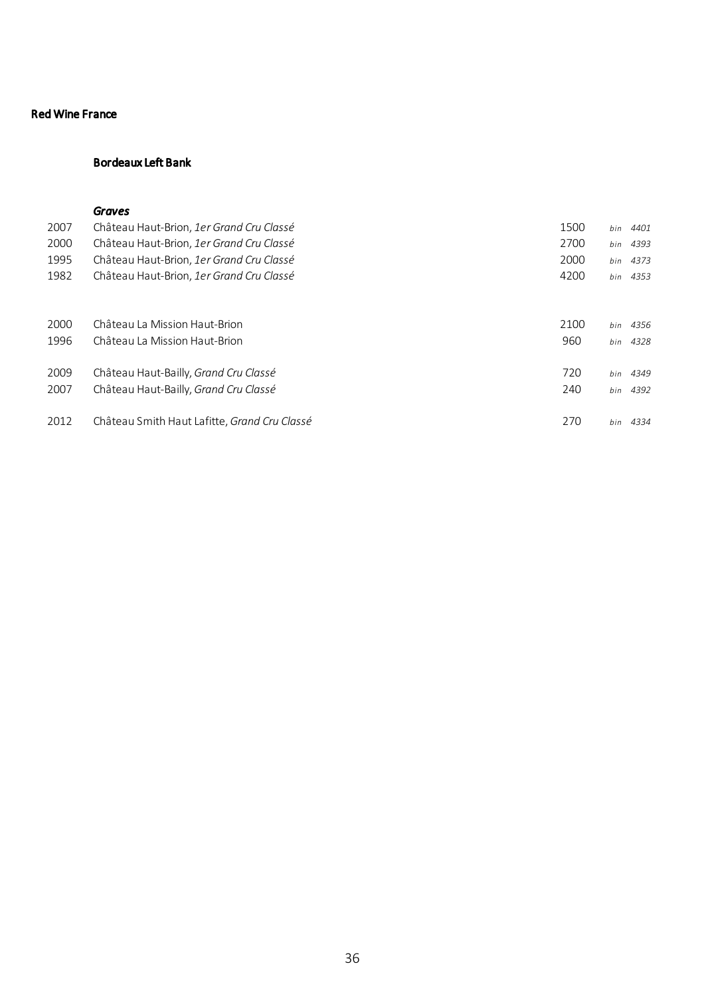# Bordeaux Left Bank

### *Graves*

| 2007 | Château Haut-Brion, 1er Grand Cru Classé     | 1500 | bin | 4401     |
|------|----------------------------------------------|------|-----|----------|
| 2000 | Château Haut-Brion, 1er Grand Cru Classé     | 2700 | bin | 4393     |
| 1995 | Château Haut-Brion, 1er Grand Cru Classé     | 2000 |     | bin 4373 |
| 1982 | Château Haut-Brion, 1er Grand Cru Classé     | 4200 |     | bin 4353 |
|      |                                              |      |     |          |
| 2000 | Château La Mission Haut-Brion                | 2100 | bin | 4356     |
| 1996 | Château La Mission Haut-Brion                | 960  |     | bin 4328 |
| 2009 | Château Haut-Bailly, Grand Cru Classé        | 720  | bin | 4349     |
| 2007 | Château Haut-Bailly, Grand Cru Classé        | 240  |     |          |
|      |                                              |      |     | bin 4392 |
| 2012 | Château Smith Haut Lafitte, Grand Cru Classé | 270  |     | bin 4334 |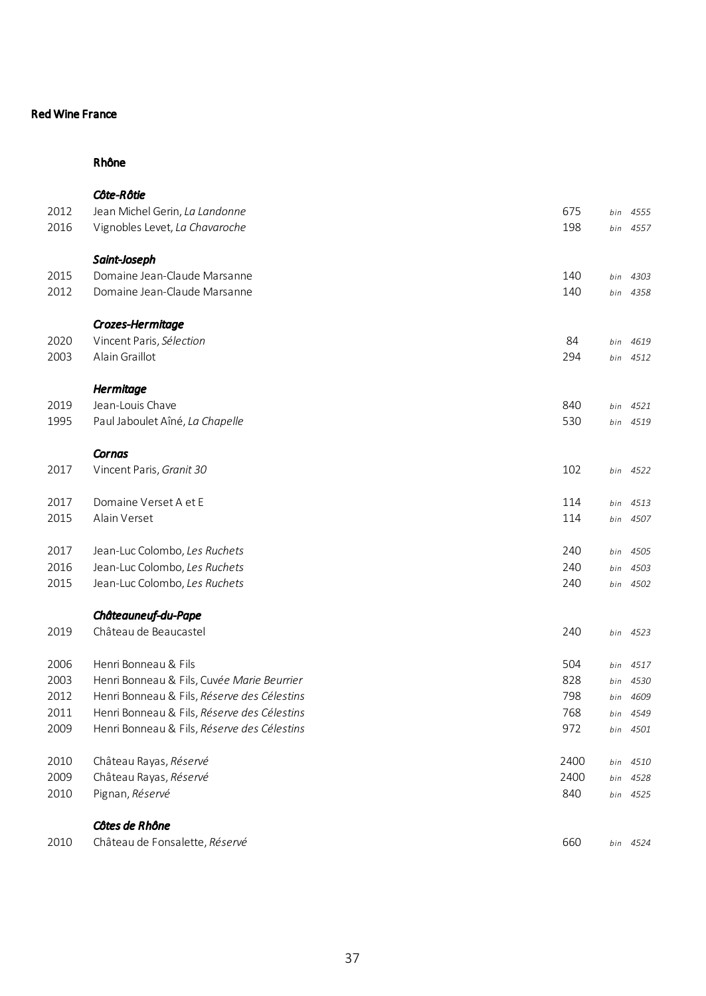### Rhône

|      | <b>Côte-Rôtie</b>                           |      |     |          |
|------|---------------------------------------------|------|-----|----------|
| 2012 | Jean Michel Gerin, La Landonne              | 675  | bin | 4555     |
| 2016 | Vignobles Levet, La Chavaroche              | 198  |     | bin 4557 |
|      | Saint-Joseph                                |      |     |          |
| 2015 | Domaine Jean-Claude Marsanne                | 140  | bin | 4303     |
| 2012 | Domaine Jean-Claude Marsanne                | 140  | bin | 4358     |
|      | Crozes-Hermitage                            |      |     |          |
| 2020 | Vincent Paris, Sélection                    | 84   | bin | 4619     |
| 2003 | Alain Graillot                              | 294  | bin | 4512     |
|      | <b>Hermitage</b>                            |      |     |          |
| 2019 | Jean-Louis Chave                            | 840  | bin | 4521     |
| 1995 | Paul Jaboulet Aîné, La Chapelle             | 530  | bin | 4519     |
|      | Cornas                                      |      |     |          |
| 2017 | Vincent Paris, Granit 30                    | 102  | bin | 4522     |
| 2017 | Domaine Verset A et E                       | 114  | bin | 4513     |
| 2015 | Alain Verset                                | 114  | bin | 4507     |
| 2017 | Jean-Luc Colombo, Les Ruchets               | 240  | bin | 4505     |
| 2016 | Jean-Luc Colombo, Les Ruchets               | 240  | bin | 4503     |
| 2015 | Jean-Luc Colombo, Les Ruchets               | 240  |     | bin 4502 |
|      | Châteauneuf-du-Pape                         |      |     |          |
| 2019 | Château de Beaucastel                       | 240  |     | bin 4523 |
| 2006 | Henri Bonneau & Fils                        | 504  | bin | 4517     |
| 2003 | Henri Bonneau & Fils, Cuvée Marie Beurrier  | 828  | bin | 4530     |
| 2012 | Henri Bonneau & Fils, Réserve des Célestins | 798  | bin | 4609     |
| 2011 | Henri Bonneau & Fils, Réserve des Célestins | 768  | bin | 4549     |
| 2009 | Henri Bonneau & Fils, Réserve des Célestins | 972  | bin | 4501     |
| 2010 | Château Rayas, Réservé                      | 2400 | bin | 4510     |
| 2009 | Château Rayas, Réservé                      | 2400 | bin | 4528     |
| 2010 | Pignan, Réservé                             | 840  | bin | 4525     |
|      | Côtes de Rhône                              |      |     |          |
| 2010 | Château de Fonsalette, Réservé              | 660  |     | bin 4524 |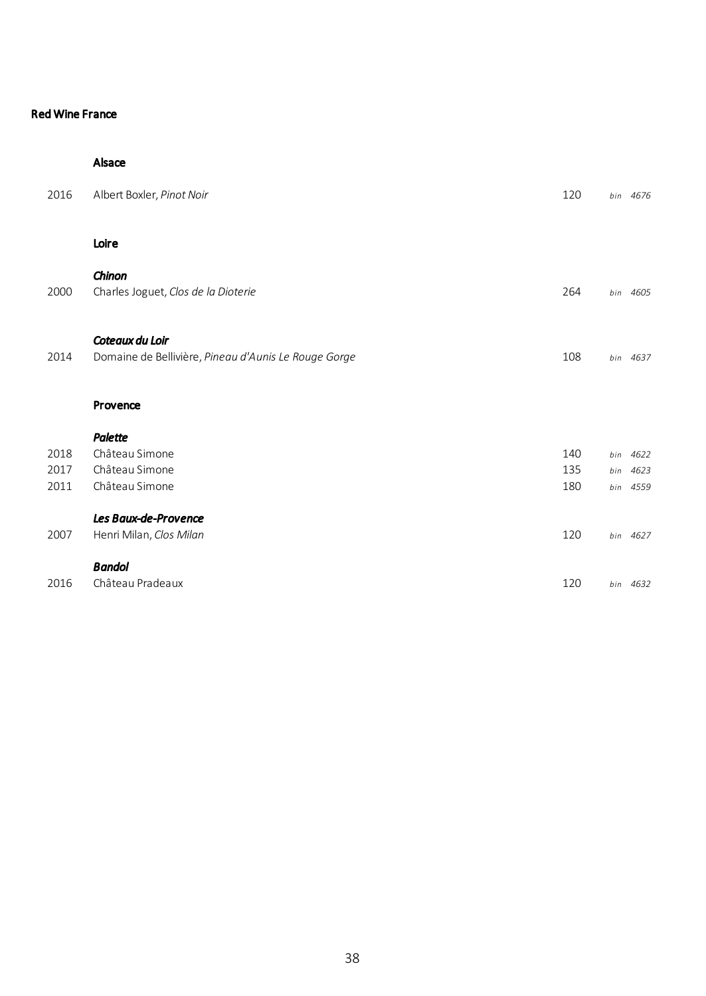#### Alsace

| 2016 | Albert Boxler, Pinot Noir                                               | 120 |     | bin 4676 |
|------|-------------------------------------------------------------------------|-----|-----|----------|
|      | Loire                                                                   |     |     |          |
| 2000 | Chinon<br>Charles Joguet, Clos de la Dioterie                           | 264 |     | bin 4605 |
| 2014 | Coteaux du Loir<br>Domaine de Bellivière, Pineau d'Aunis Le Rouge Gorge | 108 |     | bin 4637 |
|      | Provence                                                                |     |     |          |
|      | Palette                                                                 |     |     |          |
| 2018 | Château Simone                                                          | 140 | bin | 4622     |
| 2017 | Château Simone                                                          | 135 | bin | 4623     |
| 2011 | Château Simone                                                          | 180 |     | bin 4559 |
|      | Les Baux-de-Provence                                                    |     |     |          |
| 2007 | Henri Milan, Clos Milan                                                 | 120 |     | bin 4627 |
|      | <b>Bandol</b>                                                           |     |     |          |
| 2016 | Château Pradeaux                                                        | 120 |     | bin 4632 |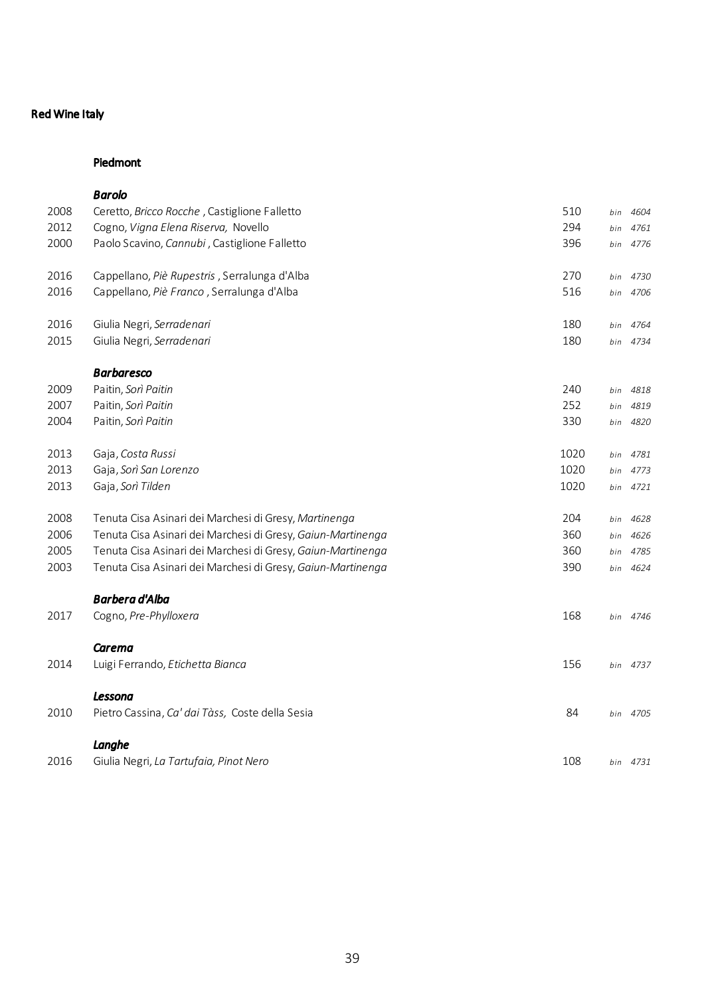## Red Wine Italy

### Piedmont

|      | <b>Barolo</b>                                               |      |     |          |
|------|-------------------------------------------------------------|------|-----|----------|
| 2008 | Ceretto, Bricco Rocche, Castiglione Falletto                | 510  | bin | 4604     |
| 2012 | Cogno, Vigna Elena Riserva, Novello                         | 294  | bin | 4761     |
| 2000 | Paolo Scavino, Cannubi, Castiglione Falletto                | 396  |     | bin 4776 |
| 2016 | Cappellano, Piè Rupestris, Serralunga d'Alba                | 270  | bin | 4730     |
| 2016 | Cappellano, Piè Franco, Serralunga d'Alba                   | 516  | bin | 4706     |
| 2016 | Giulia Negri, Serradenari                                   | 180  | bin | 4764     |
| 2015 | Giulia Negri, Serradenari                                   | 180  |     | bin 4734 |
|      | <b>Barbaresco</b>                                           |      |     |          |
| 2009 | Paitin, Sorì Paitin                                         | 240  | bin | 4818     |
| 2007 | Paitin, Sorì Paitin                                         | 252  | bin | 4819     |
| 2004 | Paitin, Sorì Paitin                                         | 330  | bin | 4820     |
| 2013 | Gaja, Costa Russi                                           | 1020 | bin | 4781     |
| 2013 | Gaja, Sorì San Lorenzo                                      | 1020 | bin | 4773     |
| 2013 | Gaja, Sorì Tilden                                           | 1020 |     | bin 4721 |
| 2008 | Tenuta Cisa Asinari dei Marchesi di Gresy, Martinenga       | 204  | bin | 4628     |
| 2006 | Tenuta Cisa Asinari dei Marchesi di Gresy, Gaiun-Martinenga | 360  | bin | 4626     |
| 2005 | Tenuta Cisa Asinari dei Marchesi di Gresy, Gaiun-Martinenga | 360  | bin | 4785     |
| 2003 | Tenuta Cisa Asinari dei Marchesi di Gresy, Gaiun-Martinenga | 390  | bin | 4624     |
|      | <b>Barbera d'Alba</b>                                       |      |     |          |
| 2017 | Cogno, Pre-Phylloxera                                       | 168  |     | bin 4746 |
|      | Carema                                                      |      |     |          |
| 2014 | Luigi Ferrando, Etichetta Bianca                            | 156  |     | bin 4737 |
|      | Lessona                                                     |      |     |          |
| 2010 | Pietro Cassina, Ca' dai Tàss, Coste della Sesia             | 84   |     | bin 4705 |
|      | Langhe                                                      |      |     |          |
| 2016 | Giulia Negri, La Tartufaia, Pinot Nero                      | 108  |     | bin 4731 |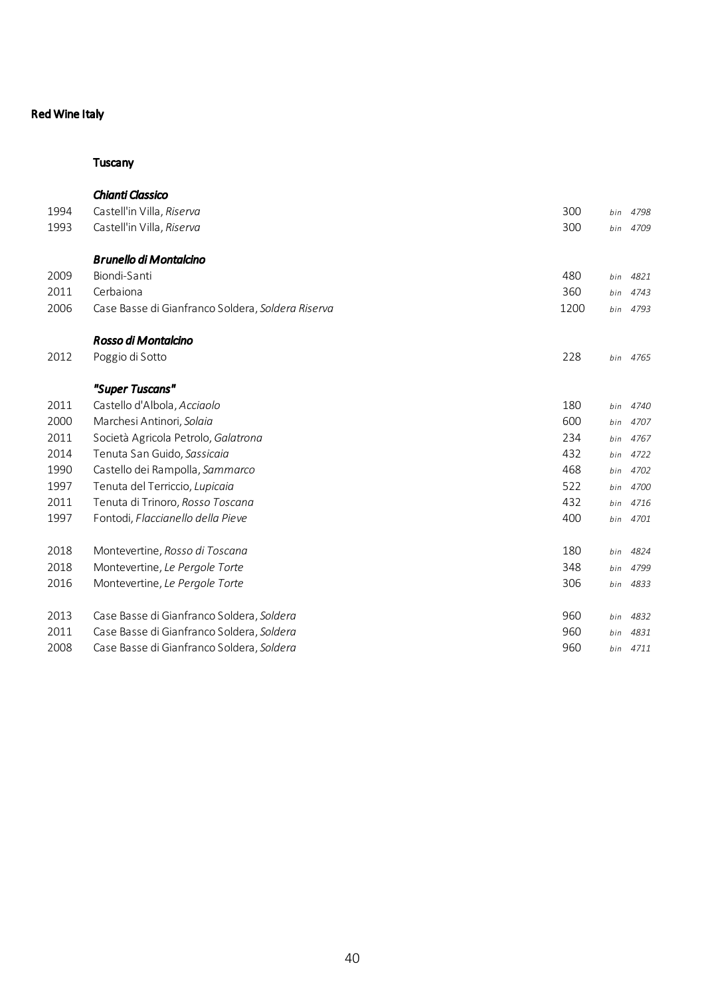# Red Wine Italy

## **Tuscany**

|      | Chianti Classico                                  |      |     |          |
|------|---------------------------------------------------|------|-----|----------|
| 1994 | Castell'in Villa, Riserva                         | 300  | bin | 4798     |
| 1993 | Castell'in Villa, Riserva                         | 300  | bin | 4709     |
|      | <b>Brunello di Montalcino</b>                     |      |     |          |
| 2009 | Biondi-Santi                                      | 480  | bin | 4821     |
| 2011 | Cerbaiona                                         | 360  | bin | 4743     |
| 2006 | Case Basse di Gianfranco Soldera, Soldera Riserva | 1200 | bin | 4793     |
|      | Rosso di Montalcino                               |      |     |          |
| 2012 | Poggio di Sotto                                   | 228  |     | bin 4765 |
|      | "Super Tuscans"                                   |      |     |          |
| 2011 | Castello d'Albola, Acciaolo                       | 180  | bin | 4740     |
| 2000 | Marchesi Antinori, Solaia                         | 600  | bin | 4707     |
| 2011 | Società Agricola Petrolo, Galatrona               | 234  |     | bin 4767 |
| 2014 | Tenuta San Guido, Sassicaia                       | 432  | bin | 4722     |
| 1990 | Castello dei Rampolla, Sammarco                   | 468  | bin | 4702     |
| 1997 | Tenuta del Terriccio, Lupicaia                    | 522  | bin | 4700     |
| 2011 | Tenuta di Trinoro, Rosso Toscana                  | 432  | bin | 4716     |
| 1997 | Fontodi, Flaccianello della Pieve                 | 400  | bin | 4701     |
| 2018 | Montevertine, Rosso di Toscana                    | 180  | bin | 4824     |
| 2018 | Montevertine, Le Pergole Torte                    | 348  | bin | 4799     |
| 2016 | Montevertine, Le Pergole Torte                    | 306  | bin | 4833     |
| 2013 | Case Basse di Gianfranco Soldera, Soldera         | 960  | bin | 4832     |
| 2011 | Case Basse di Gianfranco Soldera, Soldera         | 960  | bin | 4831     |
| 2008 | Case Basse di Gianfranco Soldera, Soldera         | 960  |     | bin 4711 |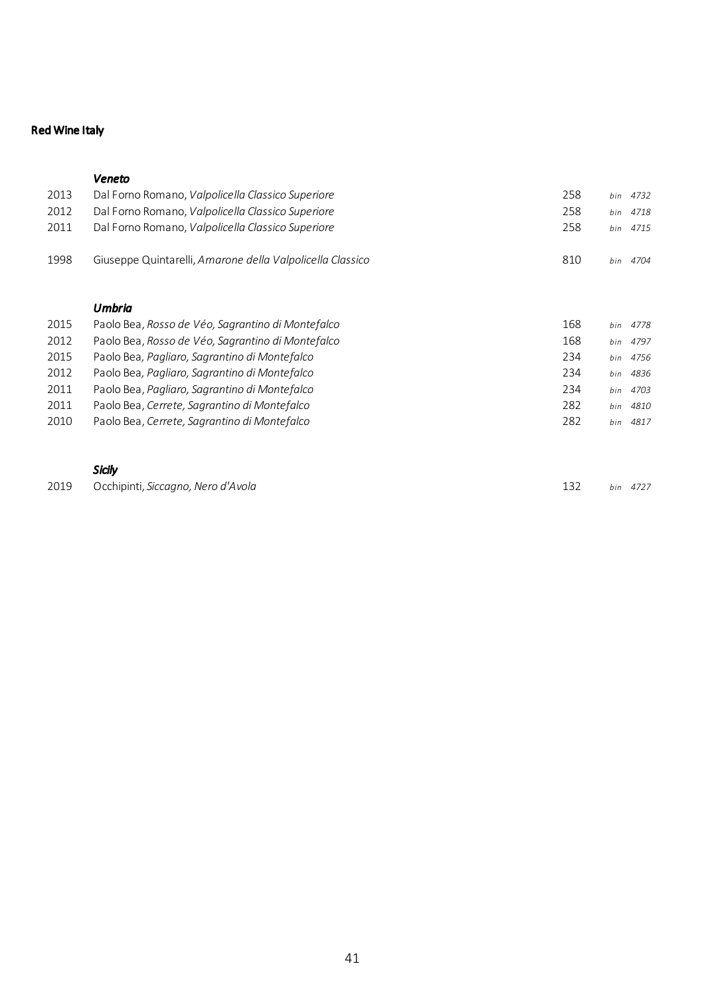# Red Wine Italy

### *Veneto*

| 2013 | Dal Forno Romano, Valpolicella Classico Superiore         | 258 | bin | 4732     |
|------|-----------------------------------------------------------|-----|-----|----------|
| 2012 | Dal Forno Romano, Valpolicella Classico Superiore         | 258 | bin | 4718     |
| 2011 | Dal Forno Romano, Valpolicella Classico Superiore         | 258 | bin | 4715     |
| 1998 | Giuseppe Quintarelli, Amarone della Valpolicella Classico | 810 | bin | 4704     |
|      | Umbria                                                    |     |     |          |
| 2015 | Paolo Bea, Rosso de Véo, Sagrantino di Montefalco         | 168 | bin | 4778     |
| 2012 | Paolo Bea, Rosso de Véo, Sagrantino di Montefalco         | 168 |     | bin 4797 |
| 2015 | Paolo Bea, Pagliaro, Sagrantino di Montefalco             | 234 | bin | 4756     |
| 2012 | Paolo Bea, Pagliaro, Sagrantino di Montefalco             | 234 | bin | 4836     |
| 2011 | Paolo Bea, Pagliaro, Sagrantino di Montefalco             | 234 | bin | 4703     |
| 2011 | Paolo Bea, Cerrete, Sagrantino di Montefalco              | 282 | bin | 4810     |
| 2010 | Paolo Bea, Cerrete, Sagrantino di Montefalco              | 282 | bin | 4817     |
|      |                                                           |     |     |          |
|      |                                                           |     |     |          |

# *Sicily*

|  | 2019 Occhipinti, Siccagno, Nero d'Avola |  | 132 bin 4727 |
|--|-----------------------------------------|--|--------------|
|--|-----------------------------------------|--|--------------|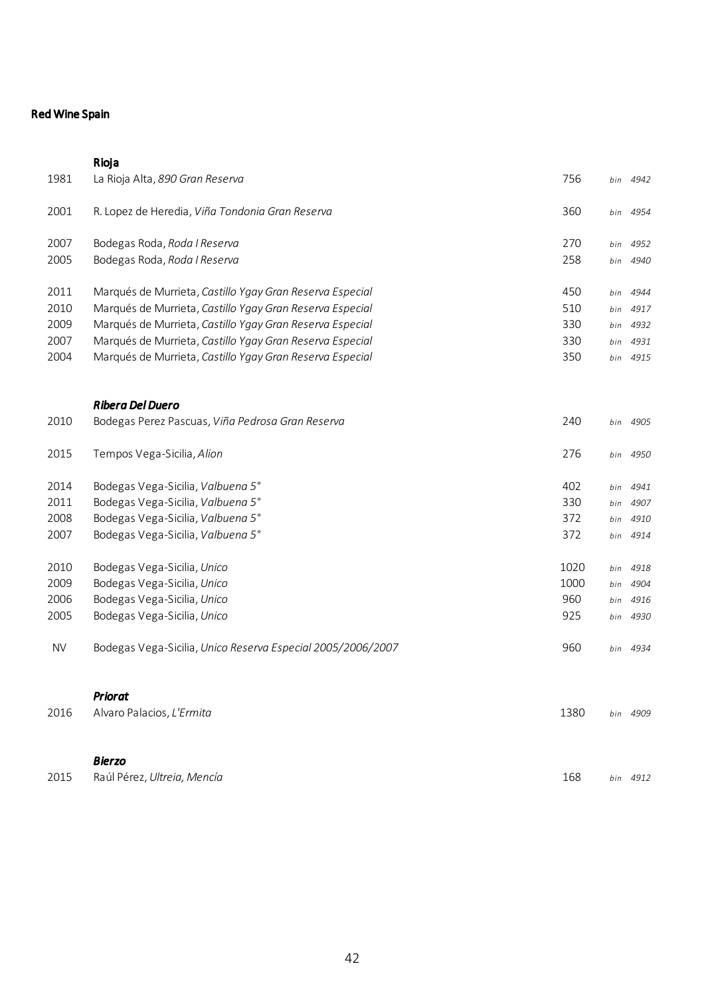## Red Wine Spain

|           | Rioja                                                       |      |     |          |
|-----------|-------------------------------------------------------------|------|-----|----------|
| 1981      | La Rioja Alta, 890 Gran Reserva                             | 756  | bin | 4942     |
| 2001      | R. Lopez de Heredia, Viña Tondonia Gran Reserva             | 360  | bin | 4954     |
| 2007      | Bodegas Roda, Roda I Reserva                                | 270  | bin | 4952     |
| 2005      | Bodegas Roda, Roda I Reserva                                | 258  | bin | 4940     |
| 2011      | Marqués de Murrieta, Castillo Ygay Gran Reserva Especial    | 450  | bin | 4944     |
| 2010      | Marqués de Murrieta, Castillo Ygay Gran Reserva Especial    | 510  | bin | 4917     |
| 2009      | Marqués de Murrieta, Castillo Ygay Gran Reserva Especial    | 330  | bin | 4932     |
| 2007      | Marqués de Murrieta, Castillo Ygay Gran Reserva Especial    | 330  | bin | 4931     |
| 2004      | Marqués de Murrieta, Castillo Ygay Gran Reserva Especial    | 350  | bin | 4915     |
|           | <b>Ribera Del Duero</b>                                     |      |     |          |
| 2010      | Bodegas Perez Pascuas, Viña Pedrosa Gran Reserva            | 240  | bin | 4905     |
| 2015      | Tempos Vega-Sicilia, Alion                                  | 276  | bin | 4950     |
| 2014      | Bodegas Vega-Sicilia, Valbuena 5°                           | 402  | bin | 4941     |
| 2011      | Bodegas Vega-Sicilia, Valbuena 5°                           | 330  | bin | 4907     |
| 2008      | Bodegas Vega-Sicilia, Valbuena 5°                           | 372  | bin | 4910     |
| 2007      | Bodegas Vega-Sicilia, Valbuena 5°                           | 372  | bin | 4914     |
| 2010      | Bodegas Vega-Sicilia, Unico                                 | 1020 | bin | 4918     |
| 2009      | Bodegas Vega-Sicilia, Unico                                 | 1000 | bin | 4904     |
| 2006      | Bodegas Vega-Sicilia, Unico                                 | 960  | bin | 4916     |
| 2005      | Bodegas Vega-Sicilia, Unico                                 | 925  | bin | 4930     |
| <b>NV</b> | Bodegas Vega-Sicilia, Unico Reserva Especial 2005/2006/2007 | 960  |     | bin 4934 |
|           | <b>Priorat</b>                                              |      |     |          |
| 2016      | Alvaro Palacios, L'Ermita                                   | 1380 |     | bin 4909 |
|           | <b>Bierzo</b>                                               |      |     |          |
| 2015      | Raúl Pérez, Ultreia, Mencía                                 | 168  |     | bin 4912 |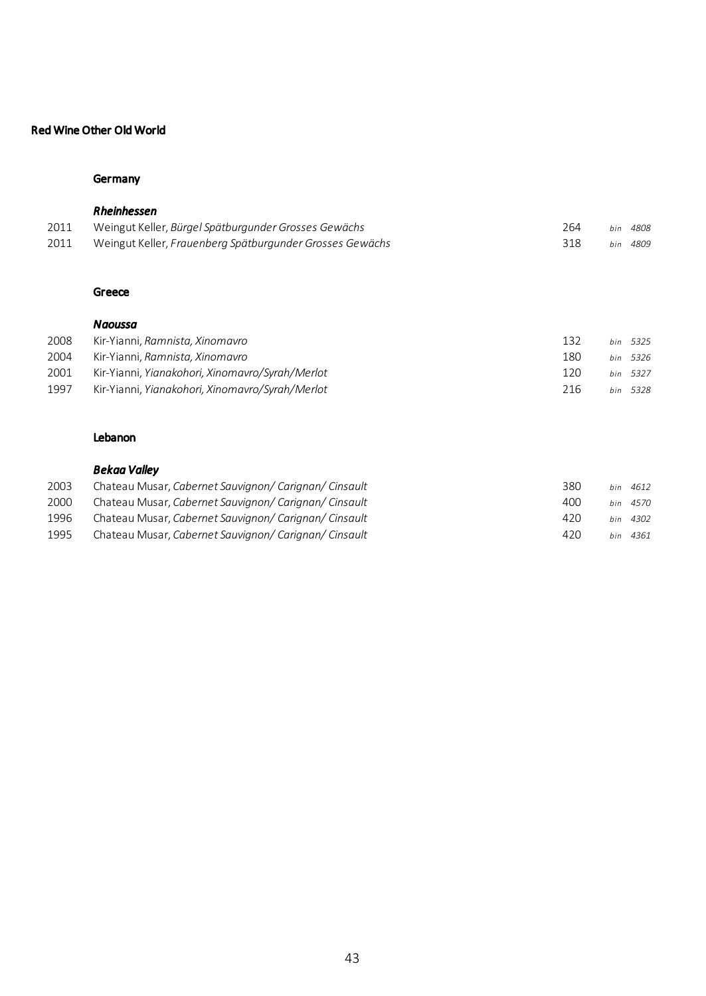## Red Wine Other Old World

## **Germany**

| 2011<br>2011 | Rheinhessen<br>Weingut Keller, Bürgel Spätburgunder Grosses Gewächs<br>Weingut Keller, Frauenberg Spätburgunder Grosses Gewächs | 264<br>318 | bin<br>bin | 4808<br>4809 |
|--------------|---------------------------------------------------------------------------------------------------------------------------------|------------|------------|--------------|
|              |                                                                                                                                 |            |            |              |
|              | Greece<br>Naoussa                                                                                                               |            |            |              |
| 2008         | Kir-Yianni, Ramnista, Xinomavro                                                                                                 | 132        | bin        | 5325         |
| 2004         | Kir-Yianni, Ramnista, Xinomavro                                                                                                 | 180        | bin        | 5326         |
| 2001         | Kir-Yianni, Yianakohori, Xinomavro/Syrah/Merlot                                                                                 | 120        | bin        | 5327         |

| 1997 | Kir-Yianni, Yianakohori, Xinomavro/Syrah/Merlot | 216 | bin 5328 |  |
|------|-------------------------------------------------|-----|----------|--|
|      |                                                 |     |          |  |

## Lebanon

## *Bekaa Valley*

| 2003 | Chateau Musar, Cabernet Sauvignon/ Carignan/ Cinsault | 380 | bin 4612 |
|------|-------------------------------------------------------|-----|----------|
| 2000 | Chateau Musar, Cabernet Sauvianon/ Carianan/ Cinsault | 400 | bin 4570 |
| 1996 | Chateau Musar, Cabernet Sauvianon/ Carianan/ Cinsault | 420 | hin 4302 |
| 1995 | Chateau Musar, Cabernet Sauvignon/ Carignan/ Cinsault | 420 | hin 4361 |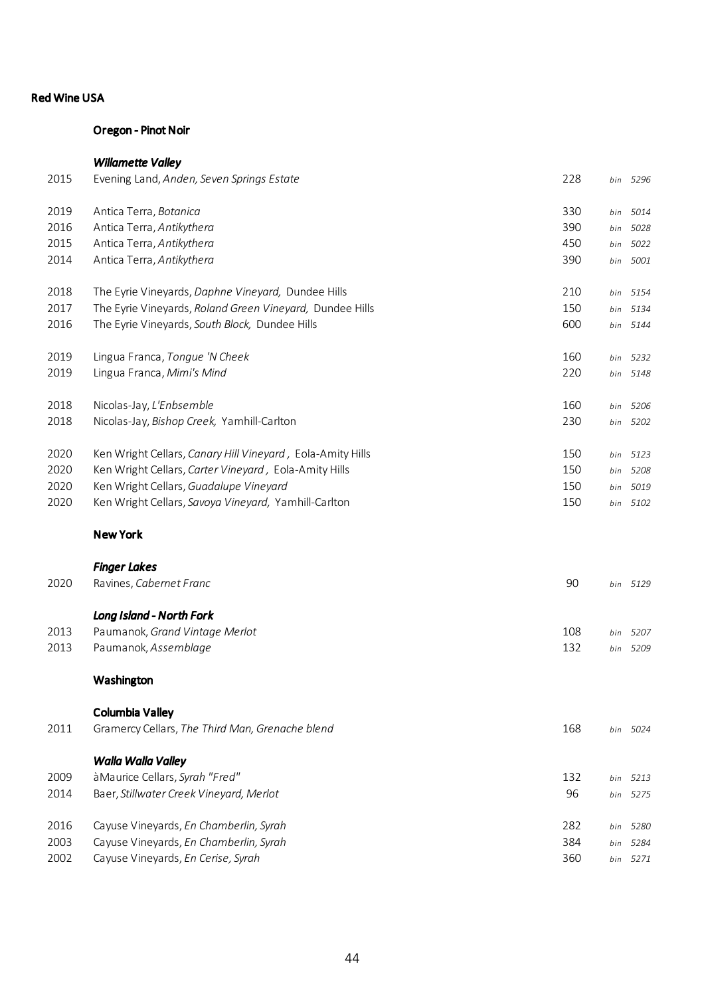#### Oregon - Pinot Noir

# *Willamette Valley*  Evening Land, *Anden, Seven Springs Estate* 228 *bin 5296* Antica Terra, *Botanica* 330 *bin 5014* Antica Terra, *Antikythera* 390 *bin 5028* Antica Terra, *Antikythera* 450 *bin 5022* Antica Terra, *Antikythera* 390 *bin 5001* The Eyrie Vineyards, *Daphne Vineyard,* Dundee Hills 210 *bin 5154* The Eyrie Vineyards, *Roland Green Vineyard,* Dundee Hills 150 *bin 5134* The Eyrie Vineyards, *South Block,* Dundee Hills 600 *bin 5144* Lingua Franca, *Tongue 'N Cheek* 160 *bin 5232* Lingua Franca, *Mimi's Mind* 220 *bin 5148* Nicolas-Jay, *L'Enbsemble* 160 *bin 5206* Nicolas-Jay, *Bishop Creek,* Yamhill-Carlton 230 *bin 5202* Ken Wright Cellars, *Canary Hill Vineyard ,* Eola-Amity Hills 150 *bin 5123* Ken Wright Cellars, *Carter Vineyard ,* Eola-Amity Hills 150 *bin 5208* Ken Wright Cellars, *Guadalupe Vineyard* 150 *bin 5019* Ken Wright Cellars, *Savoya Vineyard,* Yamhill-Carlton 150 *bin 5102*

### New York

|      | <b>Finger Lakes</b>             |     |          |
|------|---------------------------------|-----|----------|
| 2020 | Ravines, Cabernet Franc         | 90  | bin 5129 |
|      | <b>Long Island - North Fork</b> |     |          |
| 2013 | Paumanok, Grand Vintage Merlot  | 108 | bin 5207 |
| 2013 | Paumanok, Assemblage            | 132 | bin 5209 |

#### Washington

| 2011 | Columbia Valley<br>Gramercy Cellars, The Third Man, Grenache blend | 168 | bin 5024    |
|------|--------------------------------------------------------------------|-----|-------------|
|      | Walla Walla Valley                                                 |     |             |
| 2009 | à Maurice Cellars, Syrah "Fred"                                    | 132 | bin 5213    |
| 2014 | Baer, Stillwater Creek Vineyard, Merlot                            | 96  | bin 5275    |
| 2016 | Cayuse Vineyards, En Chamberlin, Syrah                             | 282 | bin<br>5280 |
| 2003 | Cayuse Vineyards, En Chamberlin, Syrah                             | 384 | 5284<br>bin |
| 2002 | Cayuse Vineyards, En Cerise, Syrah                                 | 360 | 5271<br>bin |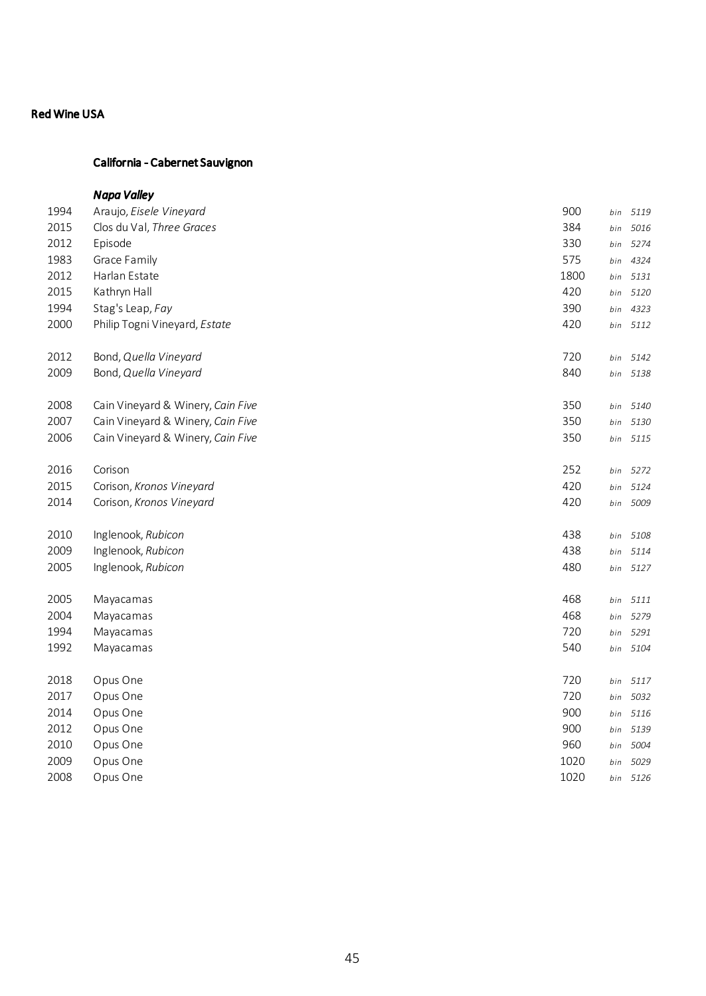# California - Cabernet Sauvignon

|      | <b>Napa Valley</b>                |      |     |          |
|------|-----------------------------------|------|-----|----------|
| 1994 | Araujo, Eisele Vineyard           | 900  | bin | 5119     |
| 2015 | Clos du Val, Three Graces         | 384  | bin | 5016     |
| 2012 | Episode                           | 330  | bin | 5274     |
| 1983 | Grace Family                      | 575  | bin | 4324     |
| 2012 | Harlan Estate                     | 1800 | bin | 5131     |
| 2015 | Kathryn Hall                      | 420  | bin | 5120     |
| 1994 | Stag's Leap, Fay                  | 390  | bin | 4323     |
| 2000 | Philip Togni Vineyard, Estate     | 420  | bin | 5112     |
| 2012 | Bond, Quella Vineyard             | 720  | bin | 5142     |
| 2009 | Bond, Quella Vineyard             | 840  | bin | 5138     |
| 2008 | Cain Vineyard & Winery, Cain Five | 350  | bin | 5140     |
| 2007 | Cain Vineyard & Winery, Cain Five | 350  | bin | 5130     |
| 2006 | Cain Vineyard & Winery, Cain Five | 350  |     | bin 5115 |
| 2016 | Corison                           | 252  | bin | 5272     |
| 2015 | Corison, Kronos Vineyard          | 420  | bin | 5124     |
| 2014 | Corison, Kronos Vineyard          | 420  | bin | 5009     |
| 2010 | Inglenook, Rubicon                | 438  | bin | 5108     |
| 2009 | Inglenook, Rubicon                | 438  | bin | 5114     |
| 2005 | Inglenook, Rubicon                | 480  | bin | 5127     |
| 2005 | Mayacamas                         | 468  | bin | 5111     |
| 2004 | Mayacamas                         | 468  | bin | 5279     |
| 1994 | Mayacamas                         | 720  | bin | 5291     |
| 1992 | Mayacamas                         | 540  | bin | 5104     |
| 2018 | Opus One                          | 720  | bin | 5117     |
| 2017 | Opus One                          | 720  | bin | 5032     |
| 2014 | Opus One                          | 900  | bin | 5116     |
| 2012 | Opus One                          | 900  | bin | 5139     |
| 2010 | Opus One                          | 960  | bin | 5004     |
| 2009 | Opus One                          | 1020 | bin | 5029     |
| 2008 | Opus One                          | 1020 | bin | 5126     |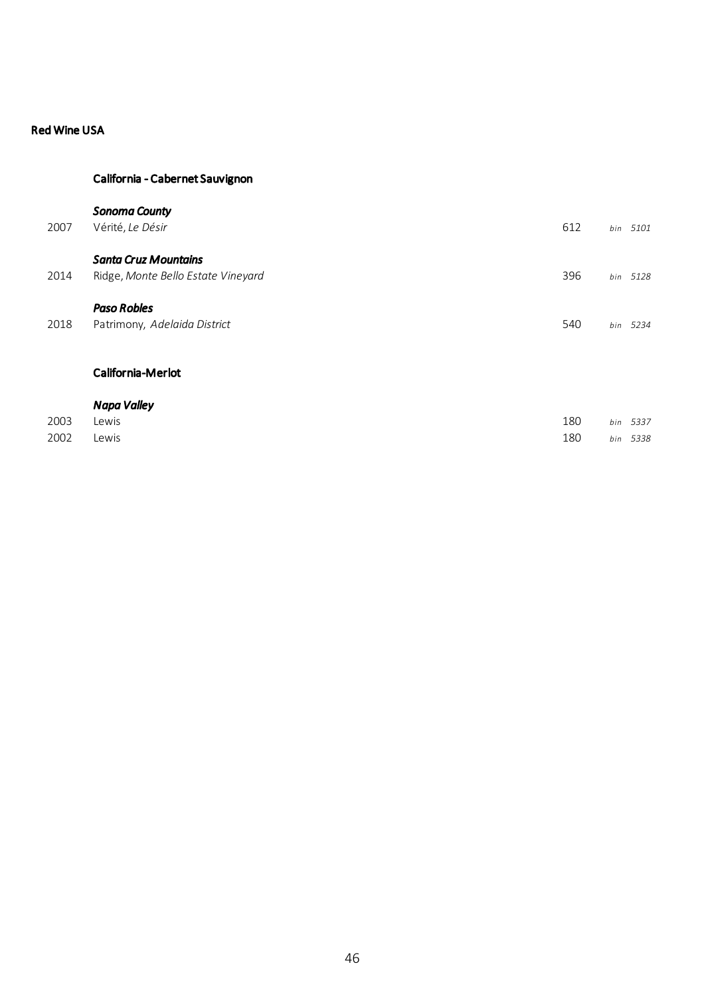# California - Cabernet Sauvignon

### *Sonoma County*

| 2007 | Vérité, Le Désir                                                  | 612 | bin | 5101     |
|------|-------------------------------------------------------------------|-----|-----|----------|
| 2014 | <b>Santa Cruz Mountains</b><br>Ridge, Monte Bello Estate Vineyard | 396 | bin | 5128     |
| 2018 | <b>Paso Robles</b><br>Patrimony, Adelaida District                | 540 |     | bin 5234 |

## California-Merlot

|      | Napa Valley |     |          |
|------|-------------|-----|----------|
| 2003 | Lewis       | 180 | bin 5337 |
| 2002 | Lewis       | 180 | bin 5338 |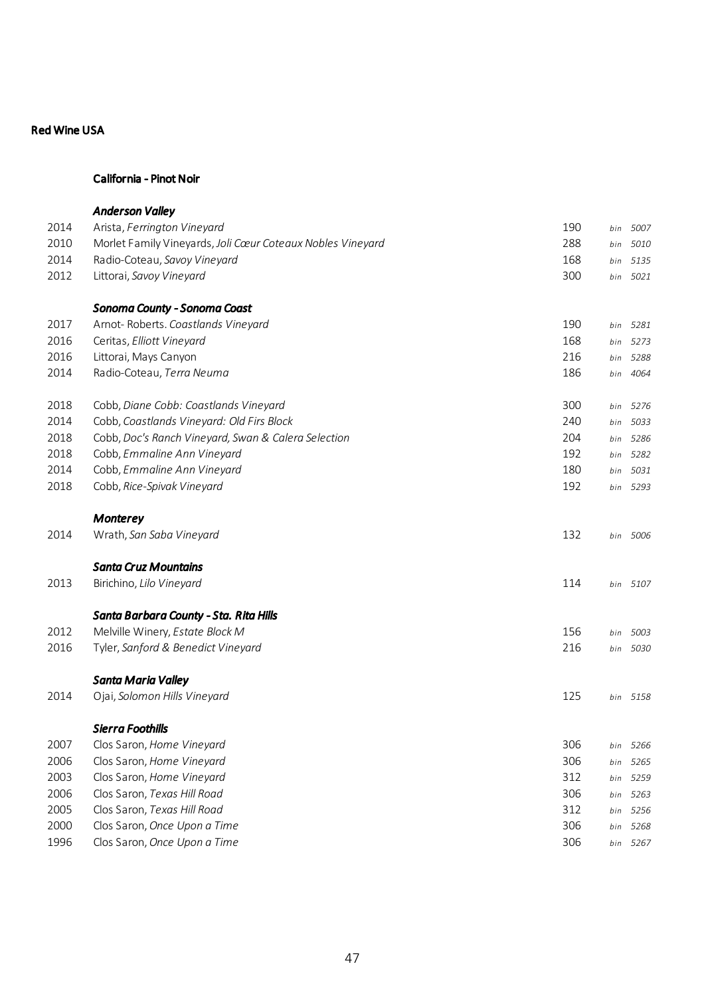## California - Pinot Noir

|      | <b>Anderson Valley</b>                                     |     |     |          |
|------|------------------------------------------------------------|-----|-----|----------|
| 2014 | Arista, Ferrington Vineyard                                | 190 | bin | 5007     |
| 2010 | Morlet Family Vineyards, Joli Cœur Coteaux Nobles Vineyard | 288 | bin | 5010     |
| 2014 | Radio-Coteau, Savoy Vineyard                               | 168 | bin | 5135     |
| 2012 | Littorai, Savoy Vineyard                                   | 300 | bin | 5021     |
|      | Sonoma County - Sonoma Coast                               |     |     |          |
| 2017 | Arnot-Roberts. Coastlands Vineyard                         | 190 | bin | 5281     |
| 2016 | Ceritas, Elliott Vineyard                                  | 168 | bin | 5273     |
| 2016 | Littorai, Mays Canyon                                      | 216 | bin | 5288     |
| 2014 | Radio-Coteau, Terra Neuma                                  | 186 | bin | 4064     |
| 2018 | Cobb, Diane Cobb: Coastlands Vineyard                      | 300 | bin | 5276     |
| 2014 | Cobb, Coastlands Vineyard: Old Firs Block                  | 240 | bin | 5033     |
| 2018 | Cobb, Doc's Ranch Vineyard, Swan & Calera Selection        | 204 | bin | 5286     |
| 2018 | Cobb, Emmaline Ann Vineyard                                | 192 | bin | 5282     |
| 2014 | Cobb, Emmaline Ann Vineyard                                | 180 | bin | 5031     |
| 2018 | Cobb, Rice-Spivak Vineyard                                 | 192 |     | bin 5293 |
|      | Monterey                                                   |     |     |          |
| 2014 | Wrath, San Saba Vineyard                                   | 132 |     | bin 5006 |
|      | <b>Santa Cruz Mountains</b>                                |     |     |          |
| 2013 | Birichino, Lilo Vineyard                                   | 114 |     | bin 5107 |
|      | Santa Barbara County - Sta. Rita Hills                     |     |     |          |
| 2012 | Melville Winery, Estate Block M                            | 156 | bin | 5003     |
| 2016 | Tyler, Sanford & Benedict Vineyard                         | 216 | bin | 5030     |
|      | Santa Maria Valley                                         |     |     |          |
| 2014 | Ojai, Solomon Hills Vineyard                               | 125 |     | bin 5158 |
|      | Sierra Foothills                                           |     |     |          |
| 2007 | Clos Saron, Home Vineyard                                  | 306 | bin | 5266     |
| 2006 | Clos Saron, Home Vineyard                                  | 306 | bin | 5265     |
| 2003 | Clos Saron, Home Vineyard                                  | 312 | bin | 5259     |
| 2006 | Clos Saron, Texas Hill Road                                | 306 | bin | 5263     |
| 2005 | Clos Saron, Texas Hill Road                                | 312 |     | bin 5256 |
| 2000 | Clos Saron, Once Upon a Time                               | 306 |     | bin 5268 |
| 1996 | Clos Saron, Once Upon a Time                               | 306 | bin | 5267     |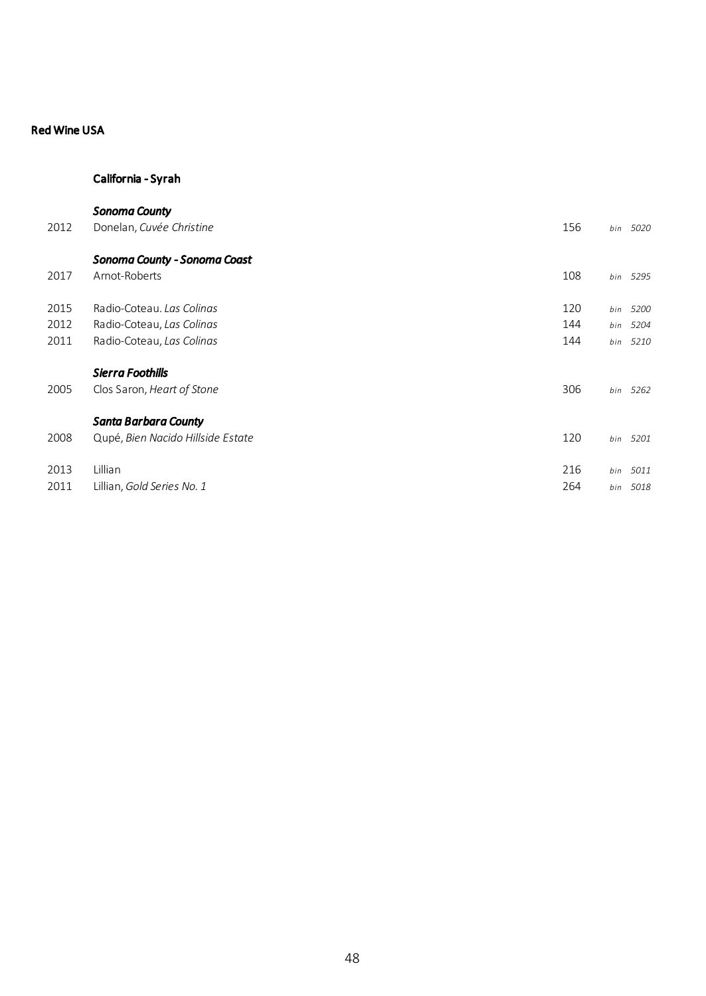# California - Syrah

| 2012 | <b>Sonoma County</b><br>Donelan, Cuvée Christine                 | 156 | bin | 5020     |
|------|------------------------------------------------------------------|-----|-----|----------|
| 2017 | Sonoma County - Sonoma Coast<br>Arnot-Roberts                    | 108 |     | bin 5295 |
| 2015 | Radio-Coteau, Las Colinas                                        | 120 | bin | 5200     |
| 2012 | Radio-Coteau, Las Colinas                                        | 144 |     | bin 5204 |
| 2011 | Radio-Coteau, Las Colinas                                        | 144 |     | bin 5210 |
| 2005 | Sierra Foothills<br>Clos Saron, Heart of Stone                   | 306 |     | bin 5262 |
| 2008 | <b>Santa Barbara County</b><br>Qupé, Bien Nacido Hillside Estate | 120 |     | bin 5201 |
| 2013 | Lillian                                                          | 216 | bin | 5011     |
| 2011 | Lillian, Gold Series No. 1                                       | 264 | bin | 5018     |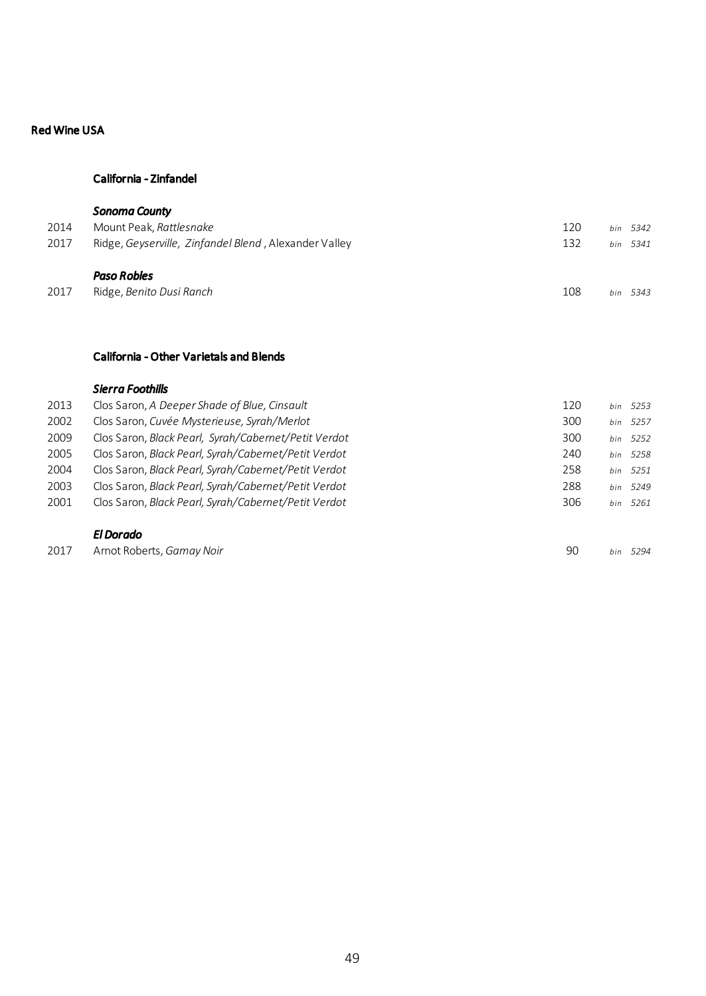## California - Zinfandel

|      | <b>Sonoma County</b>                                  |     |             |
|------|-------------------------------------------------------|-----|-------------|
| 2014 | Mount Peak, Rattlesnake                               | 120 | bin 5342    |
| 2017 | Ridge, Geyserville, Zinfandel Blend, Alexander Valley | 132 | bin 5341    |
|      | Paso Robles                                           |     |             |
| 2017 | Ridge, Benito Dusi Ranch                              | 108 | 5343<br>hin |

### California - Other Varietals and Blends

### *Sierra Foothills*

| 2013 | Clos Saron, A Deeper Shade of Blue, Cinsault         | 120 | bin | 5253     |
|------|------------------------------------------------------|-----|-----|----------|
| 2002 | Clos Saron, Cuvée Mysterieuse, Syrah/Merlot          | 300 | bin | 5257     |
| 2009 | Clos Saron, Black Pearl, Syrah/Cabernet/Petit Verdot | 300 |     | bin 5252 |
| 2005 | Clos Saron, Black Pearl, Syrah/Cabernet/Petit Verdot | 240 |     | bin 5258 |
| 2004 | Clos Saron, Black Pearl, Syrah/Cabernet/Petit Verdot | 258 |     | bin 5251 |
| 2003 | Clos Saron, Black Pearl, Syrah/Cabernet/Petit Verdot | 288 |     | bin 5249 |
| 2001 | Clos Saron, Black Pearl, Syrah/Cabernet/Petit Verdot | 306 |     | bin 5261 |
|      | El Dorado                                            |     |     |          |
| 2017 | Arnot Roberts, Gamay Noir                            | 90  | hin | 5294     |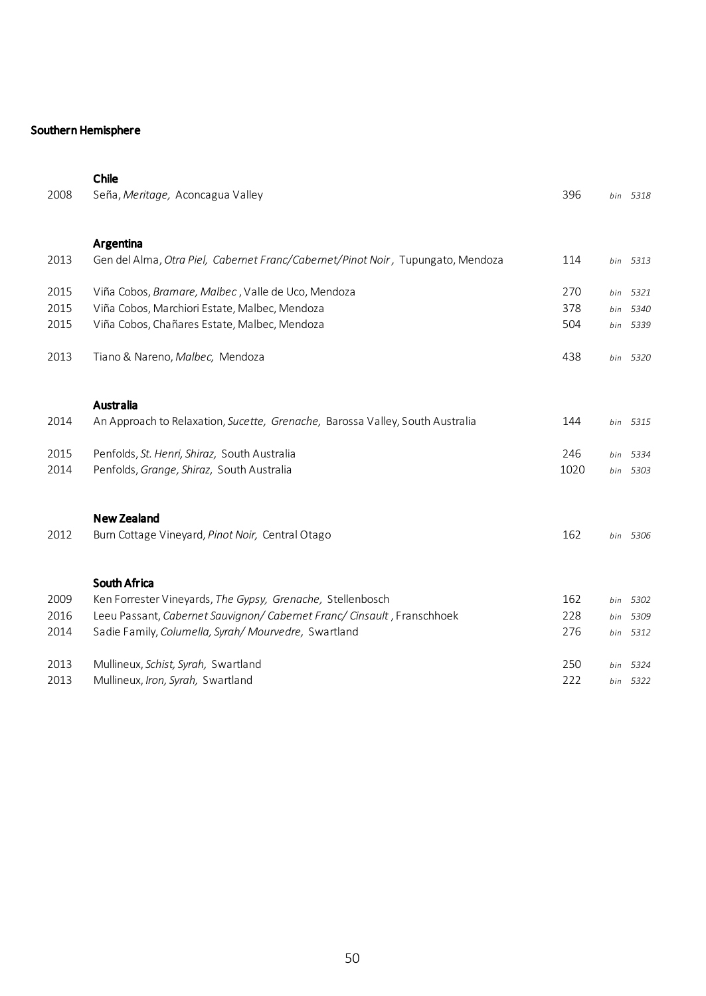# Southern Hemisphere

|      | Chile                                                                           |      |     |          |
|------|---------------------------------------------------------------------------------|------|-----|----------|
| 2008 | Seña, Meritage, Aconcagua Valley                                                | 396  |     | bin 5318 |
|      |                                                                                 |      |     |          |
|      | Argentina                                                                       |      |     |          |
| 2013 | Gen del Alma, Otra Piel, Cabernet Franc/Cabernet/Pinot Noir, Tupungato, Mendoza | 114  |     | bin 5313 |
|      |                                                                                 |      |     |          |
| 2015 | Viña Cobos, Bramare, Malbec, Valle de Uco, Mendoza                              | 270  |     | bin 5321 |
| 2015 | Viña Cobos, Marchiori Estate, Malbec, Mendoza                                   | 378  | bin | 5340     |
| 2015 | Viña Cobos, Chañares Estate, Malbec, Mendoza                                    | 504  |     | bin 5339 |
|      |                                                                                 |      |     |          |
| 2013 | Tiano & Nareno, Malbec, Mendoza                                                 | 438  |     | bin 5320 |
|      |                                                                                 |      |     |          |
|      | <b>Australia</b>                                                                |      |     |          |
| 2014 | An Approach to Relaxation, Sucette, Grenache, Barossa Valley, South Australia   | 144  |     | bin 5315 |
|      |                                                                                 |      |     |          |
| 2015 | Penfolds, St. Henri, Shiraz, South Australia                                    | 246  | bin | 5334     |
| 2014 | Penfolds, Grange, Shiraz, South Australia                                       | 1020 |     | bin 5303 |
|      |                                                                                 |      |     |          |
|      | <b>New Zealand</b>                                                              |      |     |          |
| 2012 | Burn Cottage Vineyard, Pinot Noir, Central Otago                                | 162  |     | bin 5306 |
|      |                                                                                 |      |     |          |
|      |                                                                                 |      |     |          |
|      | South Africa                                                                    |      |     |          |
| 2009 | Ken Forrester Vineyards, The Gypsy, Grenache, Stellenbosch                      | 162  |     | bin 5302 |
| 2016 | Leeu Passant, Cabernet Sauvignon/ Cabernet Franc/ Cinsault, Franschhoek         | 228  | bin | 5309     |
| 2014 | Sadie Family, Columella, Syrah/Mourvedre, Swartland                             | 276  |     | bin 5312 |
| 2013 | Mullineux, Schist, Syrah, Swartland                                             | 250  |     | bin 5324 |
| 2013 | Mullineux, Iron, Syrah, Swartland                                               | 222  |     | bin 5322 |
|      |                                                                                 |      |     |          |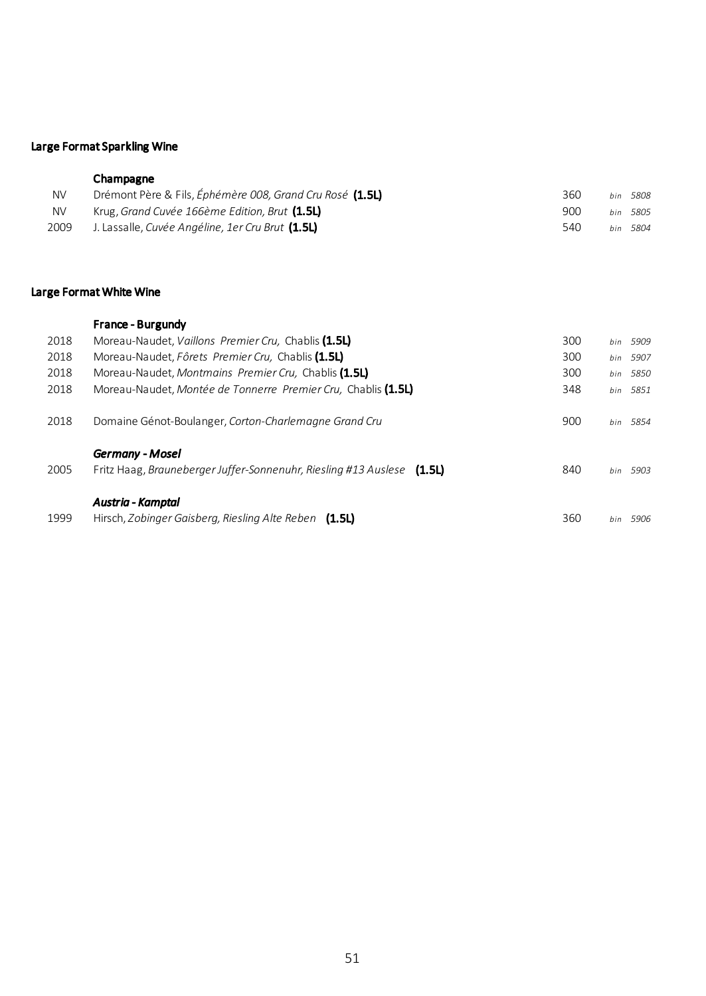# Large Format Sparkling Wine

# Champagne

| NV        | Drémont Père & Fils, Éphémère 008, Grand Cru Rosé (1.5L) | 360 | bin 5808 |
|-----------|----------------------------------------------------------|-----|----------|
| <b>NV</b> | Krug, Grand Cuvée 166ème Edition, Brut (1.5L)            | 900 | hin 5805 |
| 2009      | J. Lassalle, Cuvée Angéline, 1er Cru Brut <b>(1.5L)</b>  | 540 | hin 5804 |

# Large Format White Wine

|      | <b>France - Burgundy</b>                                                                         |     |     |          |
|------|--------------------------------------------------------------------------------------------------|-----|-----|----------|
| 2018 | Moreau-Naudet, Vaillons Premier Cru, Chablis (1.5L)                                              | 300 |     | bin 5909 |
| 2018 | Moreau-Naudet. Fôrets Premier Cru. Chablis (1.5L)                                                | 300 |     | bin 5907 |
| 2018 | Moreau-Naudet, Montmains Premier Cru, Chablis (1.5L)                                             | 300 |     | bin 5850 |
| 2018 | Moreau-Naudet, Montée de Tonnerre Premier Cru, Chablis (1.5L)                                    | 348 |     | bin 5851 |
| 2018 | Domaine Génot-Boulanger, Corton-Charlemagne Grand Cru                                            | 900 | hin | 5854     |
| 2005 | <b>Germany - Mosel</b><br>Fritz Haag, Brauneberger Juffer-Sonnenuhr, Riesling #13 Auslese (1.5L) | 840 |     | bin 5903 |
| 1999 | Austria - Kamptal<br>Hirsch, Zobinger Gaisberg, Riesling Alte Reben (1.5L)                       | 360 | hin | 5906     |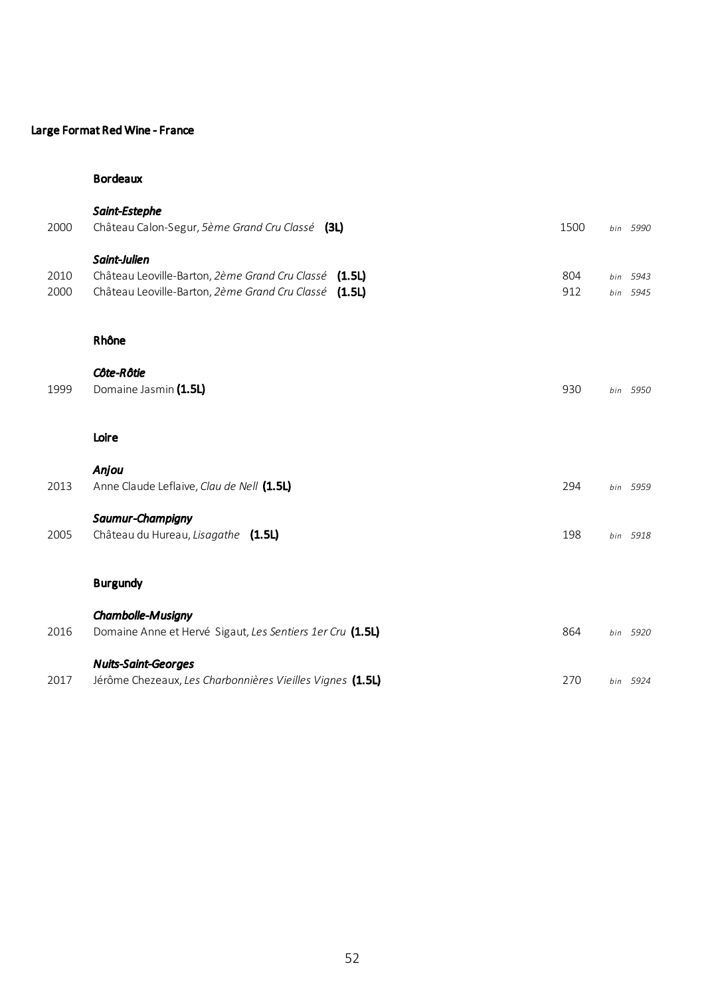# Large Format Red Wine - France

## Bordeaux

| 2000         | Saint-Estephe<br>Château Calon-Segur, 5ème Grand Cru Classé (3L)                                                               | 1500       | bin 5990             |
|--------------|--------------------------------------------------------------------------------------------------------------------------------|------------|----------------------|
| 2010<br>2000 | Saint-Julien<br>Château Leoville-Barton, 2ème Grand Cru Classé (1.5L)<br>Château Leoville-Barton, 2ème Grand Cru Classé (1.5L) | 804<br>912 | bin 5943<br>bin 5945 |
|              | Rhône<br>Côte-Rôtie                                                                                                            |            |                      |
| 1999         | Domaine Jasmin (1.5L)                                                                                                          | 930        | bin 5950             |
|              | Loire                                                                                                                          |            |                      |
| 2013         | Anjou<br>Anne Claude Leflaive, Clau de Nell (1.5L)                                                                             | 294        | bin 5959             |
| 2005         | Saumur-Champigny<br>Château du Hureau, Lisagathe (1.5L)                                                                        | 198        | bin 5918             |
|              | <b>Burgundy</b>                                                                                                                |            |                      |
| 2016         | Chambolle-Musigny<br>Domaine Anne et Hervé Sigaut, Les Sentiers 1er Cru (1.5L)                                                 | 864        | bin 5920             |
| 2017         | <b>Nuits-Saint-Georges</b><br>Jérôme Chezeaux, Les Charbonnières Vieilles Vignes (1.5L)                                        | 270        | bin 5924             |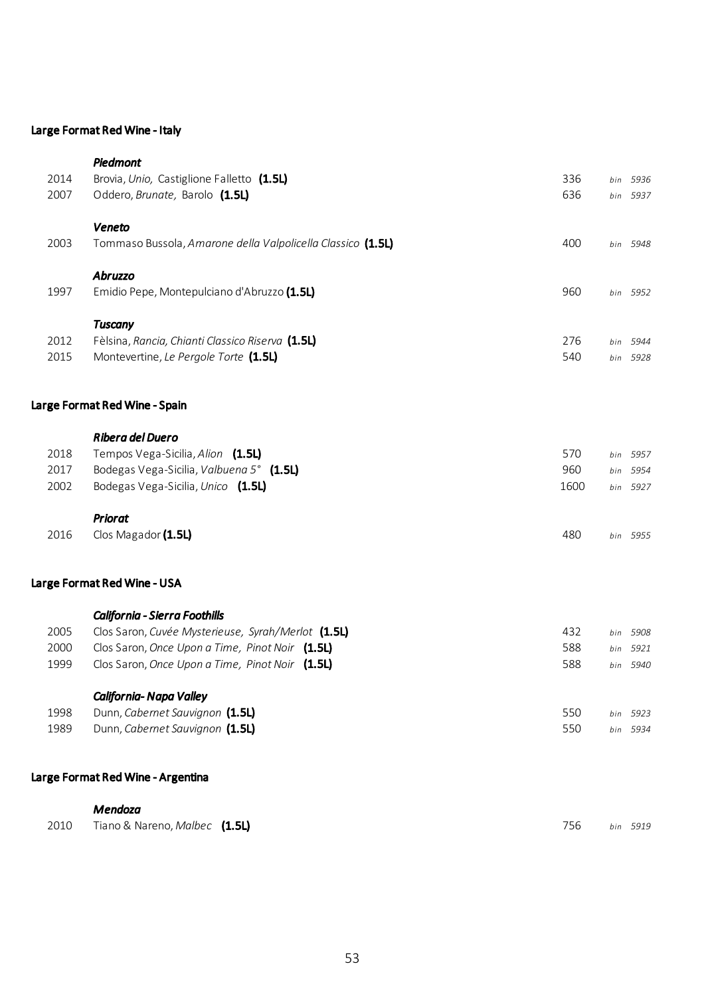# Large Format Red Wine - Italy

|              | Mendoza                                                                                   |            |                      |  |
|--------------|-------------------------------------------------------------------------------------------|------------|----------------------|--|
|              | Large Format Red Wine - Argentina                                                         |            |                      |  |
| 1989         | Dunn, Cabernet Sauvignon (1.5L)                                                           | 550        | bin 5934             |  |
| 1998         | Dunn, Cabernet Sauvignon (1.5L)                                                           | 550        | bin 5923             |  |
|              | California-Napa Valley                                                                    |            |                      |  |
| 1999         | Clos Saron, Once Upon a Time, Pinot Noir (1.5L)                                           | 588        | bin 5940             |  |
| 2000         | Clos Saron, Once Upon a Time, Pinot Noir (1.5L)                                           | 588        | bin 5921             |  |
| 2005         | Clos Saron, Cuvée Mysterieuse, Syrah/Merlot (1.5L)                                        | 432        | bin 5908             |  |
|              | California - Sierra Foothills                                                             |            |                      |  |
|              | Large Format Red Wine - USA                                                               |            |                      |  |
| 2016         | Clos Magador (1.5L)                                                                       | 480        | bin 5955             |  |
|              | <b>Priorat</b>                                                                            |            |                      |  |
| 2002         | Bodegas Vega-Sicilia, Unico (1.5L)                                                        | 1600       | bin 5927             |  |
| 2017         | Bodegas Vega-Sicilia, Valbuena 5° (1.5L)                                                  | 960        | bin 5954             |  |
| 2018         | Tempos Vega-Sicilia, Alion (1.5L)                                                         | 570        | bin 5957             |  |
|              | Ribera del Duero                                                                          |            |                      |  |
|              | Large Format Red Wine - Spain                                                             |            |                      |  |
|              |                                                                                           |            |                      |  |
| 2012<br>2015 | Fèlsina, Rancia, Chianti Classico Riserva (1.5L)<br>Montevertine, Le Pergole Torte (1.5L) | 276<br>540 | bin 5944<br>bin 5928 |  |
|              | <b>Tuscany</b>                                                                            |            |                      |  |
| 1997         | Emidio Pepe, Montepulciano d'Abruzzo (1.5L)                                               | 960        | bin 5952             |  |
|              | <b>Abruzzo</b>                                                                            |            |                      |  |
| 2003         | Tommaso Bussola, Amarone della Valpolicella Classico (1.5L)                               | 400        | bin 5948             |  |
|              | Veneto                                                                                    |            |                      |  |
| 2007         | Oddero, Brunate, Barolo (1.5L)                                                            | 636        | bin 5937             |  |
| 2014         | Brovia, Unio, Castiglione Falletto (1.5L)                                                 | 336        | bin 5936             |  |
|              | Piedmont                                                                                  |            |                      |  |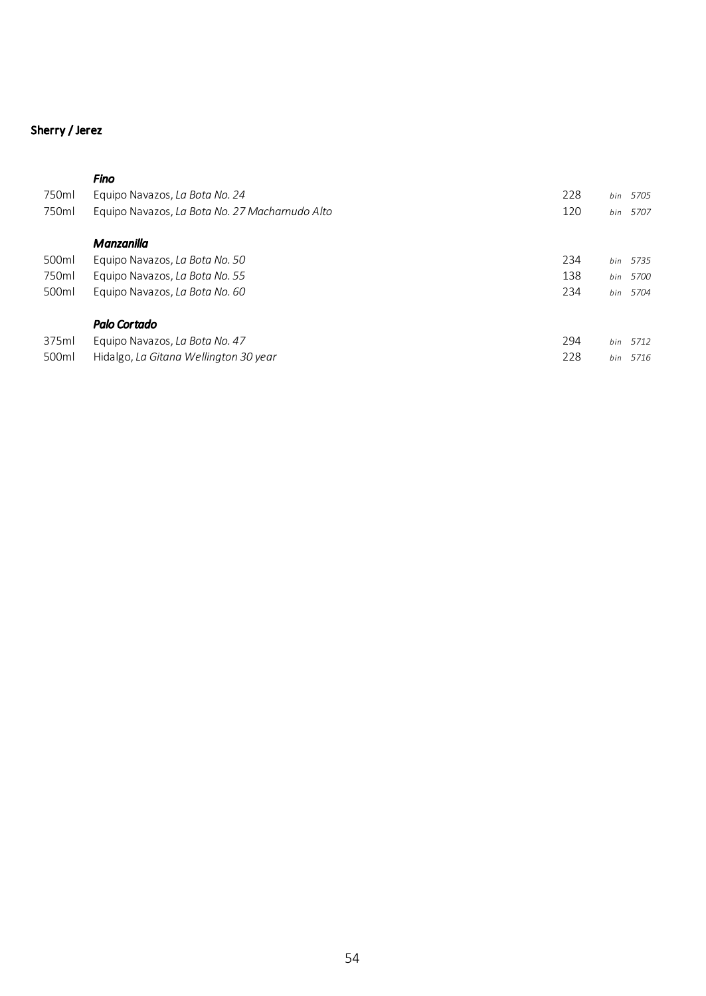# Sherry / Jerez

# *Fino*

| 750ml | Equipo Navazos, La Bota No. 24                 | 228 | 5705<br>bin |
|-------|------------------------------------------------|-----|-------------|
| 750ml | Equipo Navazos, La Bota No. 27 Macharnudo Alto | 120 | 5707<br>bin |
|       | Manzanilla                                     |     |             |
| 500ml | Equipo Navazos, La Bota No. 50                 | 234 | 5735<br>bin |
| 750ml | Equipo Navazos, La Bota No. 55                 | 138 | 5700<br>bin |
| 500ml | Equipo Navazos, La Bota No. 60                 | 234 | 5704<br>bin |
|       | <b>Palo Cortado</b>                            |     |             |
| 375ml | Equipo Navazos, La Bota No. 47                 | 294 | 5712<br>bin |
| 500ml | Hidalgo. La Gitana Wellinaton 30 vear          | 228 | 5716<br>bin |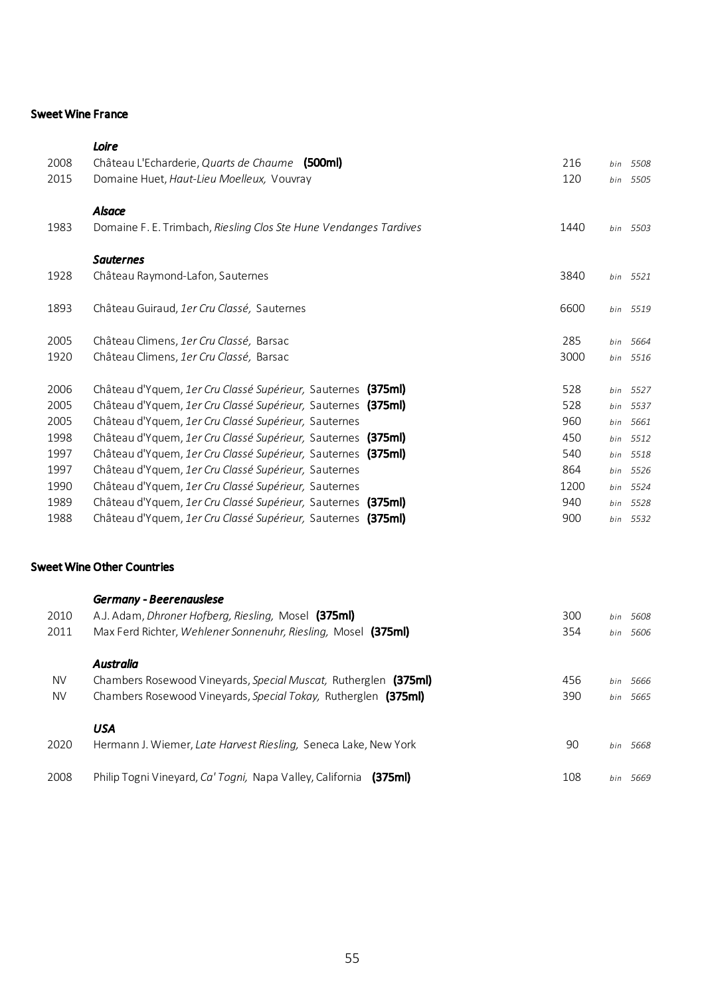### Sweet Wine France

|      | Loire                                                             |      |             |
|------|-------------------------------------------------------------------|------|-------------|
| 2008 | Château L'Echarderie, Quarts de Chaume (500ml)                    | 216  | 5508<br>bin |
| 2015 | Domaine Huet, Haut-Lieu Moelleux, Vouvray                         | 120  | bin 5505    |
|      |                                                                   |      |             |
|      | <b>Alsace</b>                                                     |      |             |
| 1983 | Domaine F. E. Trimbach, Riesling Clos Ste Hune Vendanges Tardives | 1440 | bin 5503    |
|      | <b>Sauternes</b>                                                  |      |             |
| 1928 | Château Raymond-Lafon, Sauternes                                  | 3840 | bin 5521    |
|      |                                                                   |      |             |
| 1893 | Château Guiraud, 1er Cru Classé, Sauternes                        | 6600 | bin 5519    |
| 2005 | Château Climens, 1er Cru Classé, Barsac                           | 285  | bin 5664    |
| 1920 | Château Climens, 1er Cru Classé, Barsac                           | 3000 | bin 5516    |
|      |                                                                   |      |             |
| 2006 | Château d'Yquem, 1er Cru Classé Supérieur, Sauternes (375ml)      | 528  | bin 5527    |
| 2005 | Château d'Yquem, 1er Cru Classé Supérieur, Sauternes (375ml)      | 528  | bin 5537    |
| 2005 | Château d'Yguem, 1er Cru Classé Supérieur, Sauternes              | 960  | bin 5661    |
| 1998 | Château d'Yquem, 1er Cru Classé Supérieur, Sauternes (375ml)      | 450  | bin 5512    |
| 1997 | Château d'Yquem, 1er Cru Classé Supérieur, Sauternes (375ml)      | 540  | bin 5518    |
| 1997 | Château d'Yquem, 1er Cru Classé Supérieur, Sauternes              | 864  | 5526<br>bin |
| 1990 | Château d'Yguem, 1er Cru Classé Supérieur, Sauternes              | 1200 | 5524<br>bin |
| 1989 | Château d'Yquem, 1er Cru Classé Supérieur, Sauternes (375ml)      | 940  | 5528<br>bin |
| 1988 | Château d'Yguem, 1er Cru Classé Supérieur, Sauternes (375ml)      | 900  | bin 5532    |
|      |                                                                   |      |             |
|      |                                                                   |      |             |

# Sweet Wine Other Countries

| 2010<br>2011           | <b>Germany - Beerenauslese</b><br>A.J. Adam, <i>Dhroner Hofberg, Riesling</i> , Mosel (375ml)<br>Max Ferd Richter, Wehlener Sonnenuhr, Riesling, Mosel (375ml) | 300<br>354 | 5608<br>bin<br>bin 5606    |
|------------------------|----------------------------------------------------------------------------------------------------------------------------------------------------------------|------------|----------------------------|
| <b>NV</b><br><b>NV</b> | <b>Australia</b><br>Chambers Rosewood Vineyards, Special Muscat, Rutherglen (375ml)<br>Chambers Rosewood Vineyards, Special Tokay, Rutherglen (375ml)          | 456<br>390 | 5666<br>bin<br>5665<br>bin |
| 2020                   | USA<br>Hermann J. Wiemer, Late Harvest Riesling, Seneca Lake, New York                                                                                         | 90         | 5668<br>bin                |
| 2008                   | Philip Togni Vineyard, Ca' Togni, Napa Valley, California<br>(375ml)                                                                                           | 108        | hin<br>5669                |